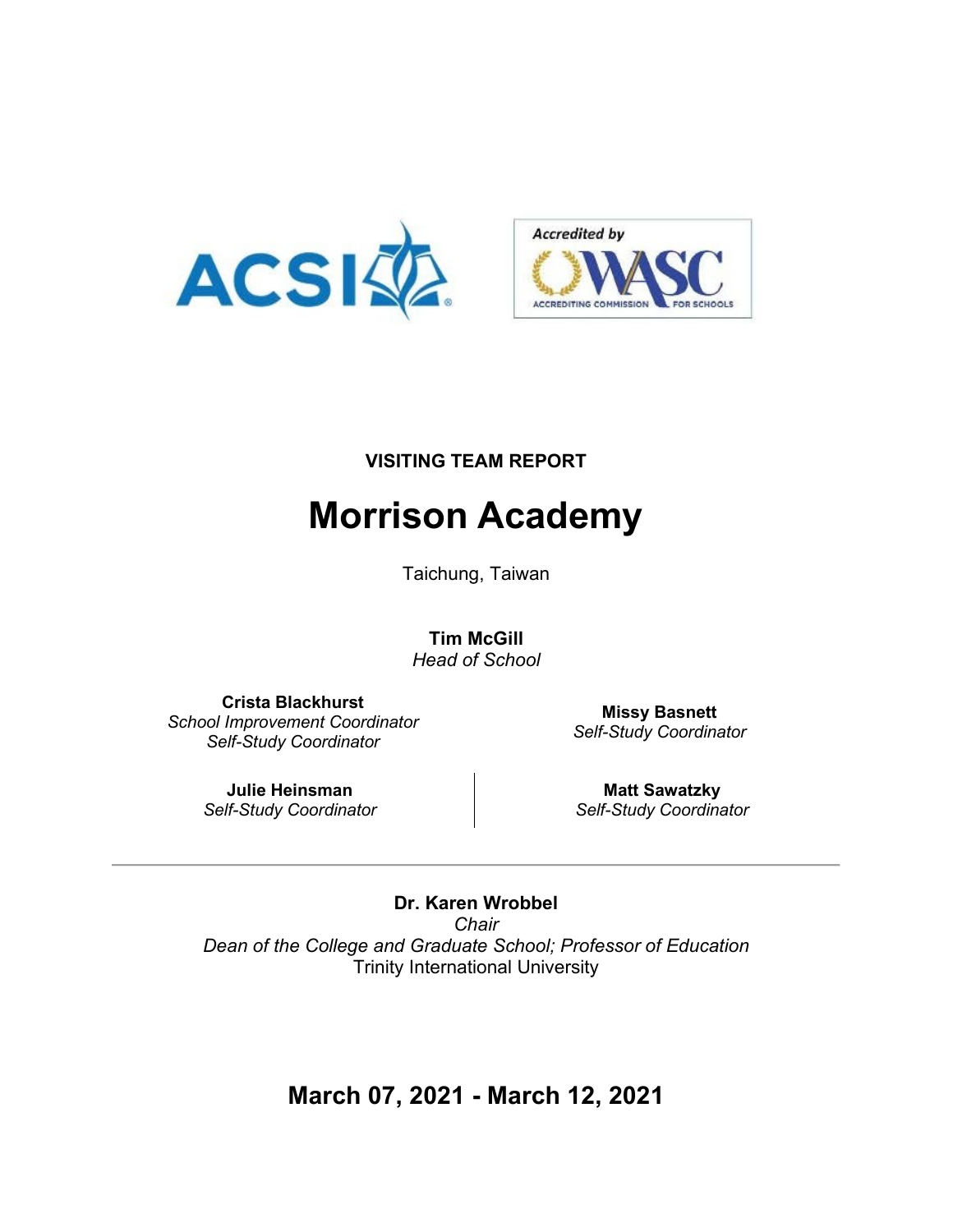



#### **VISITING TEAM REPORT**

# **Morrison Academy**

Taichung, Taiwan

**Tim McGill**  *Head of School*

**Crista Blackhurst**  *School Improvement Coordinator Self-Study Coordinator*

**Missy Basnett**  *Self-Study Coordinator*

**Julie Heinsman**  *Self-Study Coordinator*

**Matt Sawatzky**  *Self-Study Coordinator*

**Dr. Karen Wrobbel**  *Chair Dean of the College and Graduate School; Professor of Education* Trinity International University

**March 07, 2021 - March 12, 2021**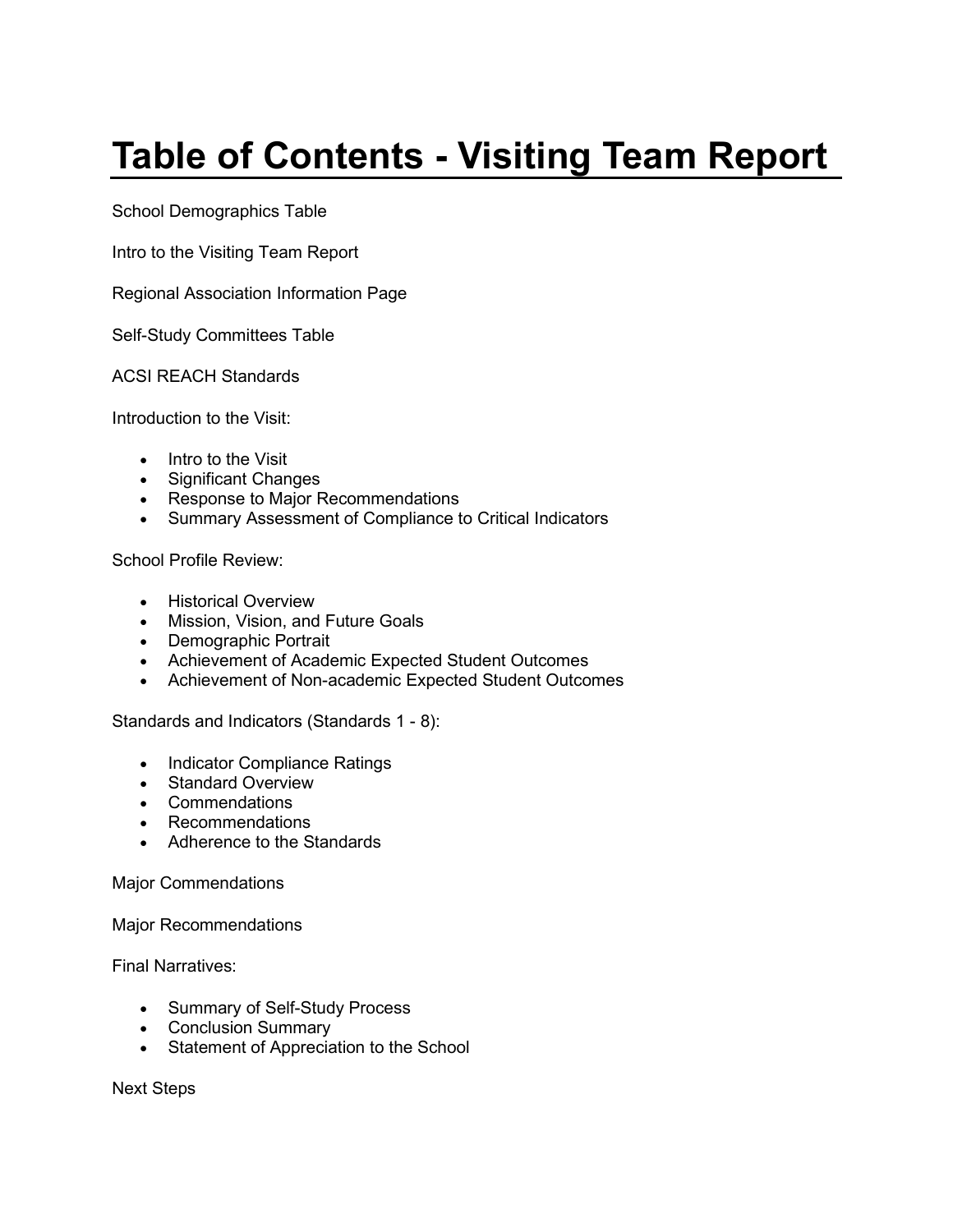# **Table of Contents - Visiting Team Report**

School Demographics Table

Intro to the Visiting Team Report

Regional Association Information Page

Self-Study Committees Table

ACSI REACH Standards

Introduction to the Visit:

- Intro to the Visit
- Significant Changes
- Response to Major Recommendations
- Summary Assessment of Compliance to Critical Indicators

School Profile Review:

- Historical Overview
- Mission, Vision, and Future Goals
- Demographic Portrait
- Achievement of Academic Expected Student Outcomes
- Achievement of Non-academic Expected Student Outcomes

Standards and Indicators (Standards 1 - 8):

- Indicator Compliance Ratings
- Standard Overview
- Commendations
- Recommendations
- Adherence to the Standards

Major Commendations

Major Recommendations

Final Narratives:

- Summary of Self-Study Process
- Conclusion Summary
- Statement of Appreciation to the School

Next Steps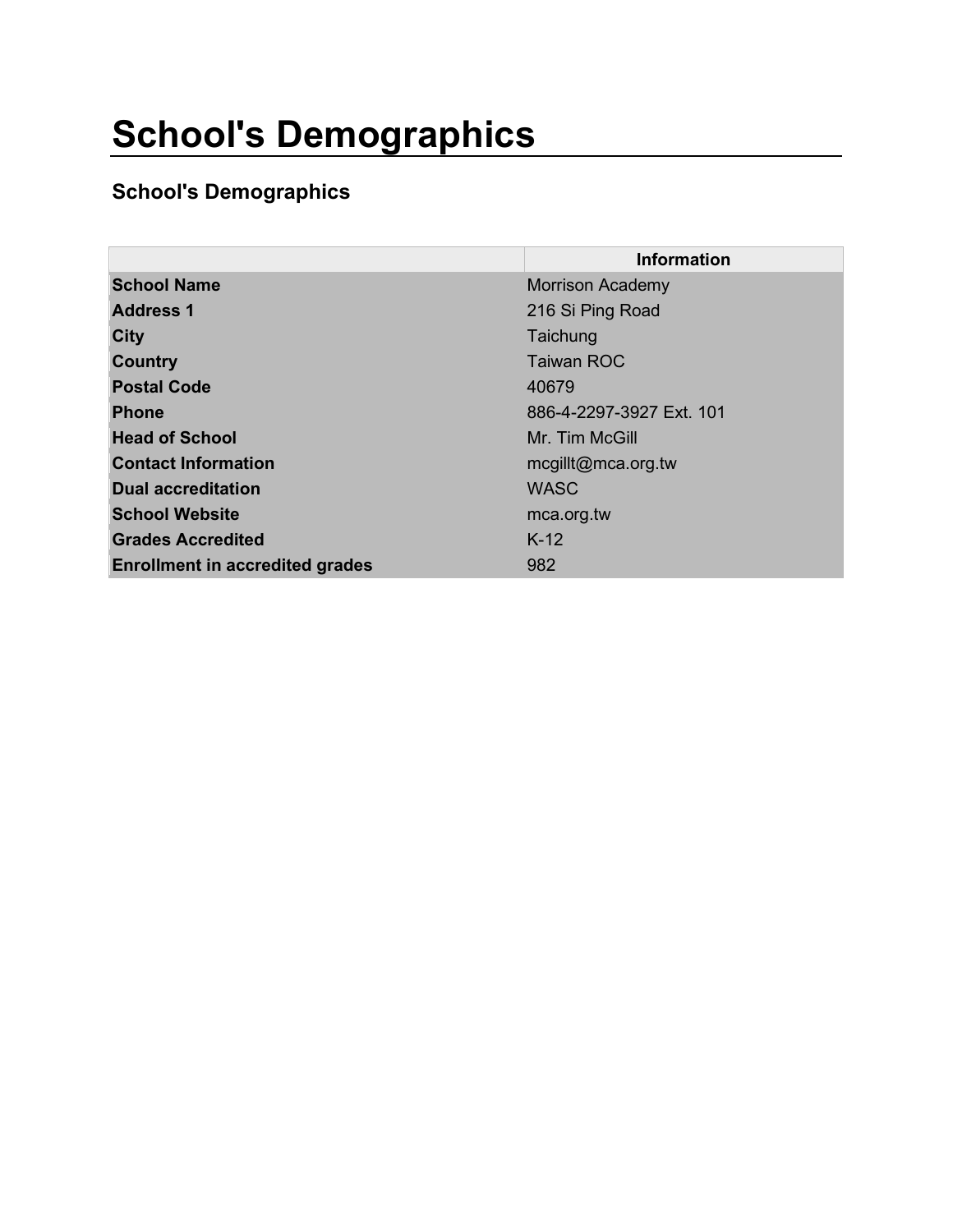# **School's Demographics**

#### **School's Demographics**

|                                        | <b>Information</b>       |
|----------------------------------------|--------------------------|
| <b>School Name</b>                     | <b>Morrison Academy</b>  |
| <b>Address 1</b>                       | 216 Si Ping Road         |
| City                                   | Taichung                 |
| <b>Country</b>                         | <b>Taiwan ROC</b>        |
| <b>Postal Code</b>                     | 40679                    |
| <b>Phone</b>                           | 886-4-2297-3927 Ext. 101 |
| <b>Head of School</b>                  | Mr. Tim McGill           |
| <b>Contact Information</b>             | mcgillt@mca.org.tw       |
| <b>Dual accreditation</b>              | <b>WASC</b>              |
| <b>School Website</b>                  | mca.org.tw               |
| <b>Grades Accredited</b>               | $K-12$                   |
| <b>Enrollment in accredited grades</b> | 982                      |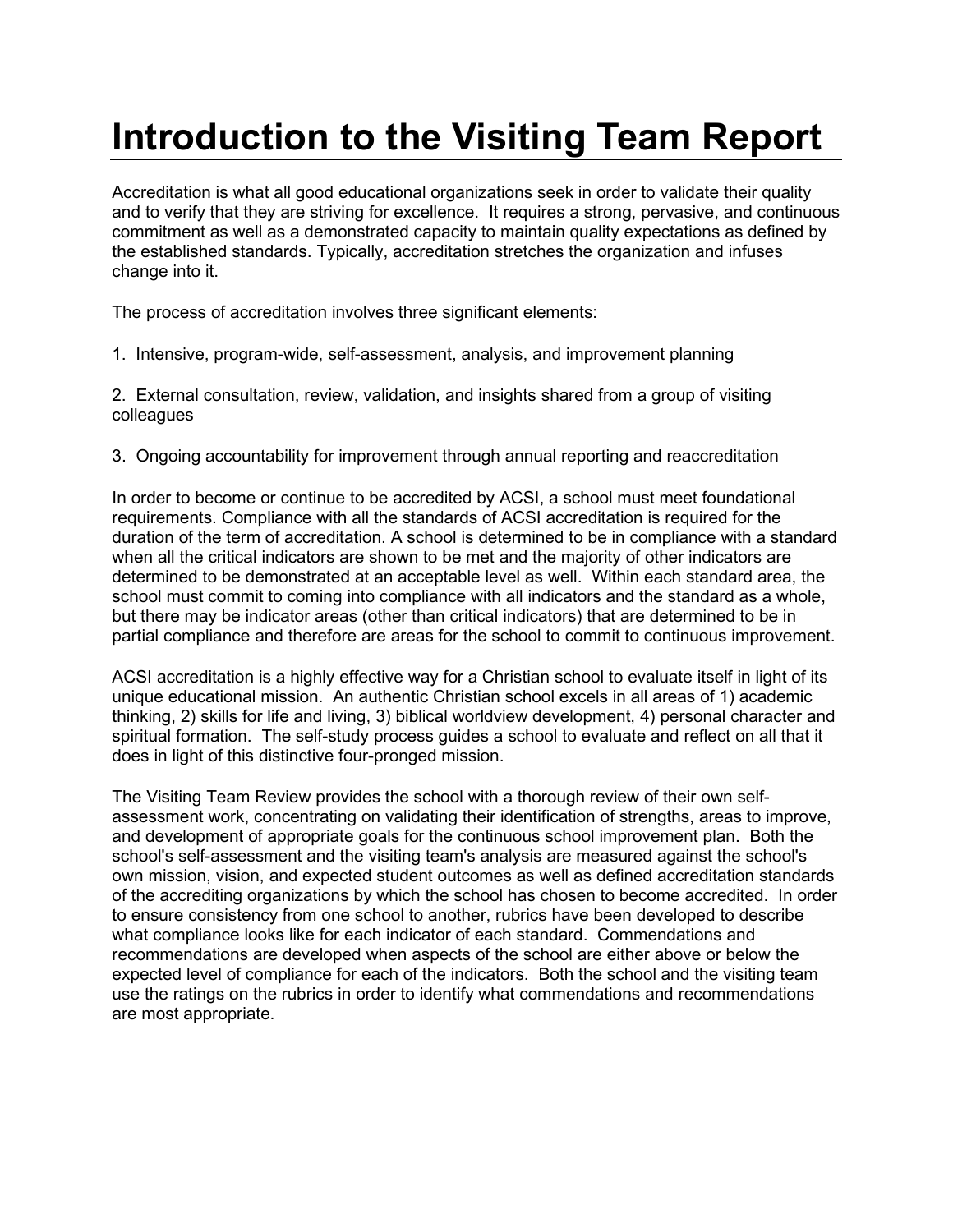# **Introduction to the Visiting Team Report**

Accreditation is what all good educational organizations seek in order to validate their quality and to verify that they are striving for excellence. It requires a strong, pervasive, and continuous commitment as well as a demonstrated capacity to maintain quality expectations as defined by the established standards. Typically, accreditation stretches the organization and infuses change into it.

The process of accreditation involves three significant elements:

1. Intensive, program-wide, self-assessment, analysis, and improvement planning

2. External consultation, review, validation, and insights shared from a group of visiting colleagues

3. Ongoing accountability for improvement through annual reporting and reaccreditation

In order to become or continue to be accredited by ACSI, a school must meet foundational requirements. Compliance with all the standards of ACSI accreditation is required for the duration of the term of accreditation. A school is determined to be in compliance with a standard when all the critical indicators are shown to be met and the majority of other indicators are determined to be demonstrated at an acceptable level as well. Within each standard area, the school must commit to coming into compliance with all indicators and the standard as a whole, but there may be indicator areas (other than critical indicators) that are determined to be in partial compliance and therefore are areas for the school to commit to continuous improvement.

ACSI accreditation is a highly effective way for a Christian school to evaluate itself in light of its unique educational mission. An authentic Christian school excels in all areas of 1) academic thinking, 2) skills for life and living, 3) biblical worldview development, 4) personal character and spiritual formation. The self-study process guides a school to evaluate and reflect on all that it does in light of this distinctive four-pronged mission.

The Visiting Team Review provides the school with a thorough review of their own selfassessment work, concentrating on validating their identification of strengths, areas to improve, and development of appropriate goals for the continuous school improvement plan. Both the school's self-assessment and the visiting team's analysis are measured against the school's own mission, vision, and expected student outcomes as well as defined accreditation standards of the accrediting organizations by which the school has chosen to become accredited. In order to ensure consistency from one school to another, rubrics have been developed to describe what compliance looks like for each indicator of each standard. Commendations and recommendations are developed when aspects of the school are either above or below the expected level of compliance for each of the indicators. Both the school and the visiting team use the ratings on the rubrics in order to identify what commendations and recommendations are most appropriate.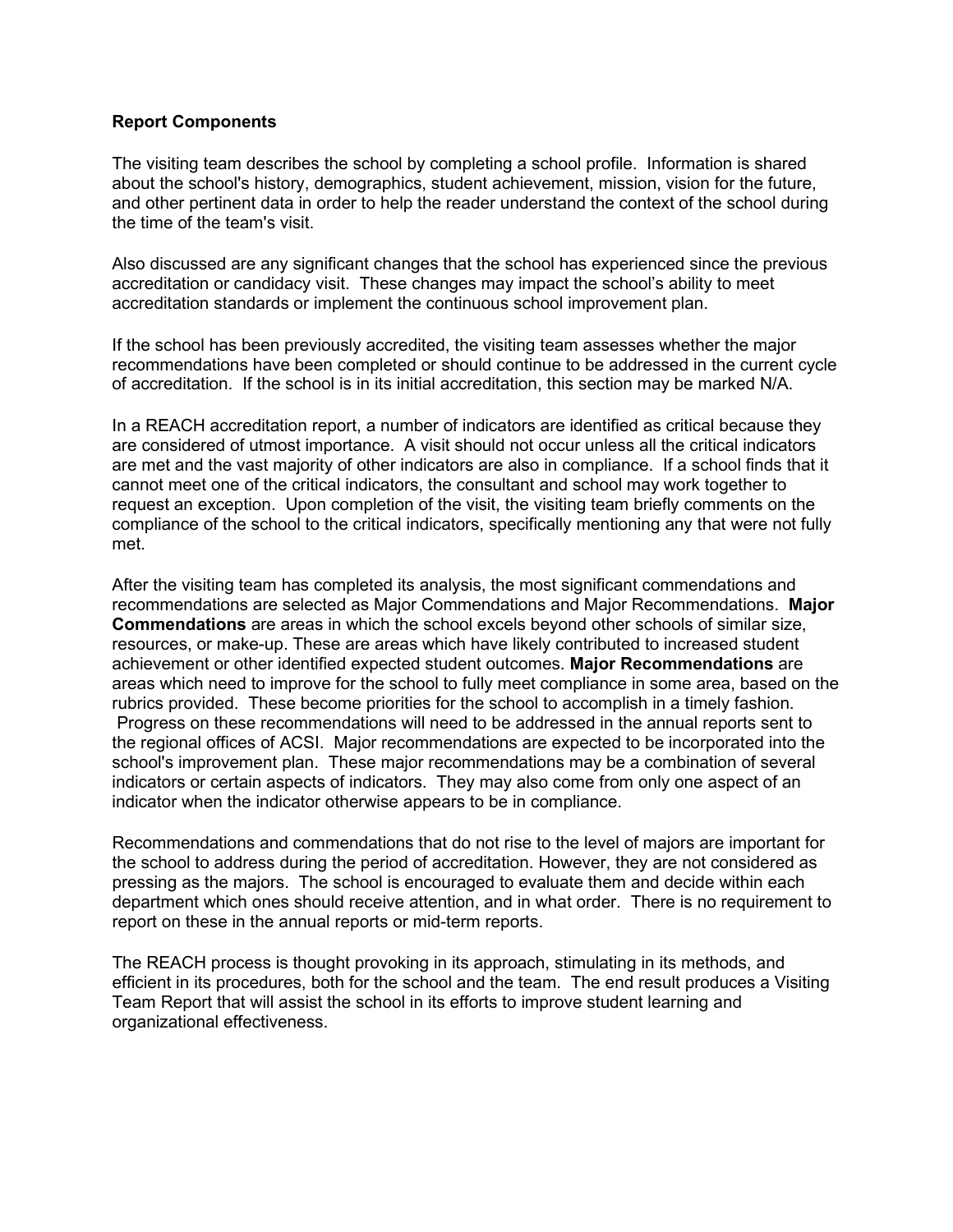#### **Report Components**

The visiting team describes the school by completing a school profile. Information is shared about the school's history, demographics, student achievement, mission, vision for the future, and other pertinent data in order to help the reader understand the context of the school during the time of the team's visit.

Also discussed are any significant changes that the school has experienced since the previous accreditation or candidacy visit. These changes may impact the school's ability to meet accreditation standards or implement the continuous school improvement plan.

If the school has been previously accredited, the visiting team assesses whether the major recommendations have been completed or should continue to be addressed in the current cycle of accreditation. If the school is in its initial accreditation, this section may be marked N/A.

In a REACH accreditation report, a number of indicators are identified as critical because they are considered of utmost importance. A visit should not occur unless all the critical indicators are met and the vast majority of other indicators are also in compliance. If a school finds that it cannot meet one of the critical indicators, the consultant and school may work together to request an exception. Upon completion of the visit, the visiting team briefly comments on the compliance of the school to the critical indicators, specifically mentioning any that were not fully met.

After the visiting team has completed its analysis, the most significant commendations and recommendations are selected as Major Commendations and Major Recommendations. **Major Commendations** are areas in which the school excels beyond other schools of similar size, resources, or make-up. These are areas which have likely contributed to increased student achievement or other identified expected student outcomes. **Major Recommendations** are areas which need to improve for the school to fully meet compliance in some area, based on the rubrics provided. These become priorities for the school to accomplish in a timely fashion. Progress on these recommendations will need to be addressed in the annual reports sent to the regional offices of ACSI. Major recommendations are expected to be incorporated into the school's improvement plan. These major recommendations may be a combination of several indicators or certain aspects of indicators. They may also come from only one aspect of an indicator when the indicator otherwise appears to be in compliance.

Recommendations and commendations that do not rise to the level of majors are important for the school to address during the period of accreditation. However, they are not considered as pressing as the majors. The school is encouraged to evaluate them and decide within each department which ones should receive attention, and in what order. There is no requirement to report on these in the annual reports or mid-term reports.

The REACH process is thought provoking in its approach, stimulating in its methods, and efficient in its procedures, both for the school and the team. The end result produces a Visiting Team Report that will assist the school in its efforts to improve student learning and organizational effectiveness.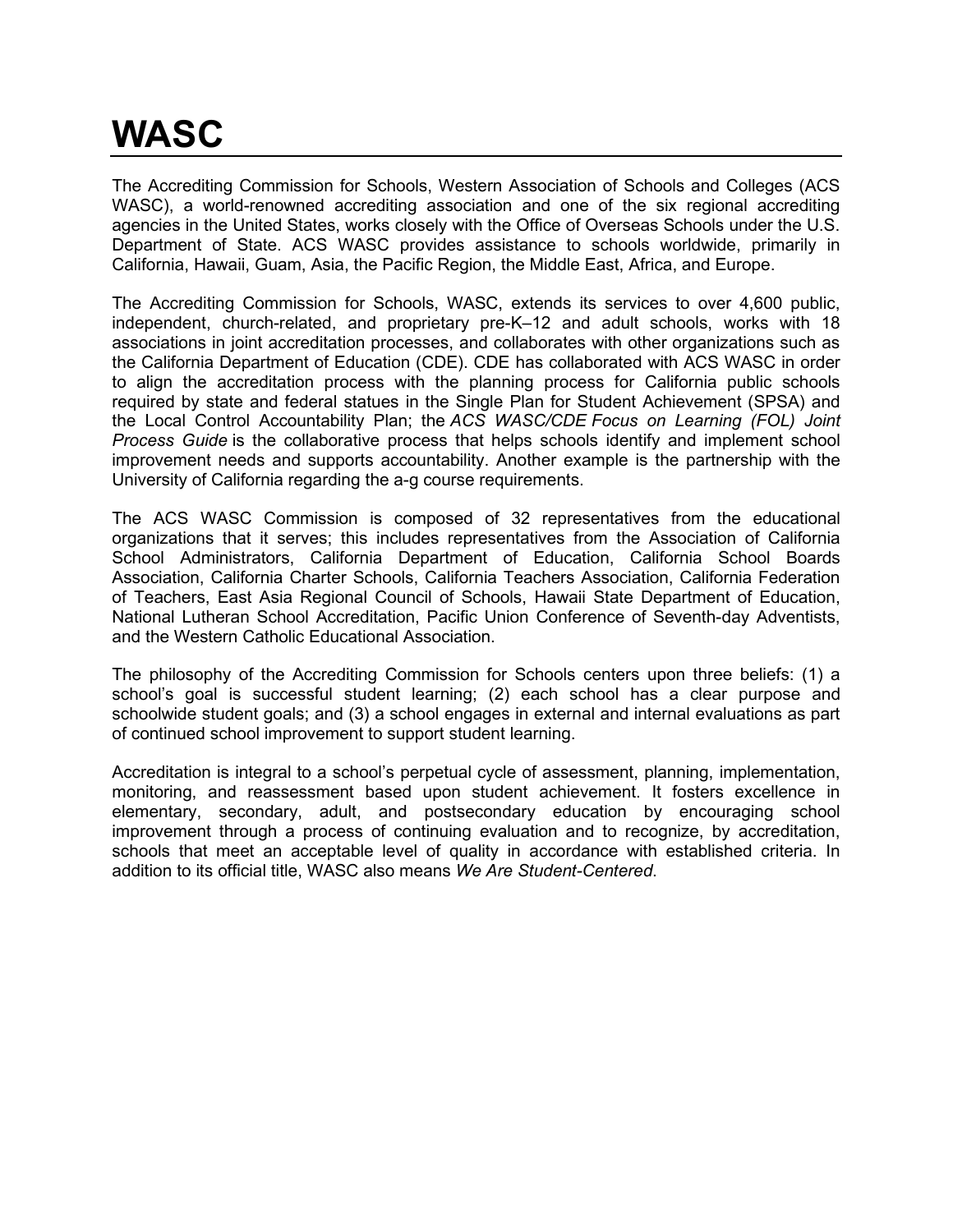# **WASC**

The Accrediting Commission for Schools, Western Association of Schools and Colleges (ACS WASC), a world-renowned accrediting association and one of the six regional accrediting agencies in the United States, works closely with the Office of Overseas Schools under the U.S. Department of State. ACS WASC provides assistance to schools worldwide, primarily in California, Hawaii, Guam, Asia, the Pacific Region, the Middle East, Africa, and Europe.

The Accrediting Commission for Schools, WASC, extends its services to over 4,600 public, independent, church-related, and proprietary pre-K–12 and adult schools, works with 18 associations in joint accreditation processes, and collaborates with other organizations such as the California Department of Education (CDE). CDE has collaborated with ACS WASC in order to align the accreditation process with the planning process for California public schools required by state and federal statues in the Single Plan for Student Achievement (SPSA) and the Local Control Accountability Plan; the *ACS WASC/CDE Focus on Learning (FOL) Joint Process Guide* is the collaborative process that helps schools identify and implement school improvement needs and supports accountability. Another example is the partnership with the University of California regarding the a-g course requirements.

The ACS WASC Commission is composed of 32 representatives from the educational organizations that it serves; this includes representatives from the Association of California School Administrators, California Department of Education, California School Boards Association, California Charter Schools, California Teachers Association, California Federation of Teachers, East Asia Regional Council of Schools, Hawaii State Department of Education, National Lutheran School Accreditation, Pacific Union Conference of Seventh-day Adventists, and the Western Catholic Educational Association.

The philosophy of the Accrediting Commission for Schools centers upon three beliefs: (1) a school's goal is successful student learning; (2) each school has a clear purpose and schoolwide student goals; and (3) a school engages in external and internal evaluations as part of continued school improvement to support student learning.

Accreditation is integral to a school's perpetual cycle of assessment, planning, implementation, monitoring, and reassessment based upon student achievement. It fosters excellence in elementary, secondary, adult, and postsecondary education by encouraging school improvement through a process of continuing evaluation and to recognize, by accreditation, schools that meet an acceptable level of quality in accordance with established criteria. In addition to its official title, WASC also means *We Are Student-Centered*.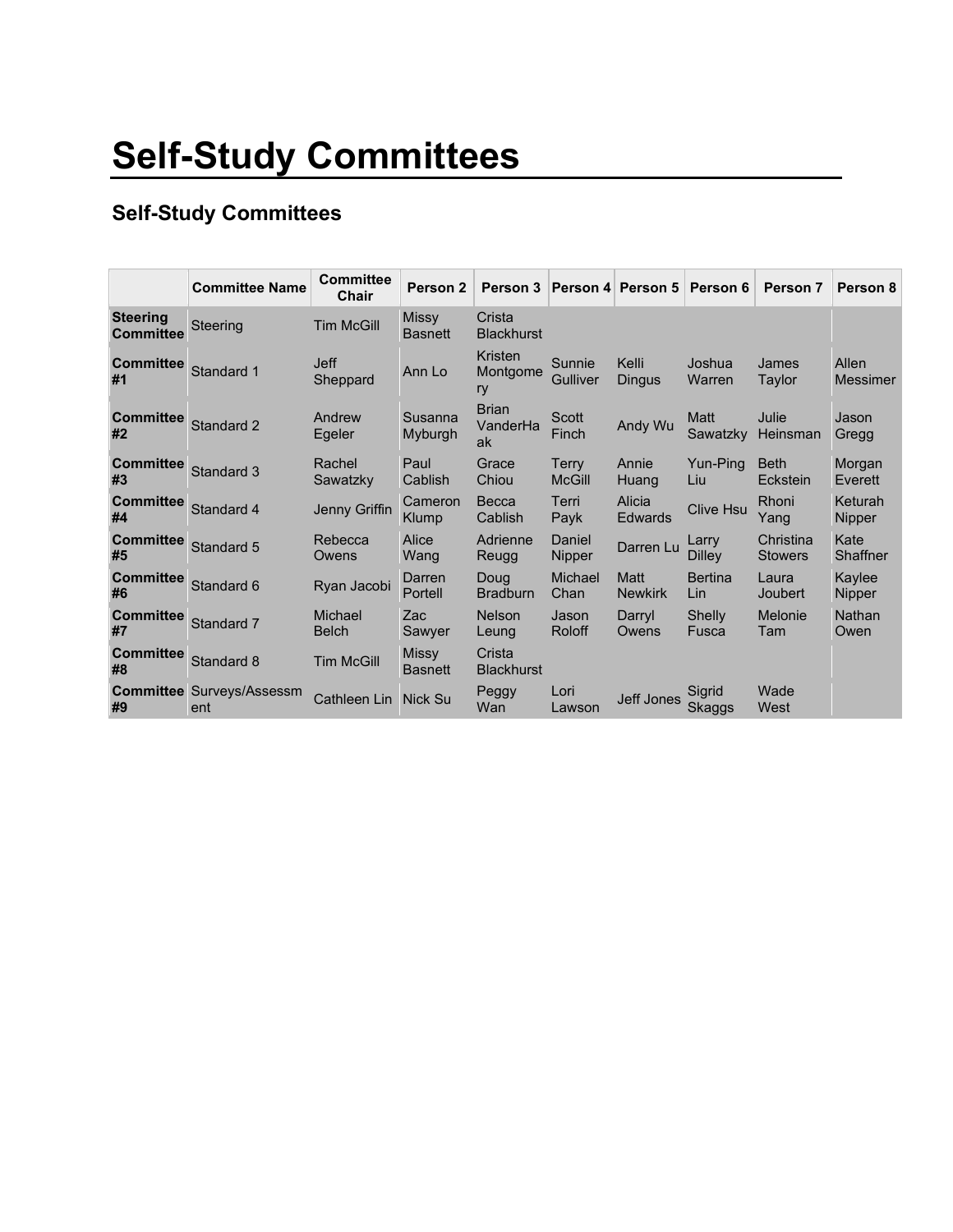# **Self-Study Committees**

#### **Self-Study Committees**

|                                     | <b>Committee Name</b>                   | <b>Committee</b><br>Chair | Person 2                       |                                |                           | Person 3   Person 4   Person 5   Person 6 |                               | Person 7                    | Person 8                 |
|-------------------------------------|-----------------------------------------|---------------------------|--------------------------------|--------------------------------|---------------------------|-------------------------------------------|-------------------------------|-----------------------------|--------------------------|
| <b>Steering</b><br><b>Committee</b> | Steering                                | <b>Tim McGill</b>         | <b>Missy</b><br><b>Basnett</b> | Crista<br><b>Blackhurst</b>    |                           |                                           |                               |                             |                          |
| <b>Committee</b><br>#1              | Standard 1                              | <b>Jeff</b><br>Sheppard   | Ann Lo                         | Kristen<br>Montgome<br>ry      | Sunnie<br><b>Gulliver</b> | Kelli<br><b>Dingus</b>                    | Joshua<br>Warren              | James<br>Taylor             | Allen<br><b>Messimer</b> |
| <b>Committee</b><br>#2              | Standard 2                              | Andrew<br>Egeler          | Susanna<br>Myburgh             | <b>Brian</b><br>VanderHa<br>ak | Scott<br>Finch            | Andy Wu                                   | Matt<br>Sawatzky              | Julie<br>Heinsman           | Jason<br>Gregg           |
| <b>Committee</b><br>#3              | Standard 3                              | Rachel<br>Sawatzky        | Paul<br>Cablish                | Grace<br>Chiou                 | Terry<br><b>McGill</b>    | Annie<br>Huang                            | Yun-Pina<br>Liu               | <b>Beth</b><br>Eckstein     | Morgan<br>Everett        |
| <b>Committee</b><br>#4              | Standard 4                              | Jenny Griffin             | Cameron<br><b>Klump</b>        | Becca<br>Cablish               | Terri<br>Payk             | Alicia<br><b>Edwards</b>                  | <b>Clive Hsu</b>              | Rhoni<br>Yang               | Keturah<br>Nipper        |
| <b>Committee</b><br>#5              | Standard 5                              | Rebecca<br>Owens          | Alice<br>Wang                  | Adrienne<br>Reugg              | Daniel<br>Nipper          | Darren Lu                                 | Larry<br><b>Dilley</b>        | Christina<br><b>Stowers</b> | Kate<br>Shaffner         |
| <b>Committee</b><br>#6              | Standard 6                              | Ryan Jacobi               | Darren<br>Portell              | Doug<br><b>Bradburn</b>        | Michael<br>Chan           | <b>Matt</b><br><b>Newkirk</b>             | <b>Bertina</b><br>Lin         | Laura<br>Joubert            | Kaylee<br>Nipper         |
| <b>Committee</b><br>#7              | Standard 7                              | Michael<br><b>Belch</b>   | Zac<br>Sawyer                  | <b>Nelson</b><br>Leung         | Jason<br>Roloff           | Darryl<br>Owens                           | <b>Shelly</b><br><b>Fusca</b> | Melonie<br>Tam              | Nathan<br>Owen           |
| <b>Committee</b><br>#8              | Standard 8                              | <b>Tim McGill</b>         | Missy<br><b>Basnett</b>        | Crista<br><b>Blackhurst</b>    |                           |                                           |                               |                             |                          |
| #9                                  | <b>Committee Surveys/Assessm</b><br>ent | <b>Cathleen Lin</b>       | Nick Su                        | Peggy<br>Wan                   | Lori<br>Lawson            | <b>Jeff Jones</b>                         | Sigrid<br><b>Skaggs</b>       | Wade<br>West                |                          |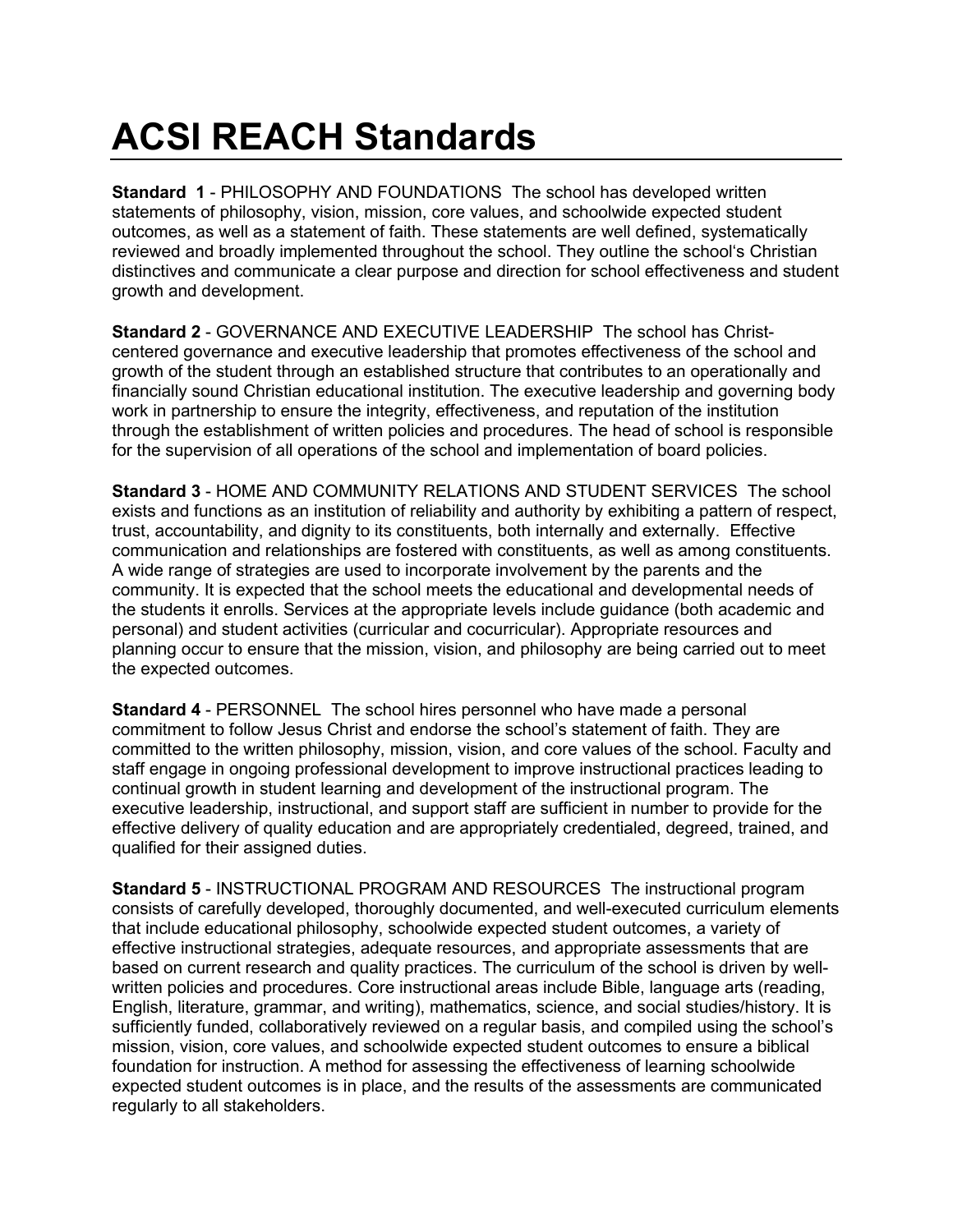# **ACSI REACH Standards**

**Standard 1** - PHILOSOPHY AND FOUNDATIONS The school has developed written statements of philosophy, vision, mission, core values, and schoolwide expected student outcomes, as well as a statement of faith. These statements are well defined, systematically reviewed and broadly implemented throughout the school. They outline the school's Christian distinctives and communicate a clear purpose and direction for school effectiveness and student growth and development.

**Standard 2** - GOVERNANCE AND EXECUTIVE LEADERSHIP The school has Christcentered governance and executive leadership that promotes effectiveness of the school and growth of the student through an established structure that contributes to an operationally and financially sound Christian educational institution. The executive leadership and governing body work in partnership to ensure the integrity, effectiveness, and reputation of the institution through the establishment of written policies and procedures. The head of school is responsible for the supervision of all operations of the school and implementation of board policies.

**Standard 3** - HOME AND COMMUNITY RELATIONS AND STUDENT SERVICES The school exists and functions as an institution of reliability and authority by exhibiting a pattern of respect, trust, accountability, and dignity to its constituents, both internally and externally. Effective communication and relationships are fostered with constituents, as well as among constituents. A wide range of strategies are used to incorporate involvement by the parents and the community. It is expected that the school meets the educational and developmental needs of the students it enrolls. Services at the appropriate levels include guidance (both academic and personal) and student activities (curricular and cocurricular). Appropriate resources and planning occur to ensure that the mission, vision, and philosophy are being carried out to meet the expected outcomes.

**Standard 4** - PERSONNEL The school hires personnel who have made a personal commitment to follow Jesus Christ and endorse the school's statement of faith. They are committed to the written philosophy, mission, vision, and core values of the school. Faculty and staff engage in ongoing professional development to improve instructional practices leading to continual growth in student learning and development of the instructional program. The executive leadership, instructional, and support staff are sufficient in number to provide for the effective delivery of quality education and are appropriately credentialed, degreed, trained, and qualified for their assigned duties.

**Standard 5** - INSTRUCTIONAL PROGRAM AND RESOURCES The instructional program consists of carefully developed, thoroughly documented, and well-executed curriculum elements that include educational philosophy, schoolwide expected student outcomes, a variety of effective instructional strategies, adequate resources, and appropriate assessments that are based on current research and quality practices. The curriculum of the school is driven by wellwritten policies and procedures. Core instructional areas include Bible, language arts (reading, English, literature, grammar, and writing), mathematics, science, and social studies/history. It is sufficiently funded, collaboratively reviewed on a regular basis, and compiled using the school's mission, vision, core values, and schoolwide expected student outcomes to ensure a biblical foundation for instruction. A method for assessing the effectiveness of learning schoolwide expected student outcomes is in place, and the results of the assessments are communicated regularly to all stakeholders.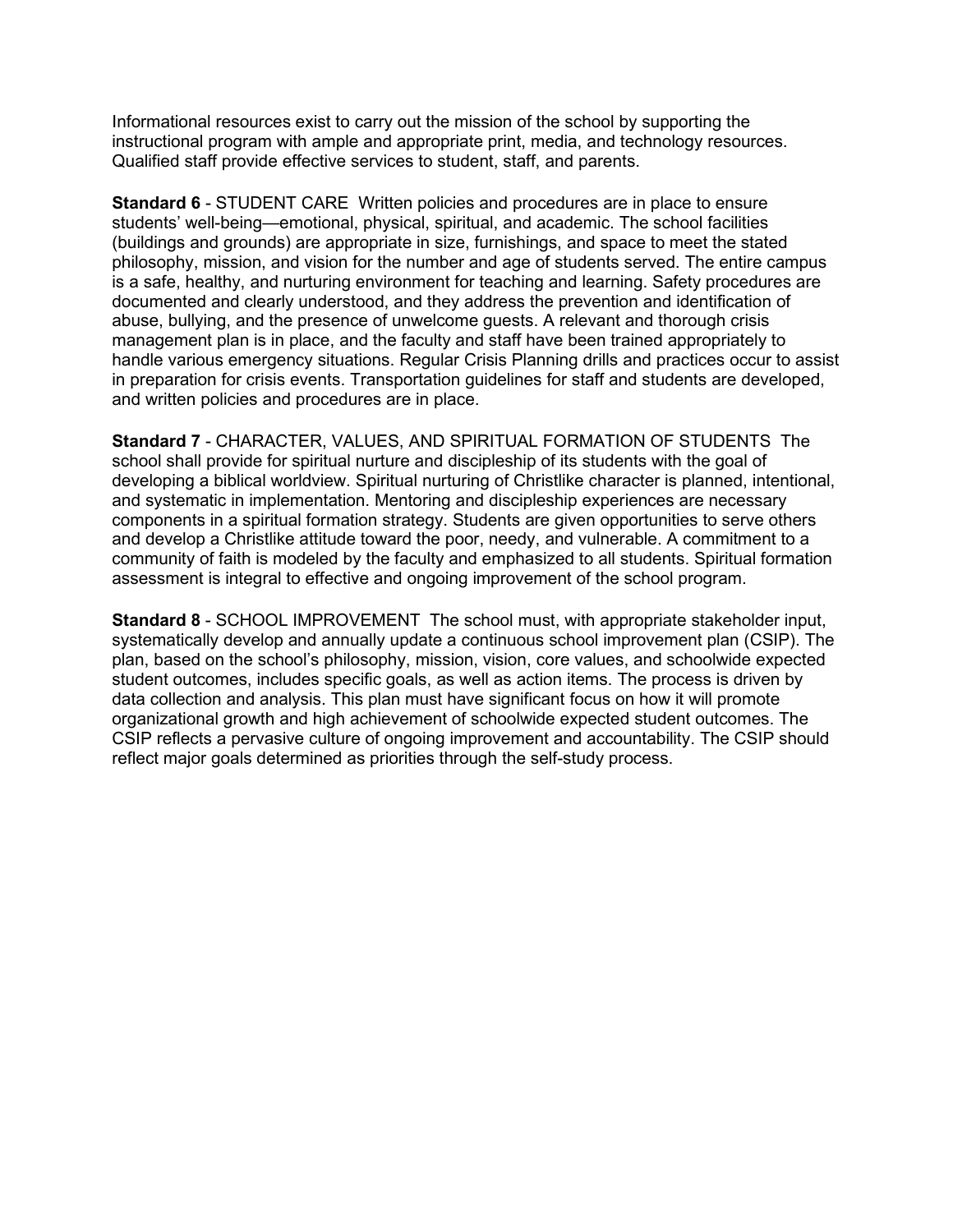Informational resources exist to carry out the mission of the school by supporting the instructional program with ample and appropriate print, media, and technology resources. Qualified staff provide effective services to student, staff, and parents.

**Standard 6** - STUDENT CARE Written policies and procedures are in place to ensure students' well-being—emotional, physical, spiritual, and academic. The school facilities (buildings and grounds) are appropriate in size, furnishings, and space to meet the stated philosophy, mission, and vision for the number and age of students served. The entire campus is a safe, healthy, and nurturing environment for teaching and learning. Safety procedures are documented and clearly understood, and they address the prevention and identification of abuse, bullying, and the presence of unwelcome guests. A relevant and thorough crisis management plan is in place, and the faculty and staff have been trained appropriately to handle various emergency situations. Regular Crisis Planning drills and practices occur to assist in preparation for crisis events. Transportation guidelines for staff and students are developed, and written policies and procedures are in place.

**Standard 7** - CHARACTER, VALUES, AND SPIRITUAL FORMATION OF STUDENTS The school shall provide for spiritual nurture and discipleship of its students with the goal of developing a biblical worldview. Spiritual nurturing of Christlike character is planned, intentional, and systematic in implementation. Mentoring and discipleship experiences are necessary components in a spiritual formation strategy. Students are given opportunities to serve others and develop a Christlike attitude toward the poor, needy, and vulnerable. A commitment to a community of faith is modeled by the faculty and emphasized to all students. Spiritual formation assessment is integral to effective and ongoing improvement of the school program.

**Standard 8** - SCHOOL IMPROVEMENT The school must, with appropriate stakeholder input, systematically develop and annually update a continuous school improvement plan (CSIP). The plan, based on the school's philosophy, mission, vision, core values, and schoolwide expected student outcomes, includes specific goals, as well as action items. The process is driven by data collection and analysis. This plan must have significant focus on how it will promote organizational growth and high achievement of schoolwide expected student outcomes. The CSIP reflects a pervasive culture of ongoing improvement and accountability. The CSIP should reflect major goals determined as priorities through the self-study process.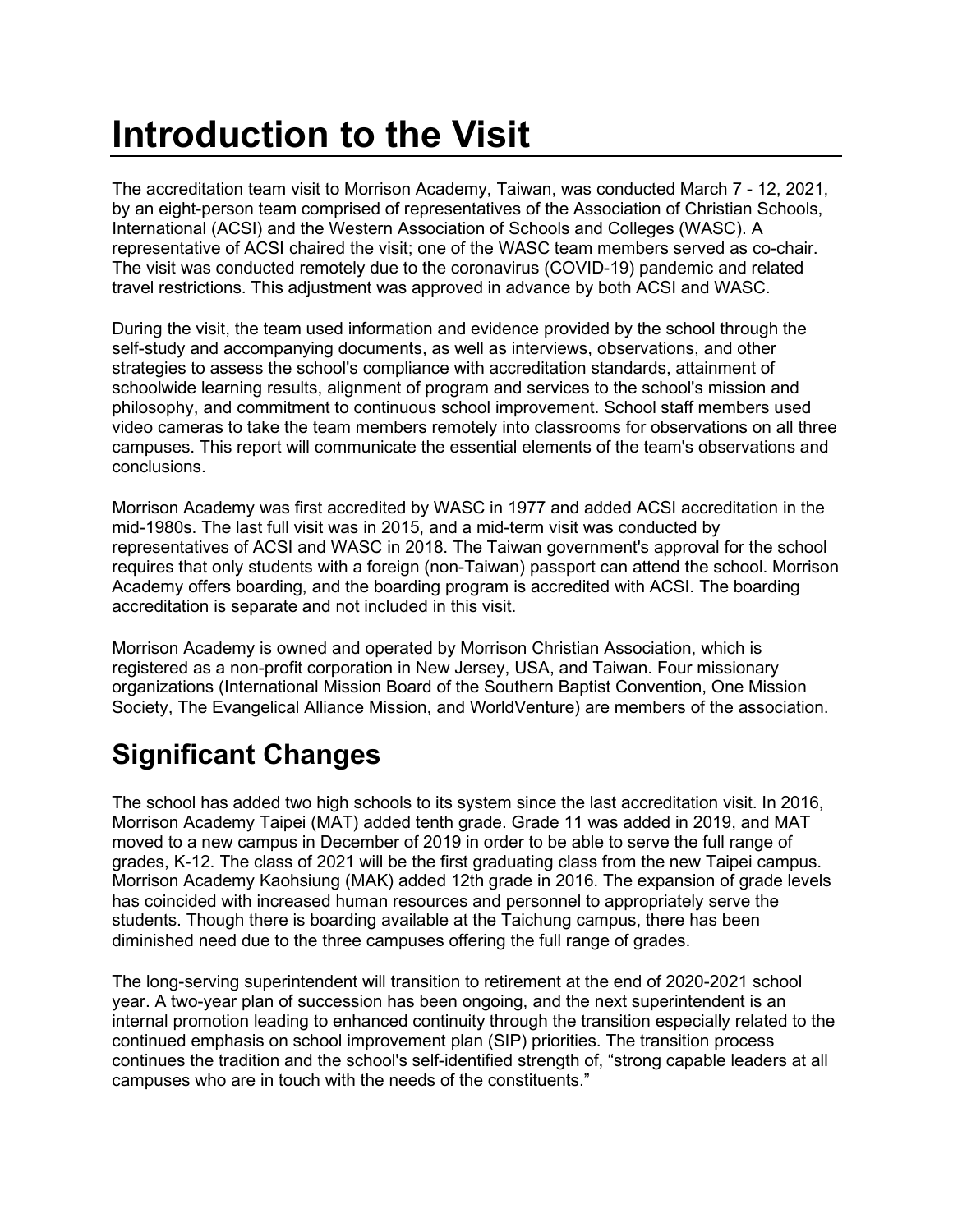# **Introduction to the Visit**

The accreditation team visit to Morrison Academy, Taiwan, was conducted March 7 - 12, 2021, by an eight-person team comprised of representatives of the Association of Christian Schools, International (ACSI) and the Western Association of Schools and Colleges (WASC). A representative of ACSI chaired the visit; one of the WASC team members served as co-chair. The visit was conducted remotely due to the coronavirus (COVID-19) pandemic and related travel restrictions. This adjustment was approved in advance by both ACSI and WASC.

During the visit, the team used information and evidence provided by the school through the self-study and accompanying documents, as well as interviews, observations, and other strategies to assess the school's compliance with accreditation standards, attainment of schoolwide learning results, alignment of program and services to the school's mission and philosophy, and commitment to continuous school improvement. School staff members used video cameras to take the team members remotely into classrooms for observations on all three campuses. This report will communicate the essential elements of the team's observations and conclusions.

Morrison Academy was first accredited by WASC in 1977 and added ACSI accreditation in the mid-1980s. The last full visit was in 2015, and a mid-term visit was conducted by representatives of ACSI and WASC in 2018. The Taiwan government's approval for the school requires that only students with a foreign (non-Taiwan) passport can attend the school. Morrison Academy offers boarding, and the boarding program is accredited with ACSI. The boarding accreditation is separate and not included in this visit.

Morrison Academy is owned and operated by Morrison Christian Association, which is registered as a non-profit corporation in New Jersey, USA, and Taiwan. Four missionary organizations (International Mission Board of the Southern Baptist Convention, One Mission Society, The Evangelical Alliance Mission, and WorldVenture) are members of the association.

# **Significant Changes**

The school has added two high schools to its system since the last accreditation visit. In 2016, Morrison Academy Taipei (MAT) added tenth grade. Grade 11 was added in 2019, and MAT moved to a new campus in December of 2019 in order to be able to serve the full range of grades, K-12. The class of 2021 will be the first graduating class from the new Taipei campus. Morrison Academy Kaohsiung (MAK) added 12th grade in 2016. The expansion of grade levels has coincided with increased human resources and personnel to appropriately serve the students. Though there is boarding available at the Taichung campus, there has been diminished need due to the three campuses offering the full range of grades.

The long-serving superintendent will transition to retirement at the end of 2020-2021 school year. A two-year plan of succession has been ongoing, and the next superintendent is an internal promotion leading to enhanced continuity through the transition especially related to the continued emphasis on school improvement plan (SIP) priorities. The transition process continues the tradition and the school's self-identified strength of, "strong capable leaders at all campuses who are in touch with the needs of the constituents."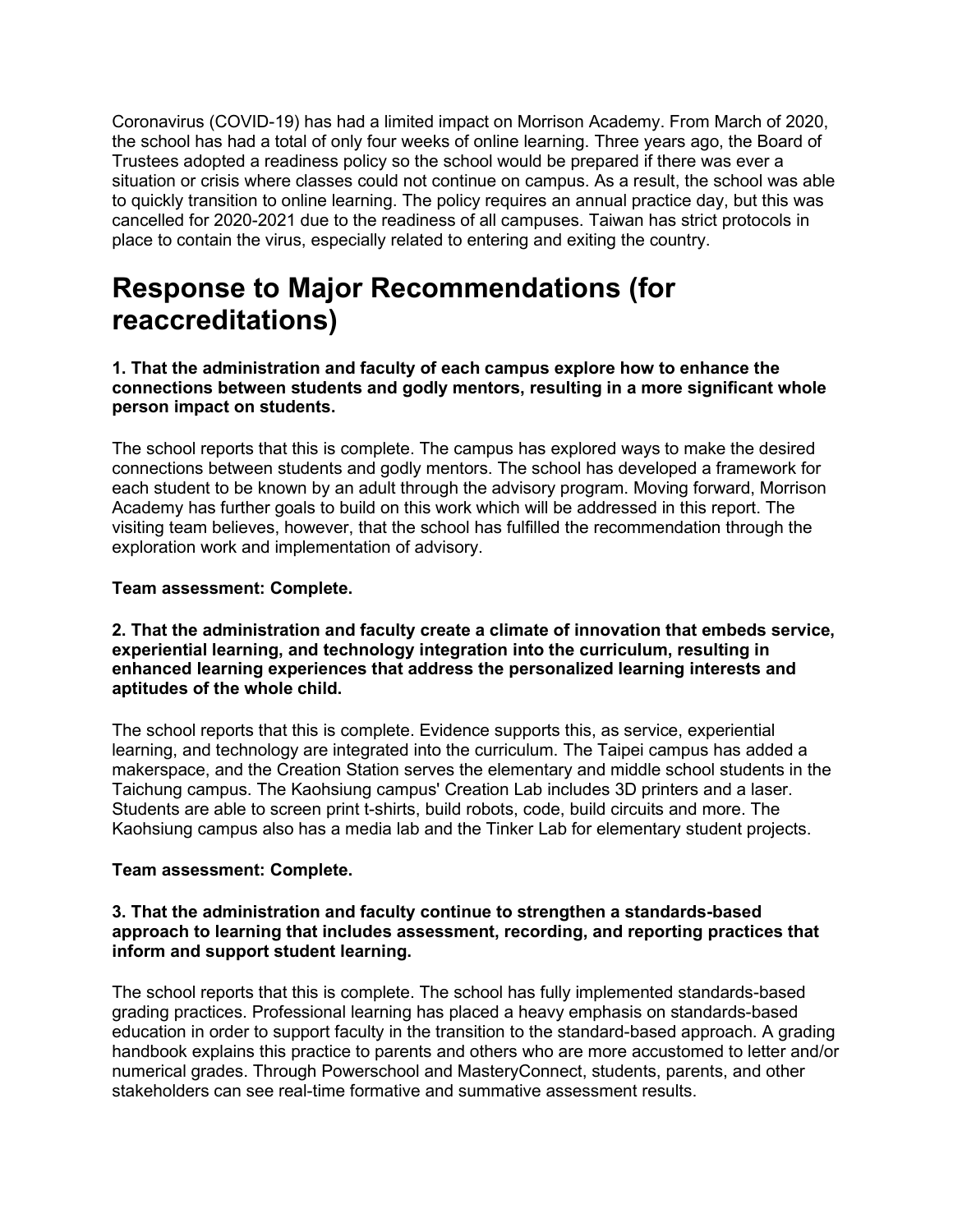Coronavirus (COVID-19) has had a limited impact on Morrison Academy. From March of 2020, the school has had a total of only four weeks of online learning. Three years ago, the Board of Trustees adopted a readiness policy so the school would be prepared if there was ever a situation or crisis where classes could not continue on campus. As a result, the school was able to quickly transition to online learning. The policy requires an annual practice day, but this was cancelled for 2020-2021 due to the readiness of all campuses. Taiwan has strict protocols in place to contain the virus, especially related to entering and exiting the country.

### **Response to Major Recommendations (for reaccreditations)**

**1. That the administration and faculty of each campus explore how to enhance the connections between students and godly mentors, resulting in a more significant whole person impact on students.**

The school reports that this is complete. The campus has explored ways to make the desired connections between students and godly mentors. The school has developed a framework for each student to be known by an adult through the advisory program. Moving forward, Morrison Academy has further goals to build on this work which will be addressed in this report. The visiting team believes, however, that the school has fulfilled the recommendation through the exploration work and implementation of advisory.

#### **Team assessment: Complete.**

#### **2. That the administration and faculty create a climate of innovation that embeds service, experiential learning, and technology integration into the curriculum, resulting in enhanced learning experiences that address the personalized learning interests and aptitudes of the whole child.**

The school reports that this is complete. Evidence supports this, as service, experiential learning, and technology are integrated into the curriculum. The Taipei campus has added a makerspace, and the Creation Station serves the elementary and middle school students in the Taichung campus. The Kaohsiung campus' Creation Lab includes 3D printers and a laser. Students are able to screen print t-shirts, build robots, code, build circuits and more. The Kaohsiung campus also has a media lab and the Tinker Lab for elementary student projects.

#### **Team assessment: Complete.**

#### **3. That the administration and faculty continue to strengthen a standards-based approach to learning that includes assessment, recording, and reporting practices that inform and support student learning.**

The school reports that this is complete. The school has fully implemented standards-based grading practices. Professional learning has placed a heavy emphasis on standards-based education in order to support faculty in the transition to the standard-based approach. A grading handbook explains this practice to parents and others who are more accustomed to letter and/or numerical grades. Through Powerschool and MasteryConnect, students, parents, and other stakeholders can see real-time formative and summative assessment results.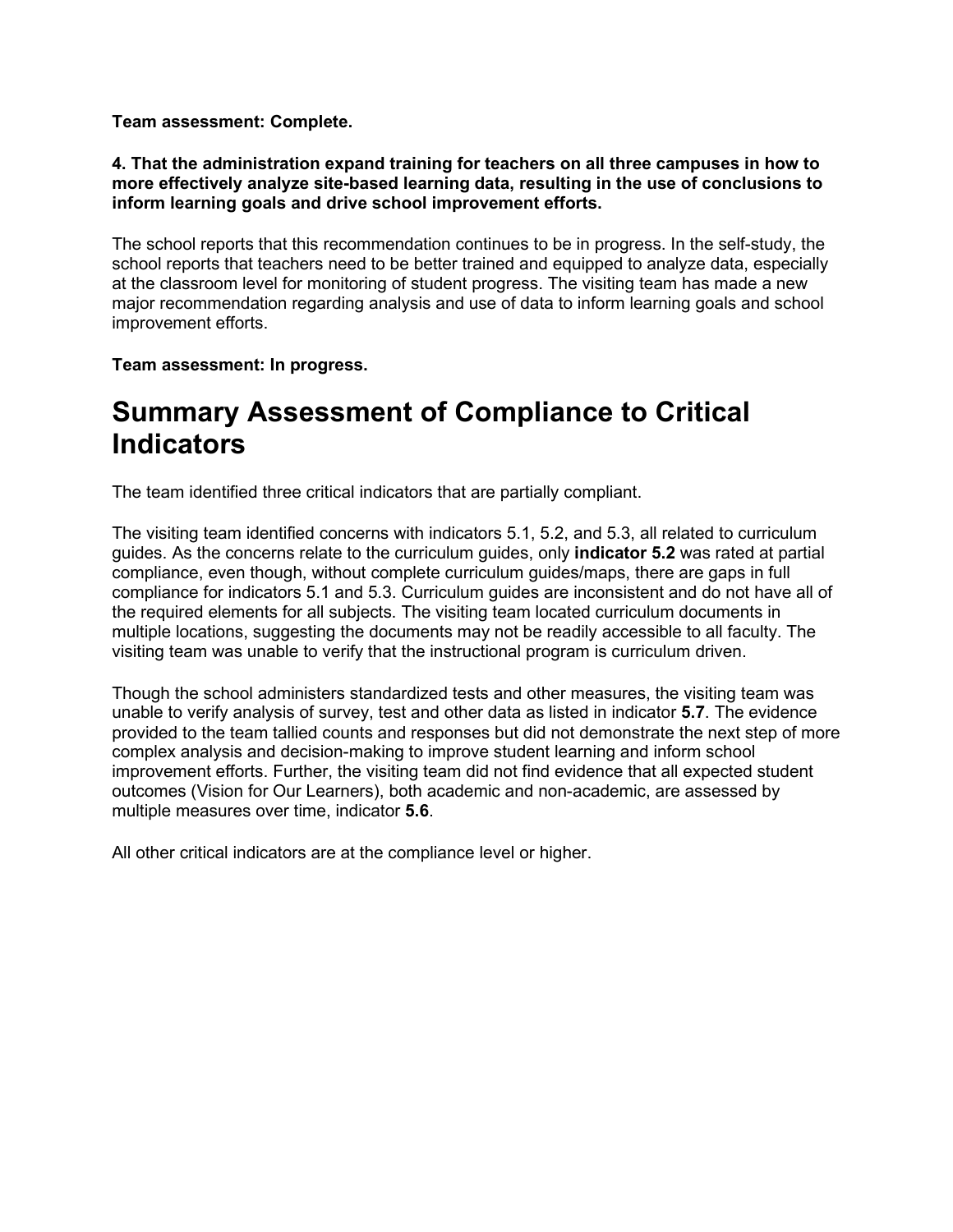**Team assessment: Complete.**

**4. That the administration expand training for teachers on all three campuses in how to more effectively analyze site-based learning data, resulting in the use of conclusions to inform learning goals and drive school improvement efforts.**

The school reports that this recommendation continues to be in progress. In the self-study, the school reports that teachers need to be better trained and equipped to analyze data, especially at the classroom level for monitoring of student progress. The visiting team has made a new major recommendation regarding analysis and use of data to inform learning goals and school improvement efforts.

**Team assessment: In progress.**

#### **Summary Assessment of Compliance to Critical Indicators**

The team identified three critical indicators that are partially compliant.

The visiting team identified concerns with indicators 5.1, 5.2, and 5.3, all related to curriculum guides. As the concerns relate to the curriculum guides, only **indicator 5.2** was rated at partial compliance, even though, without complete curriculum guides/maps, there are gaps in full compliance for indicators 5.1 and 5.3. Curriculum guides are inconsistent and do not have all of the required elements for all subjects. The visiting team located curriculum documents in multiple locations, suggesting the documents may not be readily accessible to all faculty. The visiting team was unable to verify that the instructional program is curriculum driven.

Though the school administers standardized tests and other measures, the visiting team was unable to verify analysis of survey, test and other data as listed in indicator **5.7**. The evidence provided to the team tallied counts and responses but did not demonstrate the next step of more complex analysis and decision-making to improve student learning and inform school improvement efforts. Further, the visiting team did not find evidence that all expected student outcomes (Vision for Our Learners), both academic and non-academic, are assessed by multiple measures over time, indicator **5.6**.

All other critical indicators are at the compliance level or higher.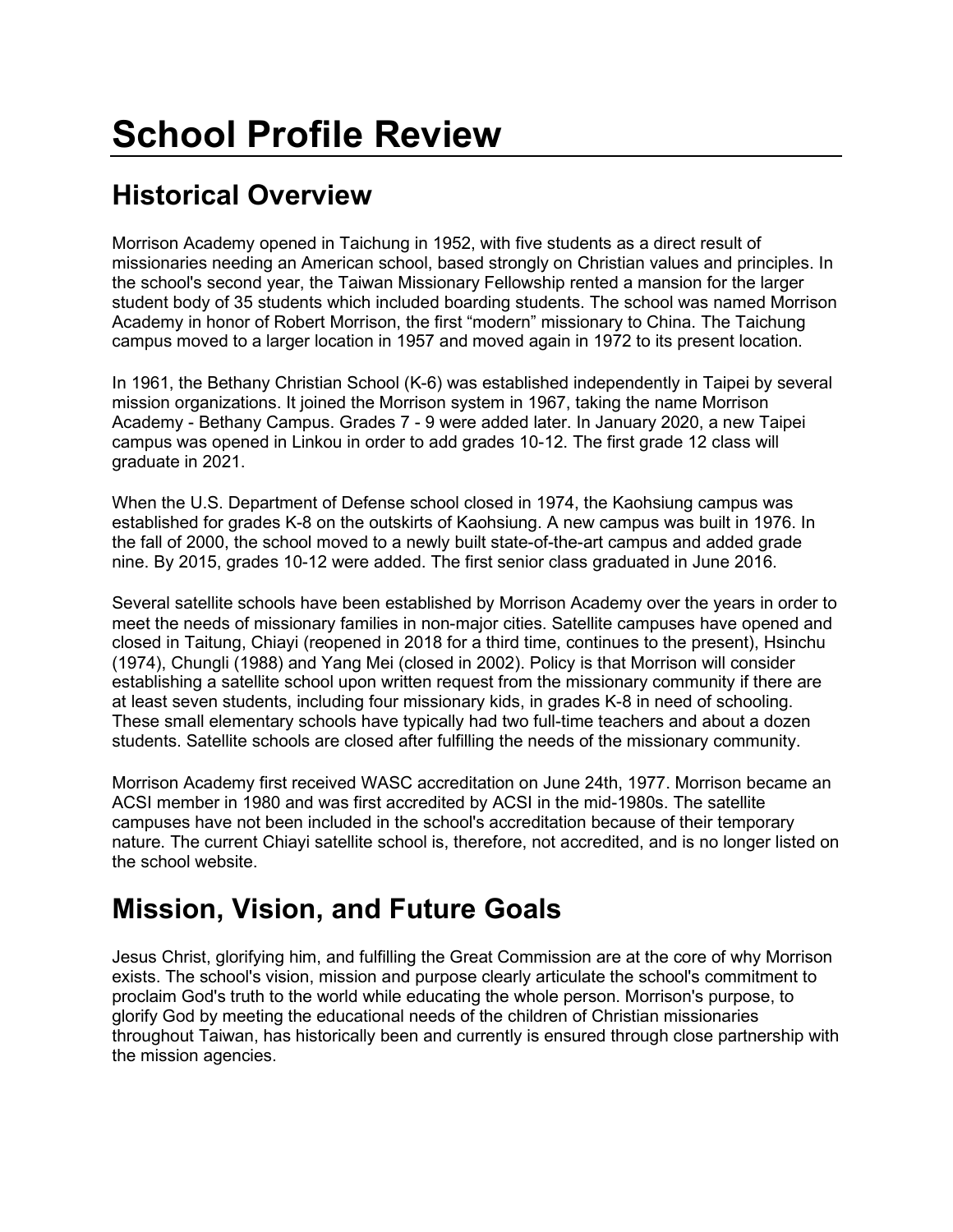# **Historical Overview**

Morrison Academy opened in Taichung in 1952, with five students as a direct result of missionaries needing an American school, based strongly on Christian values and principles. In the school's second year, the Taiwan Missionary Fellowship rented a mansion for the larger student body of 35 students which included boarding students. The school was named Morrison Academy in honor of Robert Morrison, the first "modern" missionary to China. The Taichung campus moved to a larger location in 1957 and moved again in 1972 to its present location.

In 1961, the Bethany Christian School (K-6) was established independently in Taipei by several mission organizations. It joined the Morrison system in 1967, taking the name Morrison Academy - Bethany Campus. Grades 7 - 9 were added later. In January 2020, a new Taipei campus was opened in Linkou in order to add grades 10-12. The first grade 12 class will graduate in 2021.

When the U.S. Department of Defense school closed in 1974, the Kaohsiung campus was established for grades K-8 on the outskirts of Kaohsiung. A new campus was built in 1976. In the fall of 2000, the school moved to a newly built state-of-the-art campus and added grade nine. By 2015, grades 10-12 were added. The first senior class graduated in June 2016.

Several satellite schools have been established by Morrison Academy over the years in order to meet the needs of missionary families in non-major cities. Satellite campuses have opened and closed in Taitung, Chiayi (reopened in 2018 for a third time, continues to the present), Hsinchu (1974), Chungli (1988) and Yang Mei (closed in 2002). Policy is that Morrison will consider establishing a satellite school upon written request from the missionary community if there are at least seven students, including four missionary kids, in grades K-8 in need of schooling. These small elementary schools have typically had two full-time teachers and about a dozen students. Satellite schools are closed after fulfilling the needs of the missionary community.

Morrison Academy first received WASC accreditation on June 24th, 1977. Morrison became an ACSI member in 1980 and was first accredited by ACSI in the mid-1980s. The satellite campuses have not been included in the school's accreditation because of their temporary nature. The current Chiayi satellite school is, therefore, not accredited, and is no longer listed on the school website.

### **Mission, Vision, and Future Goals**

Jesus Christ, glorifying him, and fulfilling the Great Commission are at the core of why Morrison exists. The school's vision, mission and purpose clearly articulate the school's commitment to proclaim God's truth to the world while educating the whole person. Morrison's purpose, to glorify God by meeting the educational needs of the children of Christian missionaries throughout Taiwan, has historically been and currently is ensured through close partnership with the mission agencies.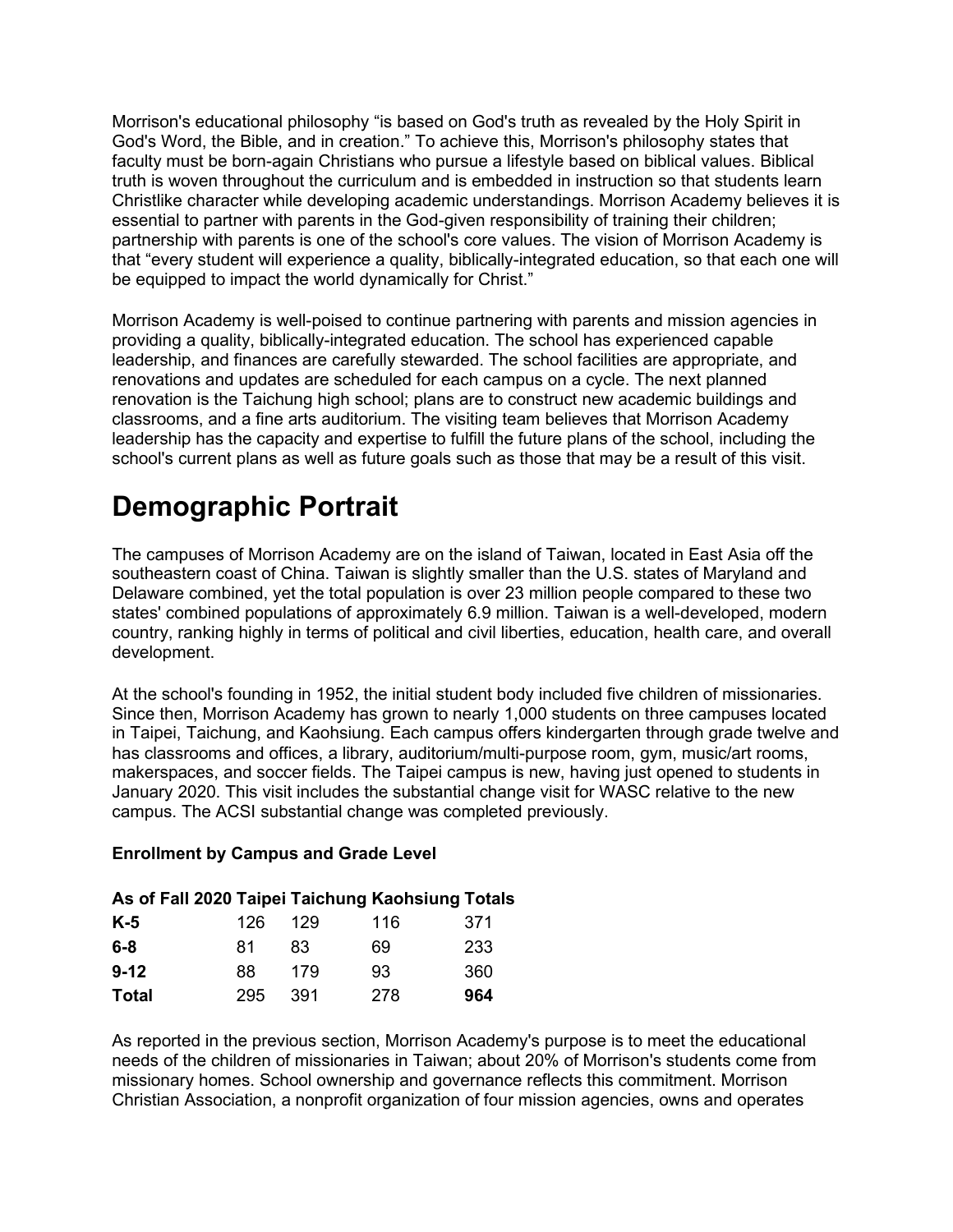Morrison's educational philosophy "is based on God's truth as revealed by the Holy Spirit in God's Word, the Bible, and in creation." To achieve this, Morrison's philosophy states that faculty must be born-again Christians who pursue a lifestyle based on biblical values. Biblical truth is woven throughout the curriculum and is embedded in instruction so that students learn Christlike character while developing academic understandings. Morrison Academy believes it is essential to partner with parents in the God-given responsibility of training their children; partnership with parents is one of the school's core values. The vision of Morrison Academy is that "every student will experience a quality, biblically-integrated education, so that each one will be equipped to impact the world dynamically for Christ."

Morrison Academy is well-poised to continue partnering with parents and mission agencies in providing a quality, biblically-integrated education. The school has experienced capable leadership, and finances are carefully stewarded. The school facilities are appropriate, and renovations and updates are scheduled for each campus on a cycle. The next planned renovation is the Taichung high school; plans are to construct new academic buildings and classrooms, and a fine arts auditorium. The visiting team believes that Morrison Academy leadership has the capacity and expertise to fulfill the future plans of the school, including the school's current plans as well as future goals such as those that may be a result of this visit.

## **Demographic Portrait**

The campuses of Morrison Academy are on the island of Taiwan, located in East Asia off the southeastern coast of China. Taiwan is slightly smaller than the U.S. states of Maryland and Delaware combined, yet the total population is over 23 million people compared to these two states' combined populations of approximately 6.9 million. Taiwan is a well-developed, modern country, ranking highly in terms of political and civil liberties, education, health care, and overall development.

At the school's founding in 1952, the initial student body included five children of missionaries. Since then, Morrison Academy has grown to nearly 1,000 students on three campuses located in Taipei, Taichung, and Kaohsiung. Each campus offers kindergarten through grade twelve and has classrooms and offices, a library, auditorium/multi-purpose room, gym, music/art rooms, makerspaces, and soccer fields. The Taipei campus is new, having just opened to students in January 2020. This visit includes the substantial change visit for WASC relative to the new campus. The ACSI substantial change was completed previously.

#### **Enrollment by Campus and Grade Level**

#### **As of Fall 2020 Taipei Taichung Kaohsiung Totals**

| K-5      | 126 | 129 | 116 | 371 |
|----------|-----|-----|-----|-----|
| 6-8      | 81  | 83  | 69  | 233 |
| $9 - 12$ | 88  | 179 | 93  | 360 |
| Total    | 295 | 391 | 278 | 964 |

As reported in the previous section, Morrison Academy's purpose is to meet the educational needs of the children of missionaries in Taiwan; about 20% of Morrison's students come from missionary homes. School ownership and governance reflects this commitment. Morrison Christian Association, a nonprofit organization of four mission agencies, owns and operates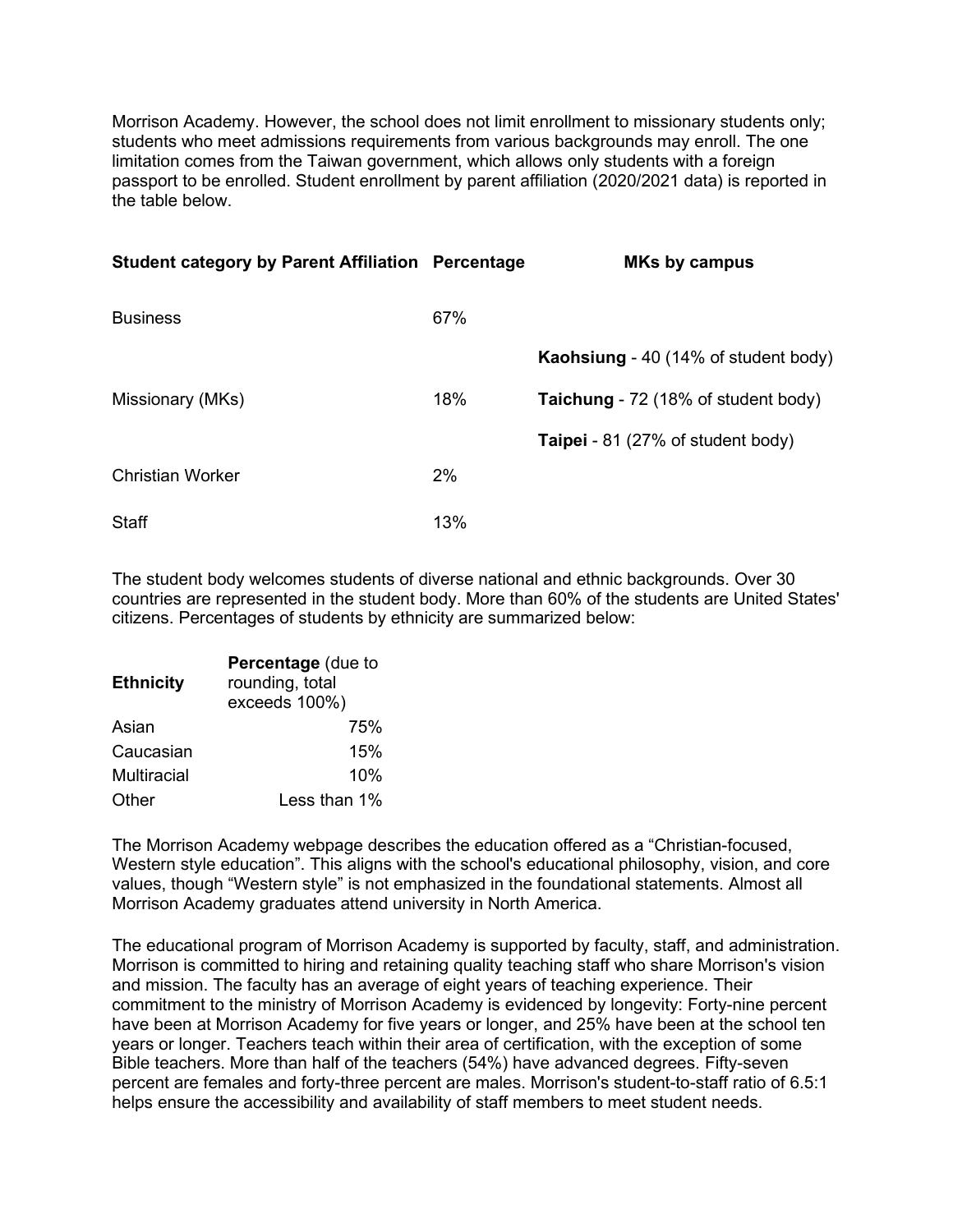Morrison Academy. However, the school does not limit enrollment to missionary students only; students who meet admissions requirements from various backgrounds may enroll. The one limitation comes from the Taiwan government, which allows only students with a foreign passport to be enrolled. Student enrollment by parent affiliation (2020/2021 data) is reported in the table below.

| <b>Student category by Parent Affiliation Percentage</b> |     | <b>MKs by campus</b>                     |
|----------------------------------------------------------|-----|------------------------------------------|
| <b>Business</b>                                          | 67% |                                          |
|                                                          |     | Kaohsiung - 40 (14% of student body)     |
| Missionary (MKs)                                         | 18% | Taichung - 72 (18% of student body)      |
|                                                          |     | <b>Taipei</b> - 81 (27% of student body) |
| <b>Christian Worker</b>                                  | 2%  |                                          |
| <b>Staff</b>                                             | 13% |                                          |

The student body welcomes students of diverse national and ethnic backgrounds. Over 30 countries are represented in the student body. More than 60% of the students are United States' citizens. Percentages of students by ethnicity are summarized below:

| <b>Ethnicity</b>   | Percentage (due to<br>rounding, total<br>exceeds 100%) |  |  |  |
|--------------------|--------------------------------------------------------|--|--|--|
| Asian              | 75%                                                    |  |  |  |
| Caucasian          | 15%                                                    |  |  |  |
| <b>Multiracial</b> | 10%                                                    |  |  |  |
| Other              | Less than 1%                                           |  |  |  |

The Morrison Academy webpage describes the education offered as a "Christian-focused, Western style education". This aligns with the school's educational philosophy, vision, and core values, though "Western style" is not emphasized in the foundational statements. Almost all Morrison Academy graduates attend university in North America.

The educational program of Morrison Academy is supported by faculty, staff, and administration. Morrison is committed to hiring and retaining quality teaching staff who share Morrison's vision and mission. The faculty has an average of eight years of teaching experience. Their commitment to the ministry of Morrison Academy is evidenced by longevity: Forty-nine percent have been at Morrison Academy for five years or longer, and 25% have been at the school ten years or longer. Teachers teach within their area of certification, with the exception of some Bible teachers. More than half of the teachers (54%) have advanced degrees. Fifty-seven percent are females and forty-three percent are males. Morrison's student-to-staff ratio of 6.5:1 helps ensure the accessibility and availability of staff members to meet student needs.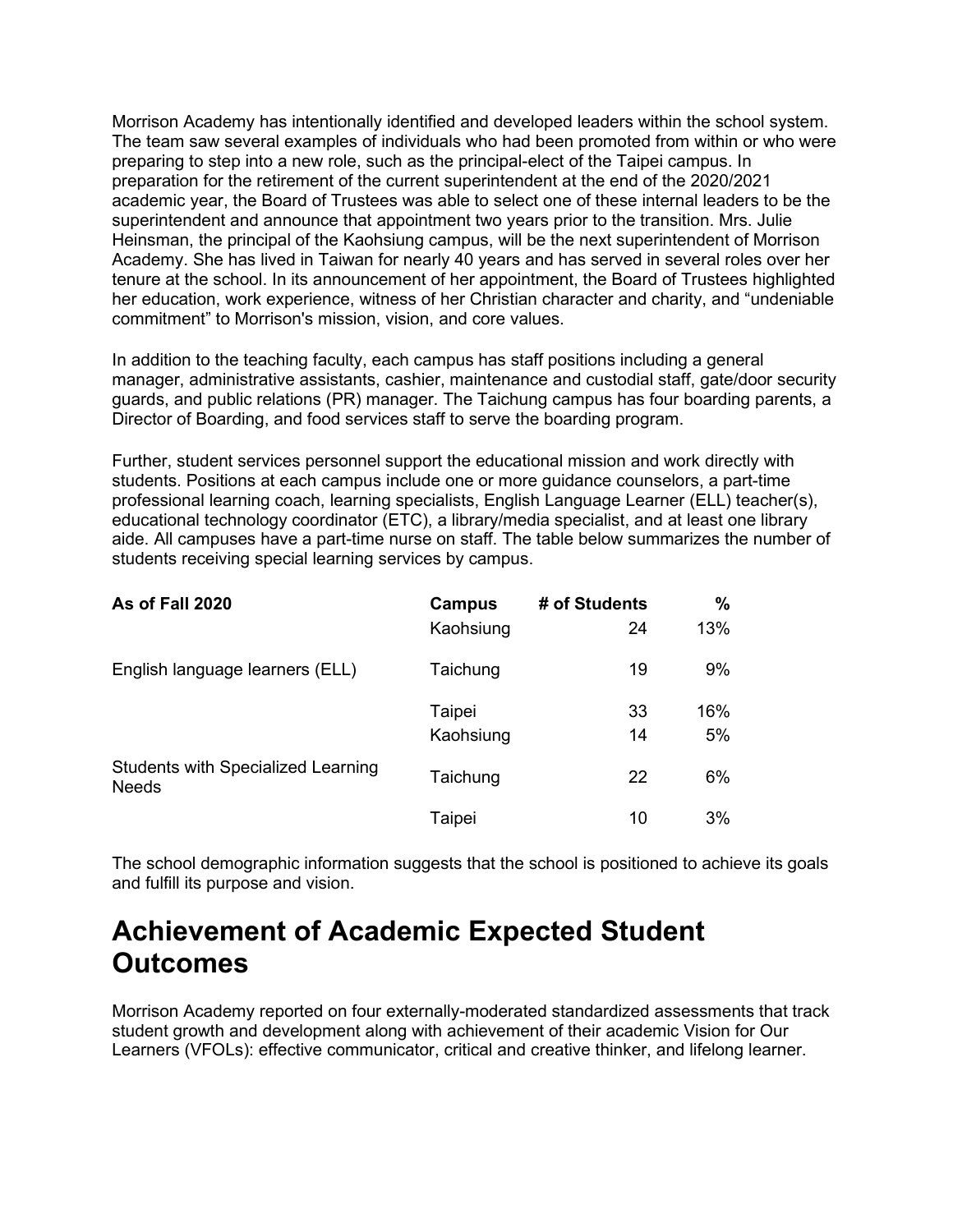Morrison Academy has intentionally identified and developed leaders within the school system. The team saw several examples of individuals who had been promoted from within or who were preparing to step into a new role, such as the principal-elect of the Taipei campus. In preparation for the retirement of the current superintendent at the end of the 2020/2021 academic year, the Board of Trustees was able to select one of these internal leaders to be the superintendent and announce that appointment two years prior to the transition. Mrs. Julie Heinsman, the principal of the Kaohsiung campus, will be the next superintendent of Morrison Academy. She has lived in Taiwan for nearly 40 years and has served in several roles over her tenure at the school. In its announcement of her appointment, the Board of Trustees highlighted her education, work experience, witness of her Christian character and charity, and "undeniable commitment" to Morrison's mission, vision, and core values.

In addition to the teaching faculty, each campus has staff positions including a general manager, administrative assistants, cashier, maintenance and custodial staff, gate/door security guards, and public relations (PR) manager. The Taichung campus has four boarding parents, a Director of Boarding, and food services staff to serve the boarding program.

Further, student services personnel support the educational mission and work directly with students. Positions at each campus include one or more guidance counselors, a part-time professional learning coach, learning specialists, English Language Learner (ELL) teacher(s), educational technology coordinator (ETC), a library/media specialist, and at least one library aide. All campuses have a part-time nurse on staff. The table below summarizes the number of students receiving special learning services by campus.

| As of Fall 2020                                           | Campus<br>Kaohsiung | # of Students<br>24 | $\%$<br>13% |
|-----------------------------------------------------------|---------------------|---------------------|-------------|
| English language learners (ELL)                           | Taichung            | 19                  | 9%          |
|                                                           | Taipei<br>Kaohsiung | 33<br>14            | 16%<br>5%   |
| <b>Students with Specialized Learning</b><br><b>Needs</b> | Taichung            | 22                  | 6%          |
|                                                           | Taipei              | 10                  | 3%          |

The school demographic information suggests that the school is positioned to achieve its goals and fulfill its purpose and vision.

#### **Achievement of Academic Expected Student Outcomes**

Morrison Academy reported on four externally-moderated standardized assessments that track student growth and development along with achievement of their academic Vision for Our Learners (VFOLs): effective communicator, critical and creative thinker, and lifelong learner.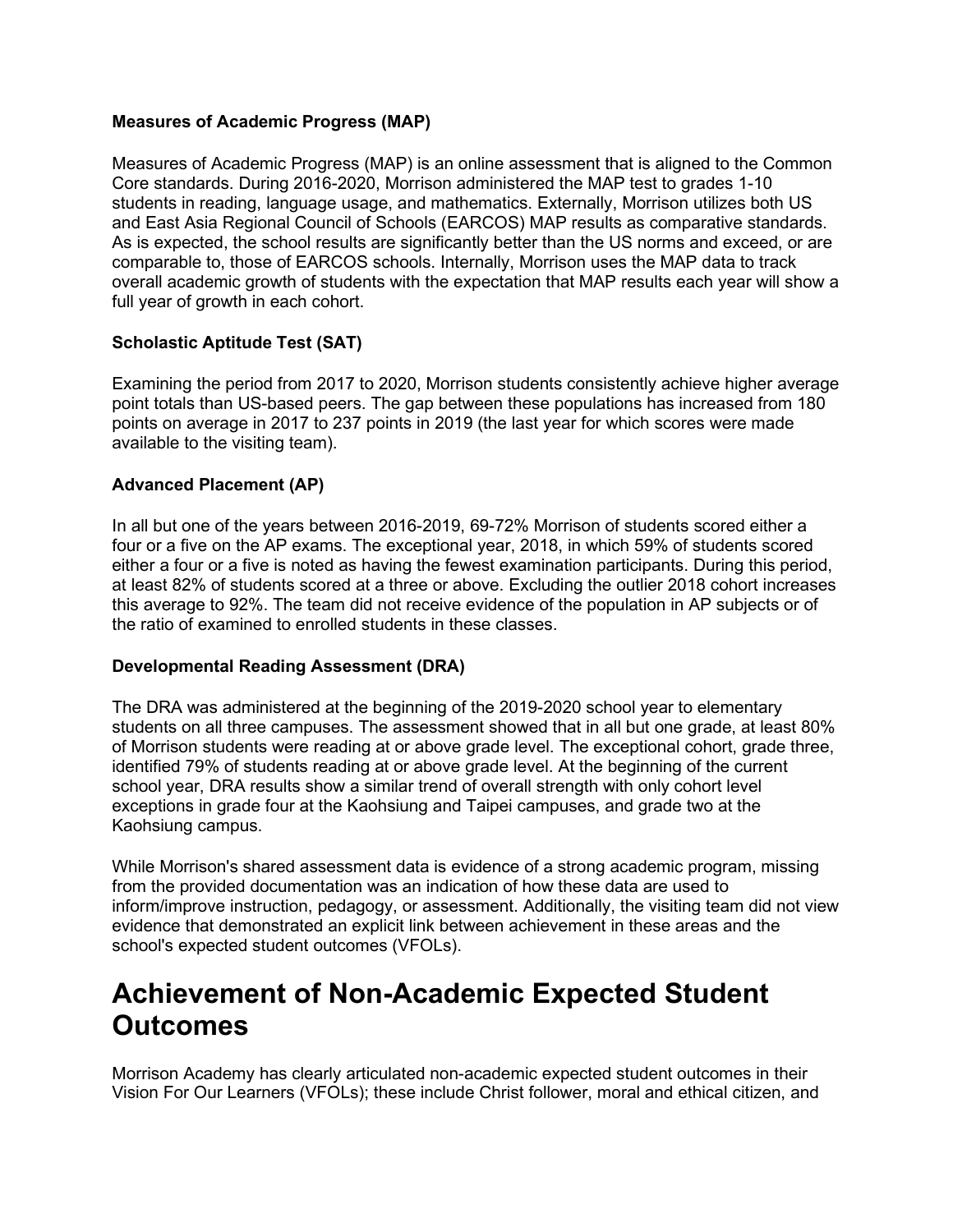#### **Measures of Academic Progress (MAP)**

Measures of Academic Progress (MAP) is an online assessment that is aligned to the Common Core standards. During 2016-2020, Morrison administered the MAP test to grades 1-10 students in reading, language usage, and mathematics. Externally, Morrison utilizes both US and East Asia Regional Council of Schools (EARCOS) MAP results as comparative standards. As is expected, the school results are significantly better than the US norms and exceed, or are comparable to, those of EARCOS schools. Internally, Morrison uses the MAP data to track overall academic growth of students with the expectation that MAP results each year will show a full year of growth in each cohort.

#### **Scholastic Aptitude Test (SAT)**

Examining the period from 2017 to 2020, Morrison students consistently achieve higher average point totals than US-based peers. The gap between these populations has increased from 180 points on average in 2017 to 237 points in 2019 (the last year for which scores were made available to the visiting team).

#### **Advanced Placement (AP)**

In all but one of the years between 2016-2019, 69-72% Morrison of students scored either a four or a five on the AP exams. The exceptional year, 2018, in which 59% of students scored either a four or a five is noted as having the fewest examination participants. During this period, at least 82% of students scored at a three or above. Excluding the outlier 2018 cohort increases this average to 92%. The team did not receive evidence of the population in AP subjects or of the ratio of examined to enrolled students in these classes.

#### **Developmental Reading Assessment (DRA)**

The DRA was administered at the beginning of the 2019-2020 school year to elementary students on all three campuses. The assessment showed that in all but one grade, at least 80% of Morrison students were reading at or above grade level. The exceptional cohort, grade three, identified 79% of students reading at or above grade level. At the beginning of the current school year, DRA results show a similar trend of overall strength with only cohort level exceptions in grade four at the Kaohsiung and Taipei campuses, and grade two at the Kaohsiung campus.

While Morrison's shared assessment data is evidence of a strong academic program, missing from the provided documentation was an indication of how these data are used to inform/improve instruction, pedagogy, or assessment. Additionally, the visiting team did not view evidence that demonstrated an explicit link between achievement in these areas and the school's expected student outcomes (VFOLs).

#### **Achievement of Non-Academic Expected Student Outcomes**

Morrison Academy has clearly articulated non-academic expected student outcomes in their Vision For Our Learners (VFOLs); these include Christ follower, moral and ethical citizen, and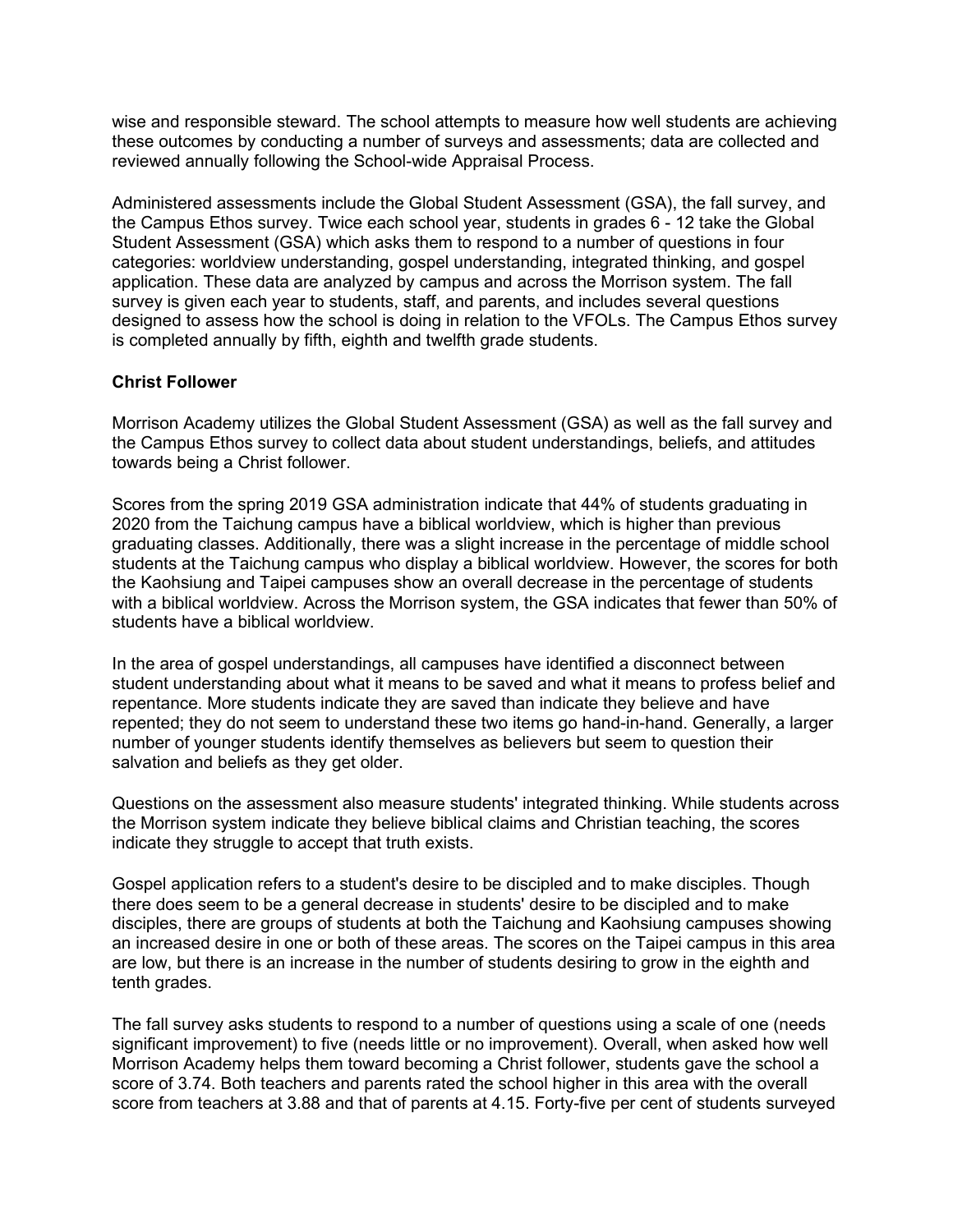wise and responsible steward. The school attempts to measure how well students are achieving these outcomes by conducting a number of surveys and assessments; data are collected and reviewed annually following the School-wide Appraisal Process.

Administered assessments include the Global Student Assessment (GSA), the fall survey, and the Campus Ethos survey. Twice each school year, students in grades 6 - 12 take the Global Student Assessment (GSA) which asks them to respond to a number of questions in four categories: worldview understanding, gospel understanding, integrated thinking, and gospel application. These data are analyzed by campus and across the Morrison system. The fall survey is given each year to students, staff, and parents, and includes several questions designed to assess how the school is doing in relation to the VFOLs. The Campus Ethos survey is completed annually by fifth, eighth and twelfth grade students.

#### **Christ Follower**

Morrison Academy utilizes the Global Student Assessment (GSA) as well as the fall survey and the Campus Ethos survey to collect data about student understandings, beliefs, and attitudes towards being a Christ follower.

Scores from the spring 2019 GSA administration indicate that 44% of students graduating in 2020 from the Taichung campus have a biblical worldview, which is higher than previous graduating classes. Additionally, there was a slight increase in the percentage of middle school students at the Taichung campus who display a biblical worldview. However, the scores for both the Kaohsiung and Taipei campuses show an overall decrease in the percentage of students with a biblical worldview. Across the Morrison system, the GSA indicates that fewer than 50% of students have a biblical worldview.

In the area of gospel understandings, all campuses have identified a disconnect between student understanding about what it means to be saved and what it means to profess belief and repentance. More students indicate they are saved than indicate they believe and have repented; they do not seem to understand these two items go hand-in-hand. Generally, a larger number of younger students identify themselves as believers but seem to question their salvation and beliefs as they get older.

Questions on the assessment also measure students' integrated thinking. While students across the Morrison system indicate they believe biblical claims and Christian teaching, the scores indicate they struggle to accept that truth exists.

Gospel application refers to a student's desire to be discipled and to make disciples. Though there does seem to be a general decrease in students' desire to be discipled and to make disciples, there are groups of students at both the Taichung and Kaohsiung campuses showing an increased desire in one or both of these areas. The scores on the Taipei campus in this area are low, but there is an increase in the number of students desiring to grow in the eighth and tenth grades.

The fall survey asks students to respond to a number of questions using a scale of one (needs significant improvement) to five (needs little or no improvement). Overall, when asked how well Morrison Academy helps them toward becoming a Christ follower, students gave the school a score of 3.74. Both teachers and parents rated the school higher in this area with the overall score from teachers at 3.88 and that of parents at 4.15. Forty-five per cent of students surveyed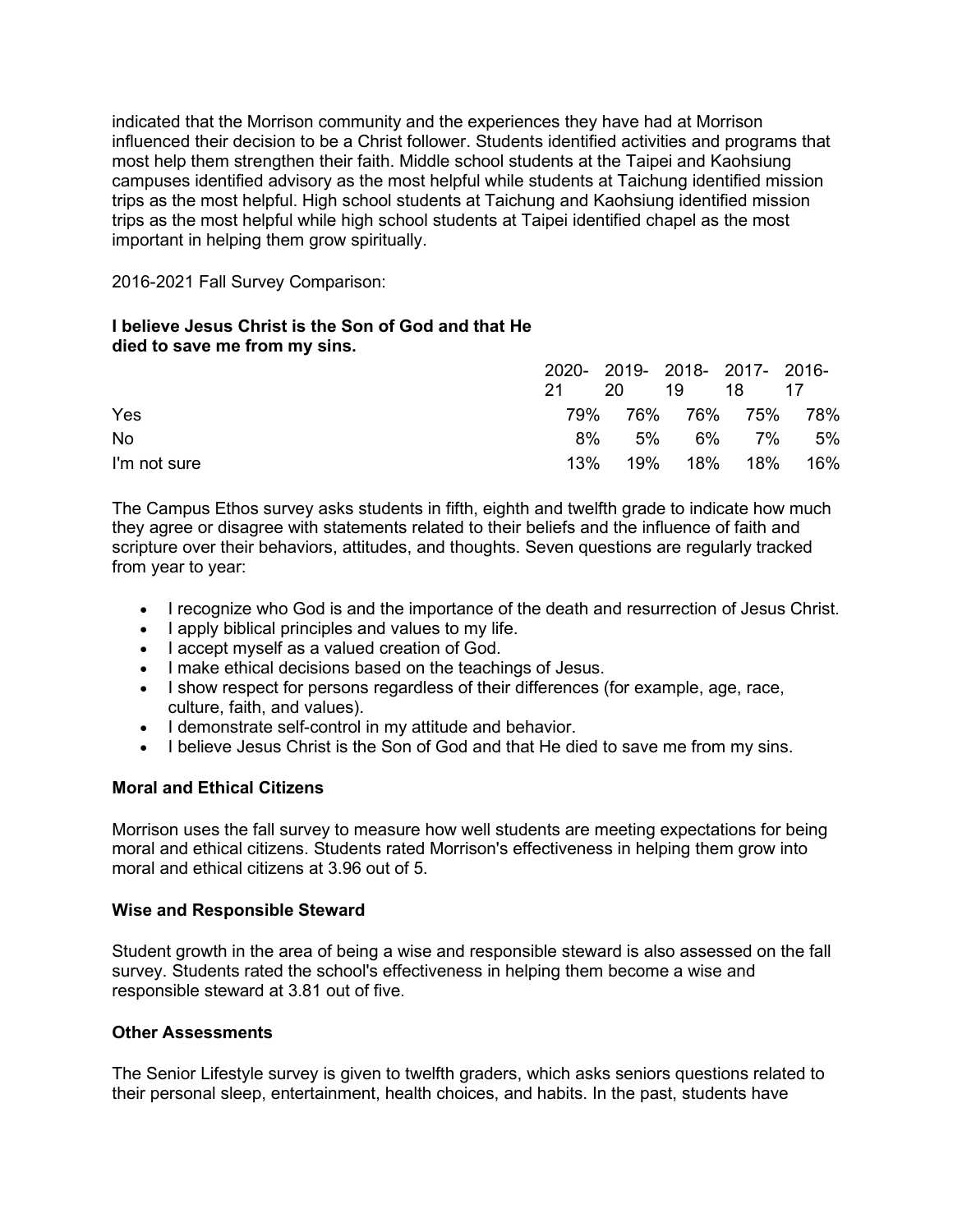indicated that the Morrison community and the experiences they have had at Morrison influenced their decision to be a Christ follower. Students identified activities and programs that most help them strengthen their faith. Middle school students at the Taipei and Kaohsiung campuses identified advisory as the most helpful while students at Taichung identified mission trips as the most helpful. High school students at Taichung and Kaohsiung identified mission trips as the most helpful while high school students at Taipei identified chapel as the most important in helping them grow spiritually.

2016-2021 Fall Survey Comparison:

#### **I believe Jesus Christ is the Son of God and that He died to save me from my sins.**

|              |       | 2020-2019-2018-2017-2016- |    |                     |
|--------------|-------|---------------------------|----|---------------------|
|              | -21 - | 20 19 18 17               |    |                     |
| Yes          |       |                           |    | 79% 76% 76% 75% 78% |
| No           | 8%    |                           | 5% | 6% 7% 5%            |
| I'm not sure | 13%   |                           |    | 19% 18% 18% 16%     |

The Campus Ethos survey asks students in fifth, eighth and twelfth grade to indicate how much they agree or disagree with statements related to their beliefs and the influence of faith and scripture over their behaviors, attitudes, and thoughts. Seven questions are regularly tracked from year to year:

- I recognize who God is and the importance of the death and resurrection of Jesus Christ.
- I apply biblical principles and values to my life.
- I accept myself as a valued creation of God.
- I make ethical decisions based on the teachings of Jesus.
- I show respect for persons regardless of their differences (for example, age, race, culture, faith, and values).
- I demonstrate self-control in my attitude and behavior.
- I believe Jesus Christ is the Son of God and that He died to save me from my sins.

#### **Moral and Ethical Citizens**

Morrison uses the fall survey to measure how well students are meeting expectations for being moral and ethical citizens. Students rated Morrison's effectiveness in helping them grow into moral and ethical citizens at 3.96 out of 5.

#### **Wise and Responsible Steward**

Student growth in the area of being a wise and responsible steward is also assessed on the fall survey. Students rated the school's effectiveness in helping them become a wise and responsible steward at 3.81 out of five.

#### **Other Assessments**

The Senior Lifestyle survey is given to twelfth graders, which asks seniors questions related to their personal sleep, entertainment, health choices, and habits. In the past, students have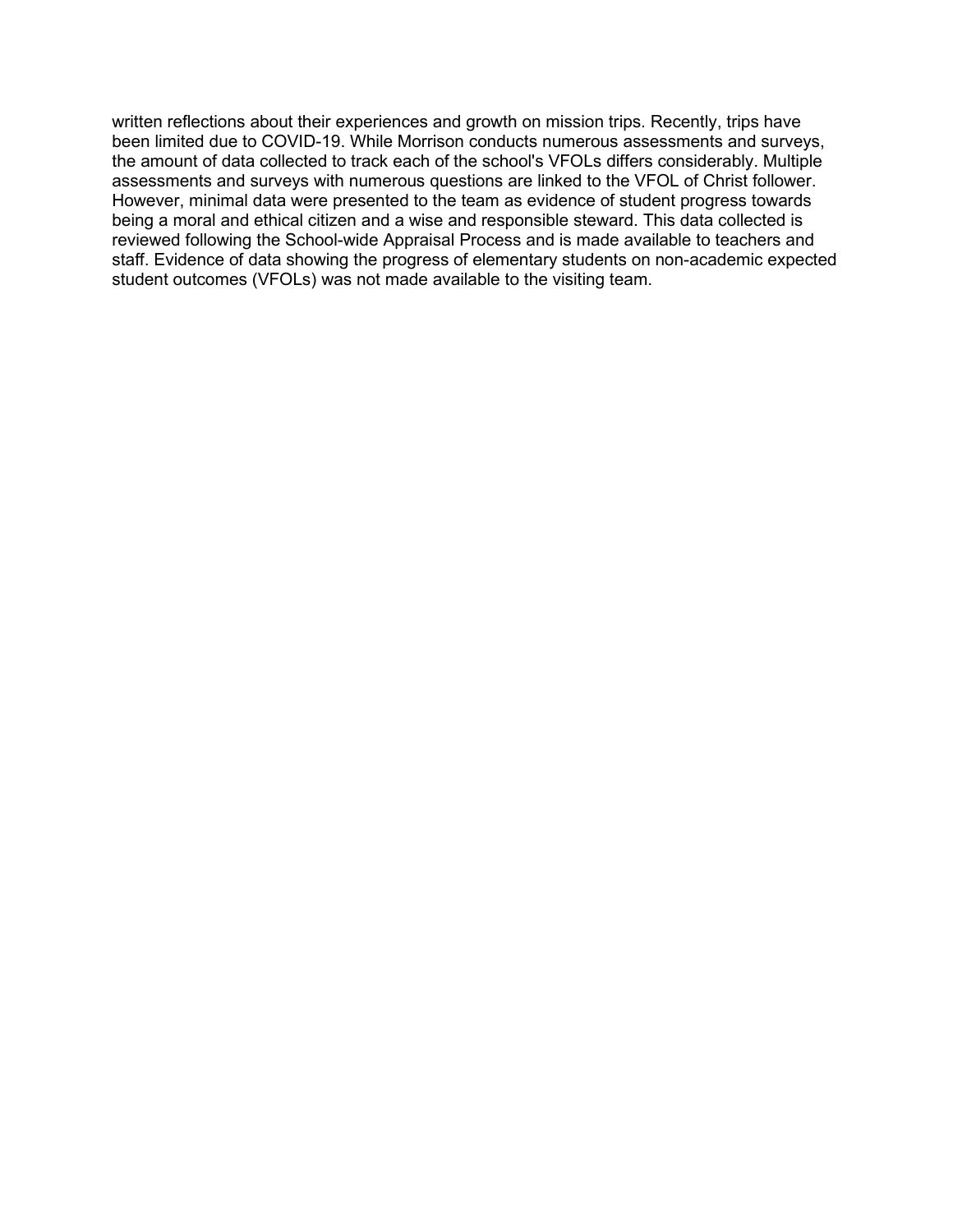written reflections about their experiences and growth on mission trips. Recently, trips have been limited due to COVID-19. While Morrison conducts numerous assessments and surveys, the amount of data collected to track each of the school's VFOLs differs considerably. Multiple assessments and surveys with numerous questions are linked to the VFOL of Christ follower. However, minimal data were presented to the team as evidence of student progress towards being a moral and ethical citizen and a wise and responsible steward. This data collected is reviewed following the School-wide Appraisal Process and is made available to teachers and staff. Evidence of data showing the progress of elementary students on non-academic expected student outcomes (VFOLs) was not made available to the visiting team.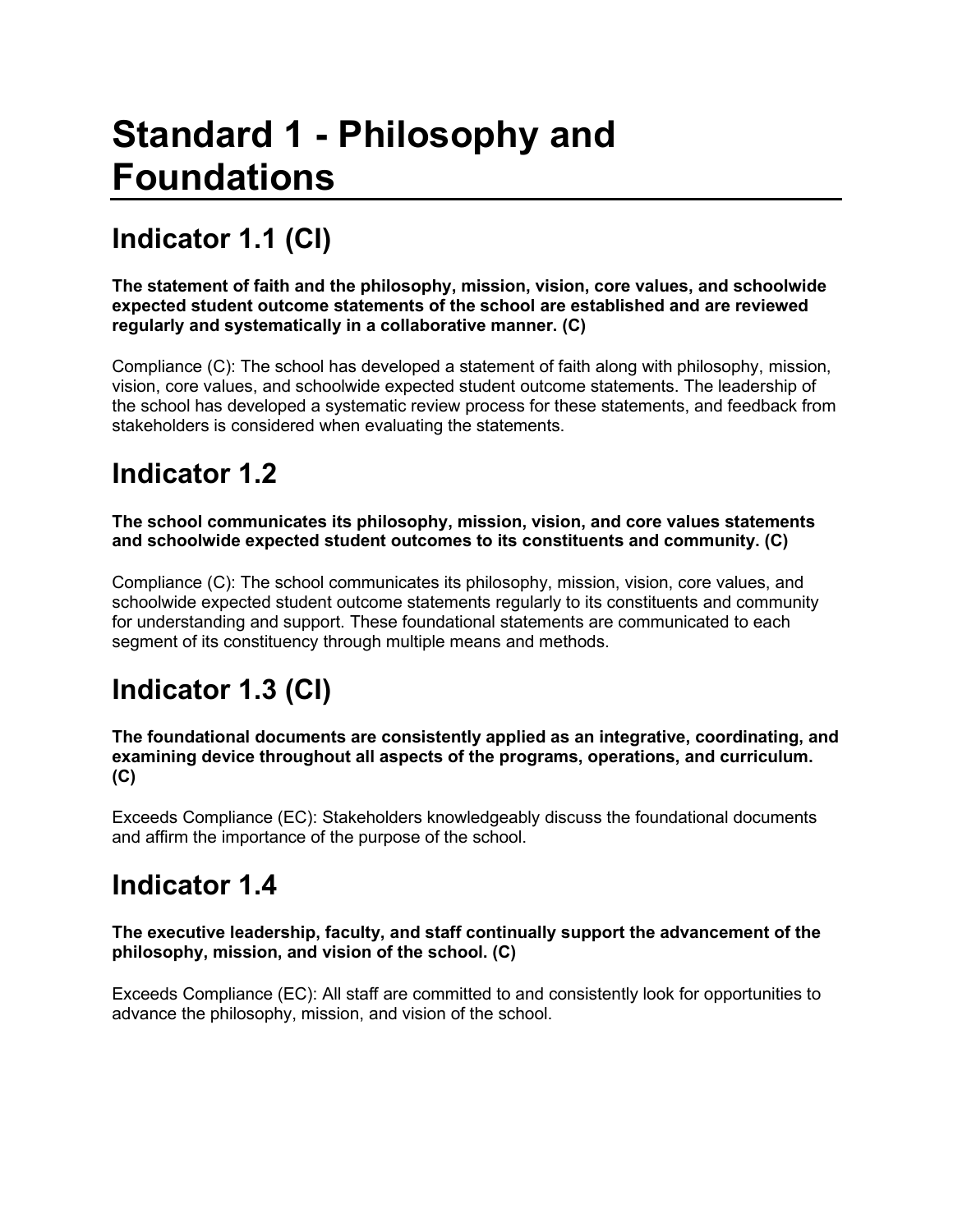# **Standard 1 - Philosophy and Foundations**

# **Indicator 1.1 (CI)**

**The statement of faith and the philosophy, mission, vision, core values, and schoolwide expected student outcome statements of the school are established and are reviewed regularly and systematically in a collaborative manner. (C)**

Compliance (C): The school has developed a statement of faith along with philosophy, mission, vision, core values, and schoolwide expected student outcome statements. The leadership of the school has developed a systematic review process for these statements, and feedback from stakeholders is considered when evaluating the statements.

### **Indicator 1.2**

**The school communicates its philosophy, mission, vision, and core values statements and schoolwide expected student outcomes to its constituents and community. (C)**

Compliance (C): The school communicates its philosophy, mission, vision, core values, and schoolwide expected student outcome statements regularly to its constituents and community for understanding and support. These foundational statements are communicated to each segment of its constituency through multiple means and methods.

## **Indicator 1.3 (CI)**

**The foundational documents are consistently applied as an integrative, coordinating, and examining device throughout all aspects of the programs, operations, and curriculum. (C)**

Exceeds Compliance (EC): Stakeholders knowledgeably discuss the foundational documents and affirm the importance of the purpose of the school.

### **Indicator 1.4**

**The executive leadership, faculty, and staff continually support the advancement of the philosophy, mission, and vision of the school. (C)**

Exceeds Compliance (EC): All staff are committed to and consistently look for opportunities to advance the philosophy, mission, and vision of the school.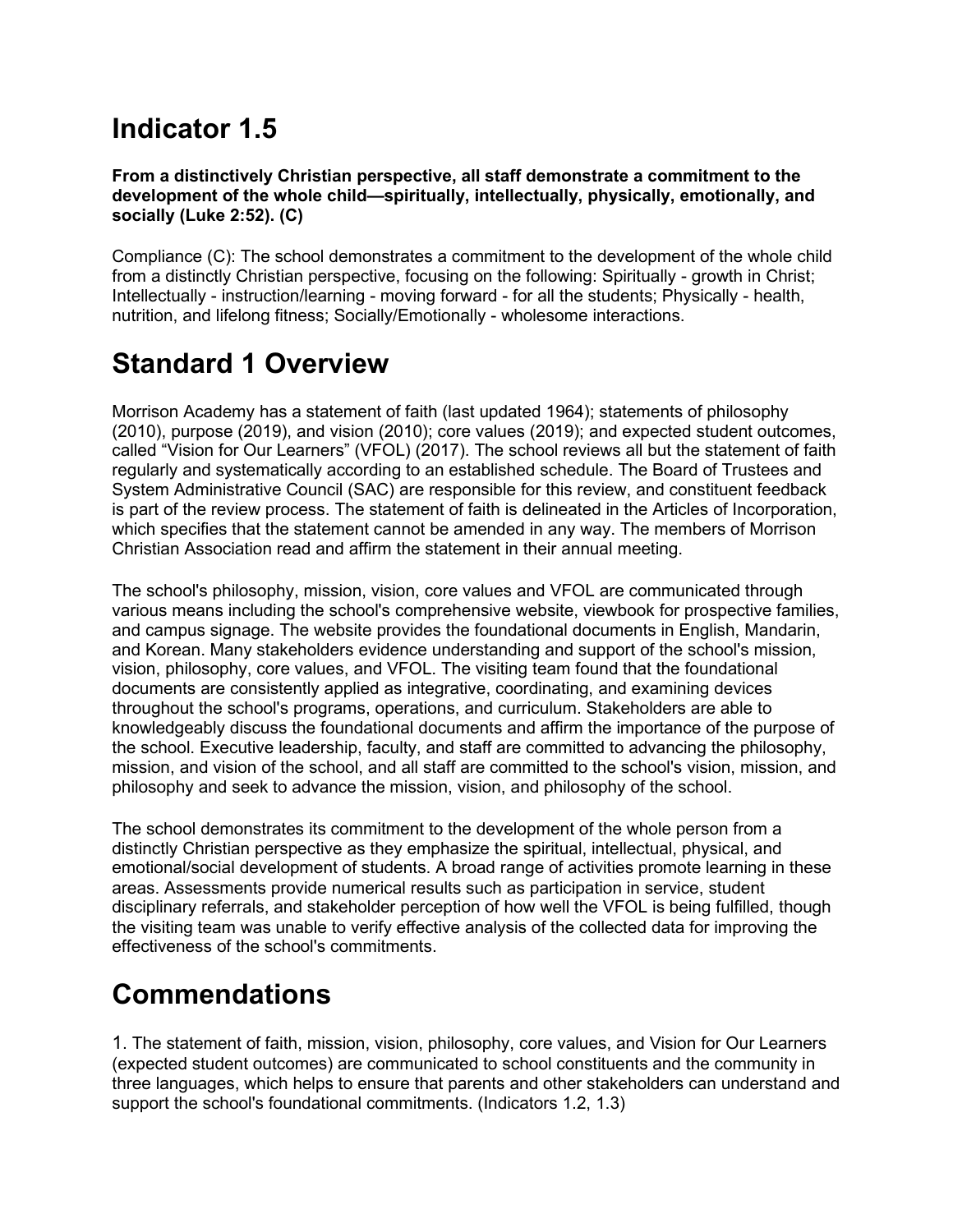### **Indicator 1.5**

#### **From a distinctively Christian perspective, all staff demonstrate a commitment to the development of the whole child—spiritually, intellectually, physically, emotionally, and socially (Luke 2:52). (C)**

Compliance (C): The school demonstrates a commitment to the development of the whole child from a distinctly Christian perspective, focusing on the following: Spiritually - growth in Christ; Intellectually - instruction/learning - moving forward - for all the students; Physically - health, nutrition, and lifelong fitness; Socially/Emotionally - wholesome interactions.

# **Standard 1 Overview**

Morrison Academy has a statement of faith (last updated 1964); statements of philosophy (2010), purpose (2019), and vision (2010); core values (2019); and expected student outcomes, called "Vision for Our Learners" (VFOL) (2017). The school reviews all but the statement of faith regularly and systematically according to an established schedule. The Board of Trustees and System Administrative Council (SAC) are responsible for this review, and constituent feedback is part of the review process. The statement of faith is delineated in the Articles of Incorporation, which specifies that the statement cannot be amended in any way. The members of Morrison Christian Association read and affirm the statement in their annual meeting.

The school's philosophy, mission, vision, core values and VFOL are communicated through various means including the school's comprehensive website, viewbook for prospective families, and campus signage. The website provides the foundational documents in English, Mandarin, and Korean. Many stakeholders evidence understanding and support of the school's mission, vision, philosophy, core values, and VFOL. The visiting team found that the foundational documents are consistently applied as integrative, coordinating, and examining devices throughout the school's programs, operations, and curriculum. Stakeholders are able to knowledgeably discuss the foundational documents and affirm the importance of the purpose of the school. Executive leadership, faculty, and staff are committed to advancing the philosophy, mission, and vision of the school, and all staff are committed to the school's vision, mission, and philosophy and seek to advance the mission, vision, and philosophy of the school.

The school demonstrates its commitment to the development of the whole person from a distinctly Christian perspective as they emphasize the spiritual, intellectual, physical, and emotional/social development of students. A broad range of activities promote learning in these areas. Assessments provide numerical results such as participation in service, student disciplinary referrals, and stakeholder perception of how well the VFOL is being fulfilled, though the visiting team was unable to verify effective analysis of the collected data for improving the effectiveness of the school's commitments.

## **Commendations**

1. The statement of faith, mission, vision, philosophy, core values, and Vision for Our Learners (expected student outcomes) are communicated to school constituents and the community in three languages, which helps to ensure that parents and other stakeholders can understand and support the school's foundational commitments. (Indicators 1.2, 1.3)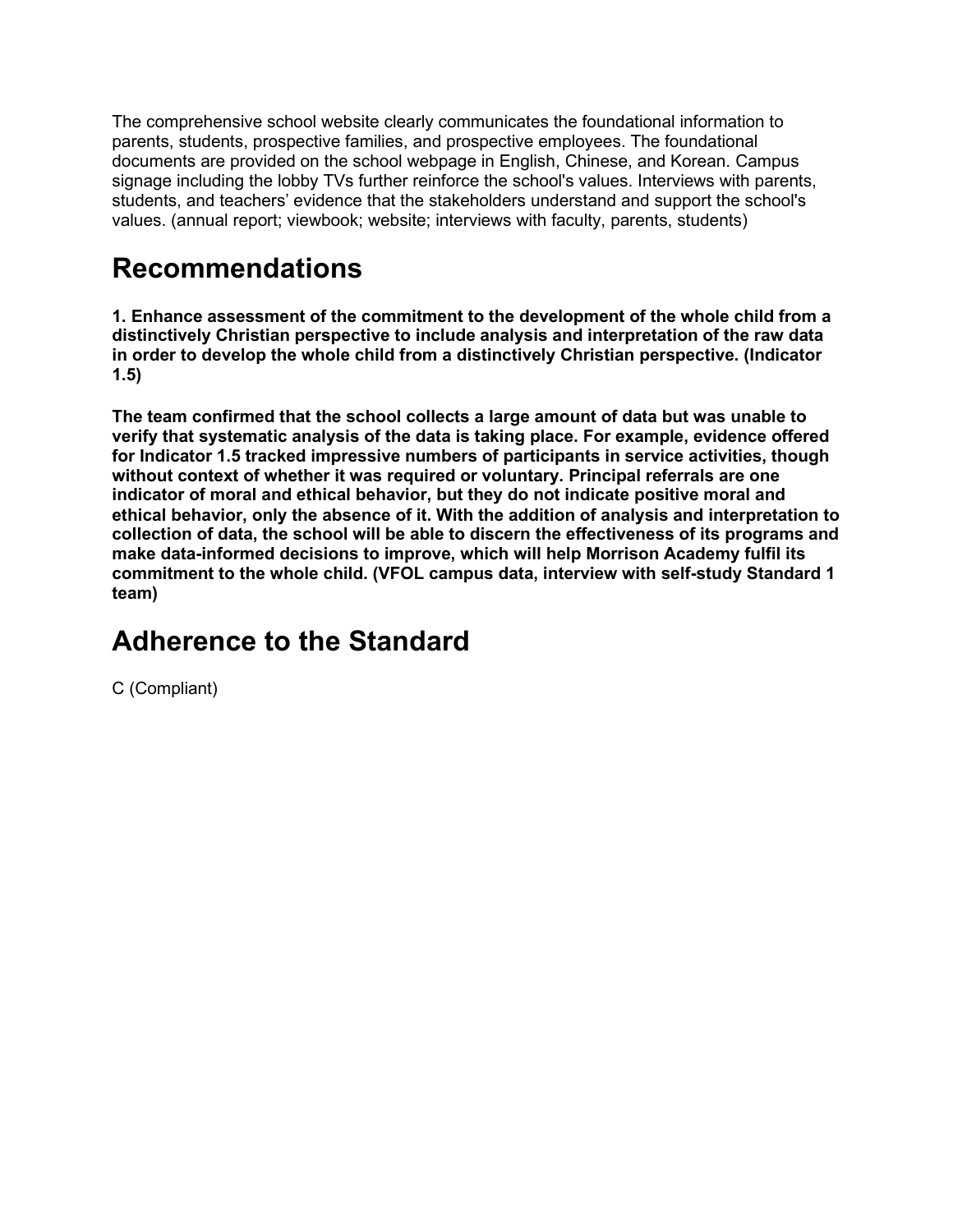The comprehensive school website clearly communicates the foundational information to parents, students, prospective families, and prospective employees. The foundational documents are provided on the school webpage in English, Chinese, and Korean. Campus signage including the lobby TVs further reinforce the school's values. Interviews with parents, students, and teachers' evidence that the stakeholders understand and support the school's values. (annual report; viewbook; website; interviews with faculty, parents, students)

### **Recommendations**

**1. Enhance assessment of the commitment to the development of the whole child from a distinctively Christian perspective to include analysis and interpretation of the raw data in order to develop the whole child from a distinctively Christian perspective. (Indicator 1.5)**

**The team confirmed that the school collects a large amount of data but was unable to verify that systematic analysis of the data is taking place. For example, evidence offered for Indicator 1.5 tracked impressive numbers of participants in service activities, though without context of whether it was required or voluntary. Principal referrals are one indicator of moral and ethical behavior, but they do not indicate positive moral and ethical behavior, only the absence of it. With the addition of analysis and interpretation to collection of data, the school will be able to discern the effectiveness of its programs and make data-informed decisions to improve, which will help Morrison Academy fulfil its commitment to the whole child. (VFOL campus data, interview with self-study Standard 1 team)**

### **Adherence to the Standard**

C (Compliant)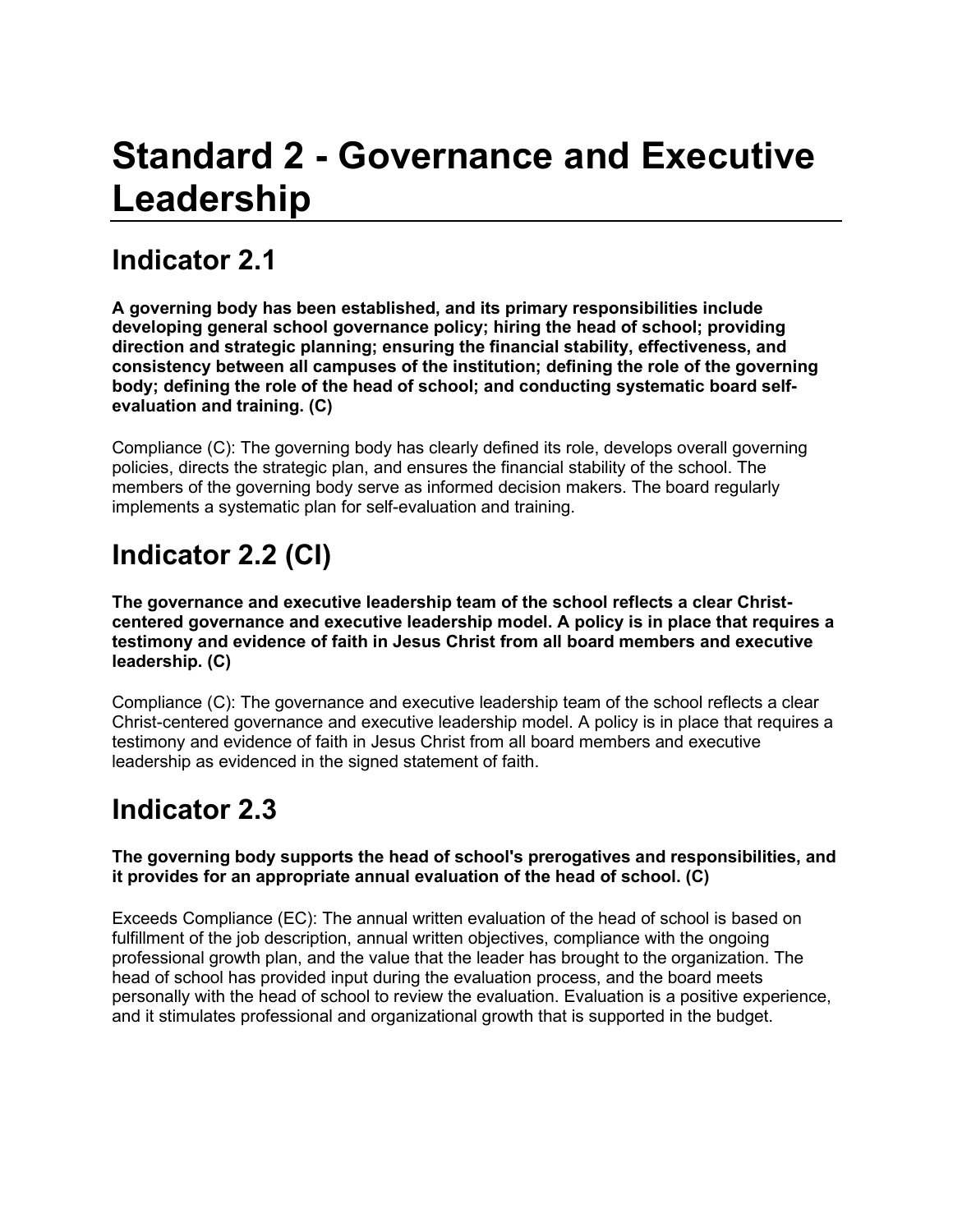# **Standard 2 - Governance and Executive Leadership**

### **Indicator 2.1**

**A governing body has been established, and its primary responsibilities include developing general school governance policy; hiring the head of school; providing direction and strategic planning; ensuring the financial stability, effectiveness, and consistency between all campuses of the institution; defining the role of the governing body; defining the role of the head of school; and conducting systematic board selfevaluation and training. (C)**

Compliance (C): The governing body has clearly defined its role, develops overall governing policies, directs the strategic plan, and ensures the financial stability of the school. The members of the governing body serve as informed decision makers. The board regularly implements a systematic plan for self-evaluation and training.

# **Indicator 2.2 (CI)**

**The governance and executive leadership team of the school reflects a clear Christcentered governance and executive leadership model. A policy is in place that requires a testimony and evidence of faith in Jesus Christ from all board members and executive leadership. (C)**

Compliance (C): The governance and executive leadership team of the school reflects a clear Christ-centered governance and executive leadership model. A policy is in place that requires a testimony and evidence of faith in Jesus Christ from all board members and executive leadership as evidenced in the signed statement of faith.

### **Indicator 2.3**

#### **The governing body supports the head of school's prerogatives and responsibilities, and it provides for an appropriate annual evaluation of the head of school. (C)**

Exceeds Compliance (EC): The annual written evaluation of the head of school is based on fulfillment of the job description, annual written objectives, compliance with the ongoing professional growth plan, and the value that the leader has brought to the organization. The head of school has provided input during the evaluation process, and the board meets personally with the head of school to review the evaluation. Evaluation is a positive experience, and it stimulates professional and organizational growth that is supported in the budget.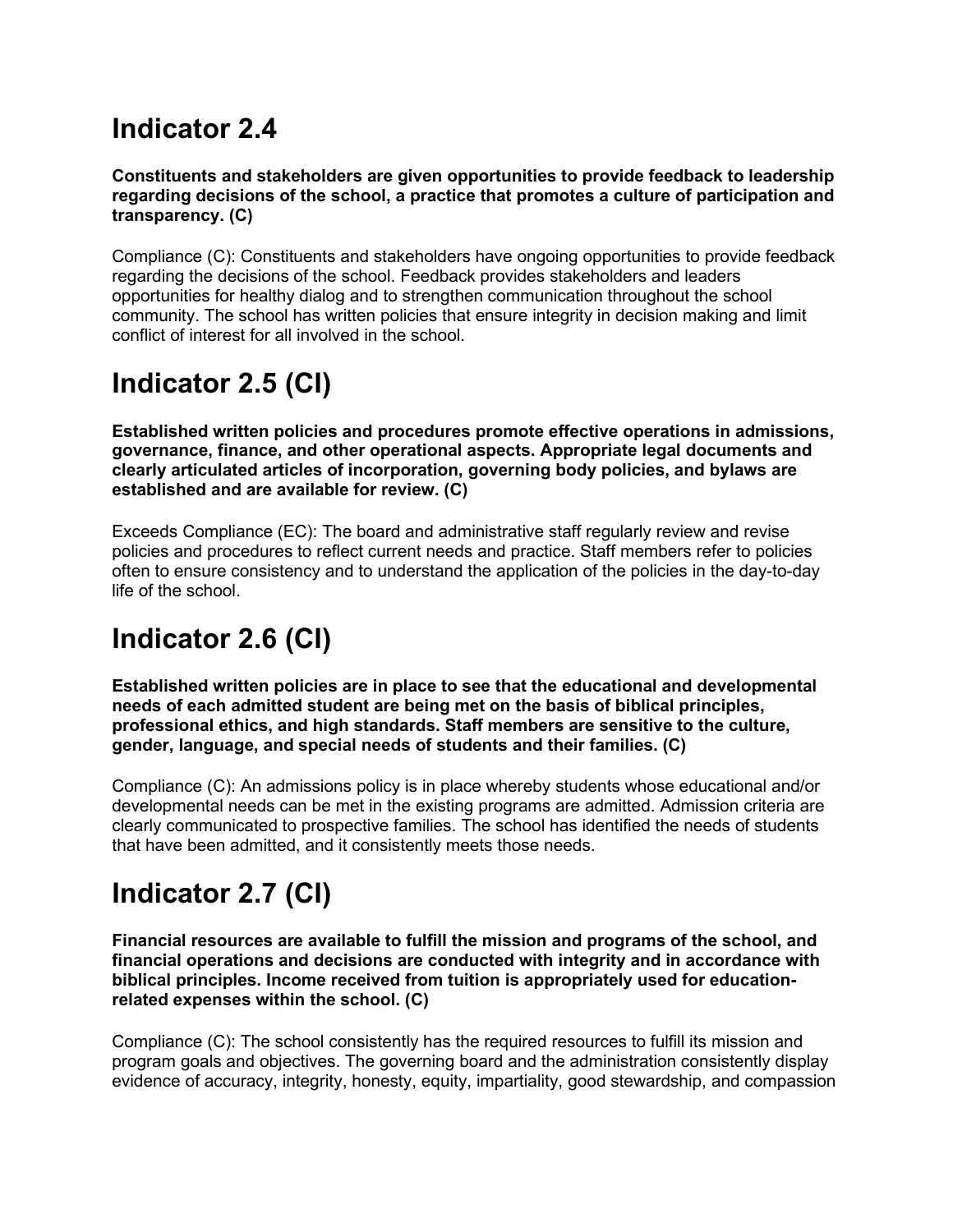### **Indicator 2.4**

#### **Constituents and stakeholders are given opportunities to provide feedback to leadership regarding decisions of the school, a practice that promotes a culture of participation and transparency. (C)**

Compliance (C): Constituents and stakeholders have ongoing opportunities to provide feedback regarding the decisions of the school. Feedback provides stakeholders and leaders opportunities for healthy dialog and to strengthen communication throughout the school community. The school has written policies that ensure integrity in decision making and limit conflict of interest for all involved in the school.

## **Indicator 2.5 (CI)**

**Established written policies and procedures promote effective operations in admissions, governance, finance, and other operational aspects. Appropriate legal documents and clearly articulated articles of incorporation, governing body policies, and bylaws are established and are available for review. (C)**

Exceeds Compliance (EC): The board and administrative staff regularly review and revise policies and procedures to reflect current needs and practice. Staff members refer to policies often to ensure consistency and to understand the application of the policies in the day-to-day life of the school.

## **Indicator 2.6 (CI)**

**Established written policies are in place to see that the educational and developmental needs of each admitted student are being met on the basis of biblical principles, professional ethics, and high standards. Staff members are sensitive to the culture, gender, language, and special needs of students and their families. (C)**

Compliance (C): An admissions policy is in place whereby students whose educational and/or developmental needs can be met in the existing programs are admitted. Admission criteria are clearly communicated to prospective families. The school has identified the needs of students that have been admitted, and it consistently meets those needs.

## **Indicator 2.7 (CI)**

**Financial resources are available to fulfill the mission and programs of the school, and financial operations and decisions are conducted with integrity and in accordance with biblical principles. Income received from tuition is appropriately used for educationrelated expenses within the school. (C)**

Compliance (C): The school consistently has the required resources to fulfill its mission and program goals and objectives. The governing board and the administration consistently display evidence of accuracy, integrity, honesty, equity, impartiality, good stewardship, and compassion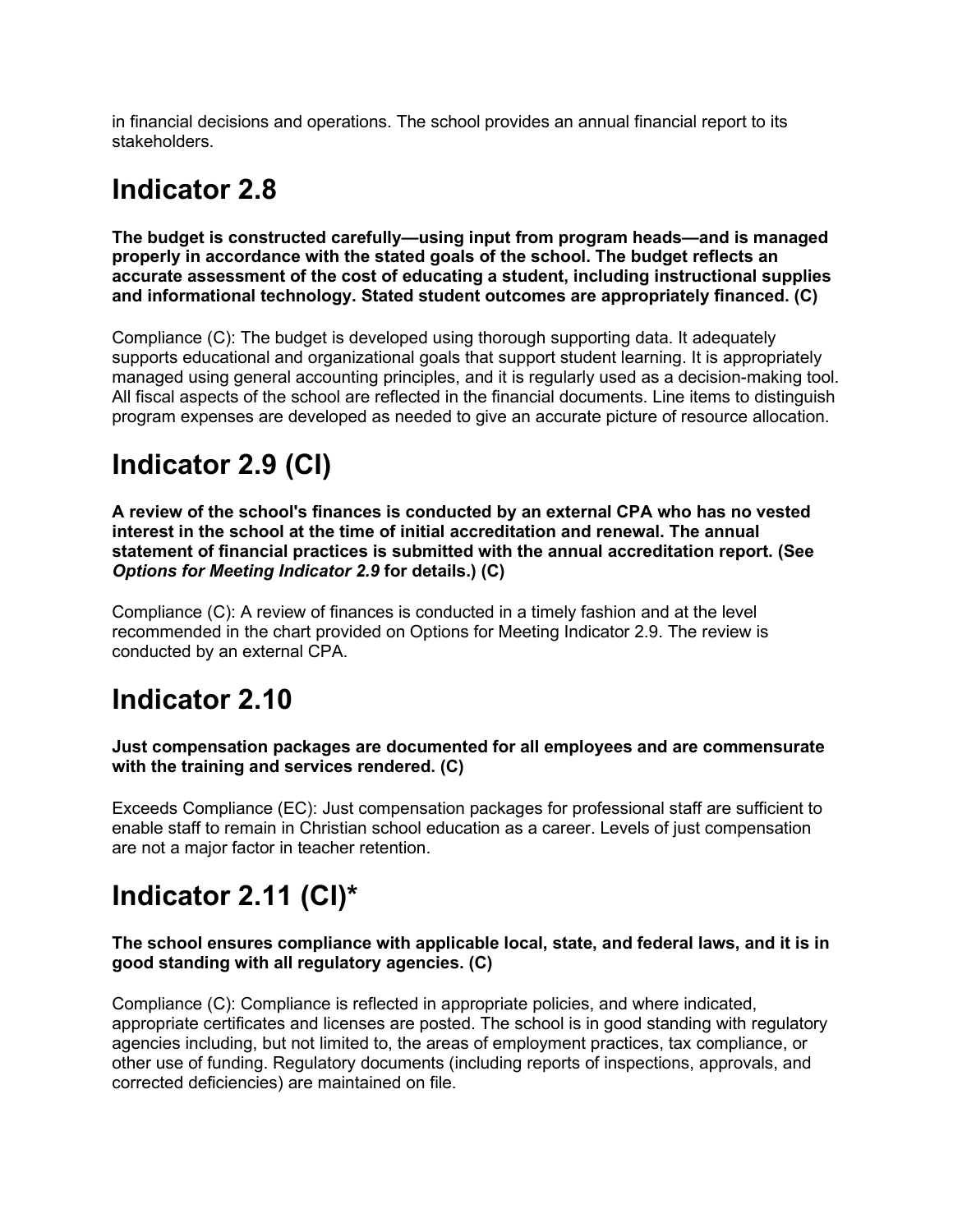in financial decisions and operations. The school provides an annual financial report to its stakeholders.

### **Indicator 2.8**

**The budget is constructed carefully—using input from program heads—and is managed properly in accordance with the stated goals of the school. The budget reflects an accurate assessment of the cost of educating a student, including instructional supplies and informational technology. Stated student outcomes are appropriately financed. (C)**

Compliance (C): The budget is developed using thorough supporting data. It adequately supports educational and organizational goals that support student learning. It is appropriately managed using general accounting principles, and it is regularly used as a decision-making tool. All fiscal aspects of the school are reflected in the financial documents. Line items to distinguish program expenses are developed as needed to give an accurate picture of resource allocation.

## **Indicator 2.9 (CI)**

**A review of the school's finances is conducted by an external CPA who has no vested interest in the school at the time of initial accreditation and renewal. The annual statement of financial practices is submitted with the annual accreditation report. (See**  *Options for Meeting Indicator 2.9* **for details.) (C)**

Compliance (C): A review of finances is conducted in a timely fashion and at the level recommended in the chart provided on Options for Meeting Indicator 2.9. The review is conducted by an external CPA.

### **Indicator 2.10**

**Just compensation packages are documented for all employees and are commensurate with the training and services rendered. (C)**

Exceeds Compliance (EC): Just compensation packages for professional staff are sufficient to enable staff to remain in Christian school education as a career. Levels of just compensation are not a major factor in teacher retention.

### **Indicator 2.11 (CI)\***

#### **The school ensures compliance with applicable local, state, and federal laws, and it is in good standing with all regulatory agencies. (C)**

Compliance (C): Compliance is reflected in appropriate policies, and where indicated, appropriate certificates and licenses are posted. The school is in good standing with regulatory agencies including, but not limited to, the areas of employment practices, tax compliance, or other use of funding. Regulatory documents (including reports of inspections, approvals, and corrected deficiencies) are maintained on file.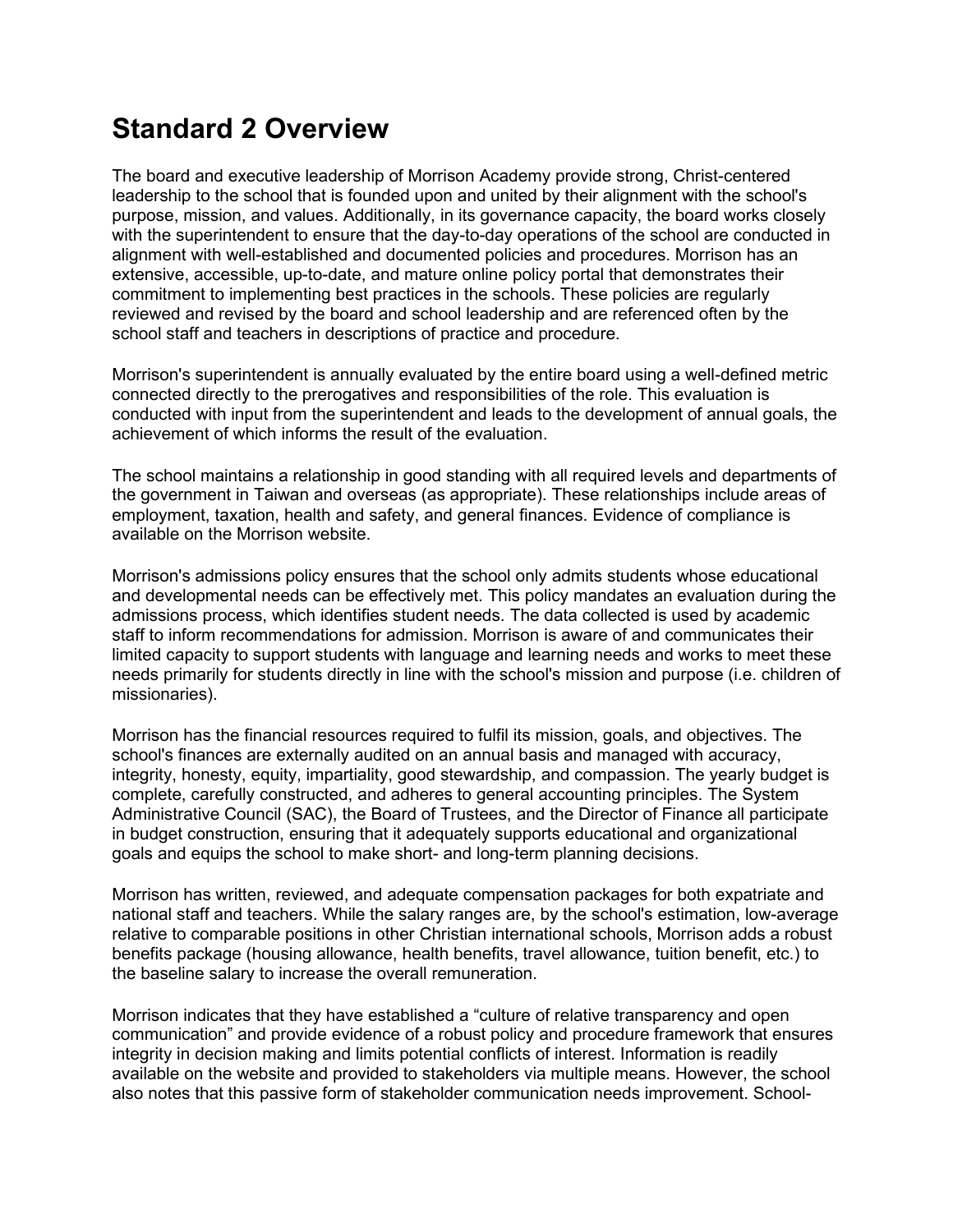#### **Standard 2 Overview**

The board and executive leadership of Morrison Academy provide strong, Christ-centered leadership to the school that is founded upon and united by their alignment with the school's purpose, mission, and values. Additionally, in its governance capacity, the board works closely with the superintendent to ensure that the day-to-day operations of the school are conducted in alignment with well-established and documented policies and procedures. Morrison has an extensive, accessible, up-to-date, and mature online policy portal that demonstrates their commitment to implementing best practices in the schools. These policies are regularly reviewed and revised by the board and school leadership and are referenced often by the school staff and teachers in descriptions of practice and procedure.

Morrison's superintendent is annually evaluated by the entire board using a well-defined metric connected directly to the prerogatives and responsibilities of the role. This evaluation is conducted with input from the superintendent and leads to the development of annual goals, the achievement of which informs the result of the evaluation.

The school maintains a relationship in good standing with all required levels and departments of the government in Taiwan and overseas (as appropriate). These relationships include areas of employment, taxation, health and safety, and general finances. Evidence of compliance is available on the Morrison website.

Morrison's admissions policy ensures that the school only admits students whose educational and developmental needs can be effectively met. This policy mandates an evaluation during the admissions process, which identifies student needs. The data collected is used by academic staff to inform recommendations for admission. Morrison is aware of and communicates their limited capacity to support students with language and learning needs and works to meet these needs primarily for students directly in line with the school's mission and purpose (i.e. children of missionaries).

Morrison has the financial resources required to fulfil its mission, goals, and objectives. The school's finances are externally audited on an annual basis and managed with accuracy, integrity, honesty, equity, impartiality, good stewardship, and compassion. The yearly budget is complete, carefully constructed, and adheres to general accounting principles. The System Administrative Council (SAC), the Board of Trustees, and the Director of Finance all participate in budget construction, ensuring that it adequately supports educational and organizational goals and equips the school to make short- and long-term planning decisions.

Morrison has written, reviewed, and adequate compensation packages for both expatriate and national staff and teachers. While the salary ranges are, by the school's estimation, low-average relative to comparable positions in other Christian international schools, Morrison adds a robust benefits package (housing allowance, health benefits, travel allowance, tuition benefit, etc.) to the baseline salary to increase the overall remuneration.

Morrison indicates that they have established a "culture of relative transparency and open communication" and provide evidence of a robust policy and procedure framework that ensures integrity in decision making and limits potential conflicts of interest. Information is readily available on the website and provided to stakeholders via multiple means. However, the school also notes that this passive form of stakeholder communication needs improvement. School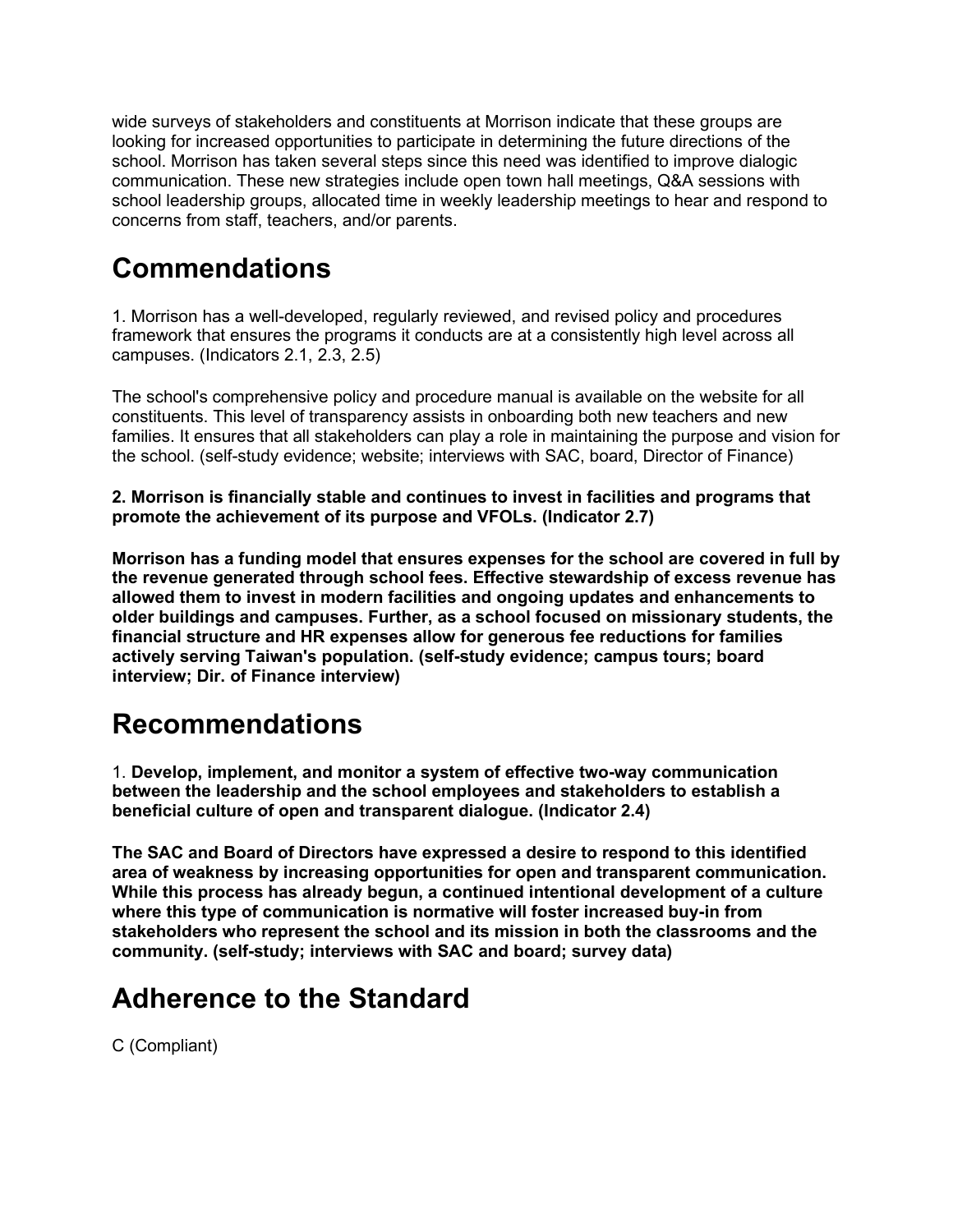wide surveys of stakeholders and constituents at Morrison indicate that these groups are looking for increased opportunities to participate in determining the future directions of the school. Morrison has taken several steps since this need was identified to improve dialogic communication. These new strategies include open town hall meetings, Q&A sessions with school leadership groups, allocated time in weekly leadership meetings to hear and respond to concerns from staff, teachers, and/or parents.

#### **Commendations**

1. Morrison has a well-developed, regularly reviewed, and revised policy and procedures framework that ensures the programs it conducts are at a consistently high level across all campuses. (Indicators 2.1, 2.3, 2.5)

The school's comprehensive policy and procedure manual is available on the website for all constituents. This level of transparency assists in onboarding both new teachers and new families. It ensures that all stakeholders can play a role in maintaining the purpose and vision for the school. (self-study evidence; website; interviews with SAC, board, Director of Finance)

**2. Morrison is financially stable and continues to invest in facilities and programs that promote the achievement of its purpose and VFOLs. (Indicator 2.7)**

**Morrison has a funding model that ensures expenses for the school are covered in full by the revenue generated through school fees. Effective stewardship of excess revenue has allowed them to invest in modern facilities and ongoing updates and enhancements to older buildings and campuses. Further, as a school focused on missionary students, the financial structure and HR expenses allow for generous fee reductions for families actively serving Taiwan's population. (self-study evidence; campus tours; board interview; Dir. of Finance interview)**

#### **Recommendations**

1. **Develop, implement, and monitor a system of effective two-way communication between the leadership and the school employees and stakeholders to establish a beneficial culture of open and transparent dialogue. (Indicator 2.4)**

**The SAC and Board of Directors have expressed a desire to respond to this identified area of weakness by increasing opportunities for open and transparent communication. While this process has already begun, a continued intentional development of a culture where this type of communication is normative will foster increased buy-in from stakeholders who represent the school and its mission in both the classrooms and the community. (self-study; interviews with SAC and board; survey data)**

### **Adherence to the Standard**

C (Compliant)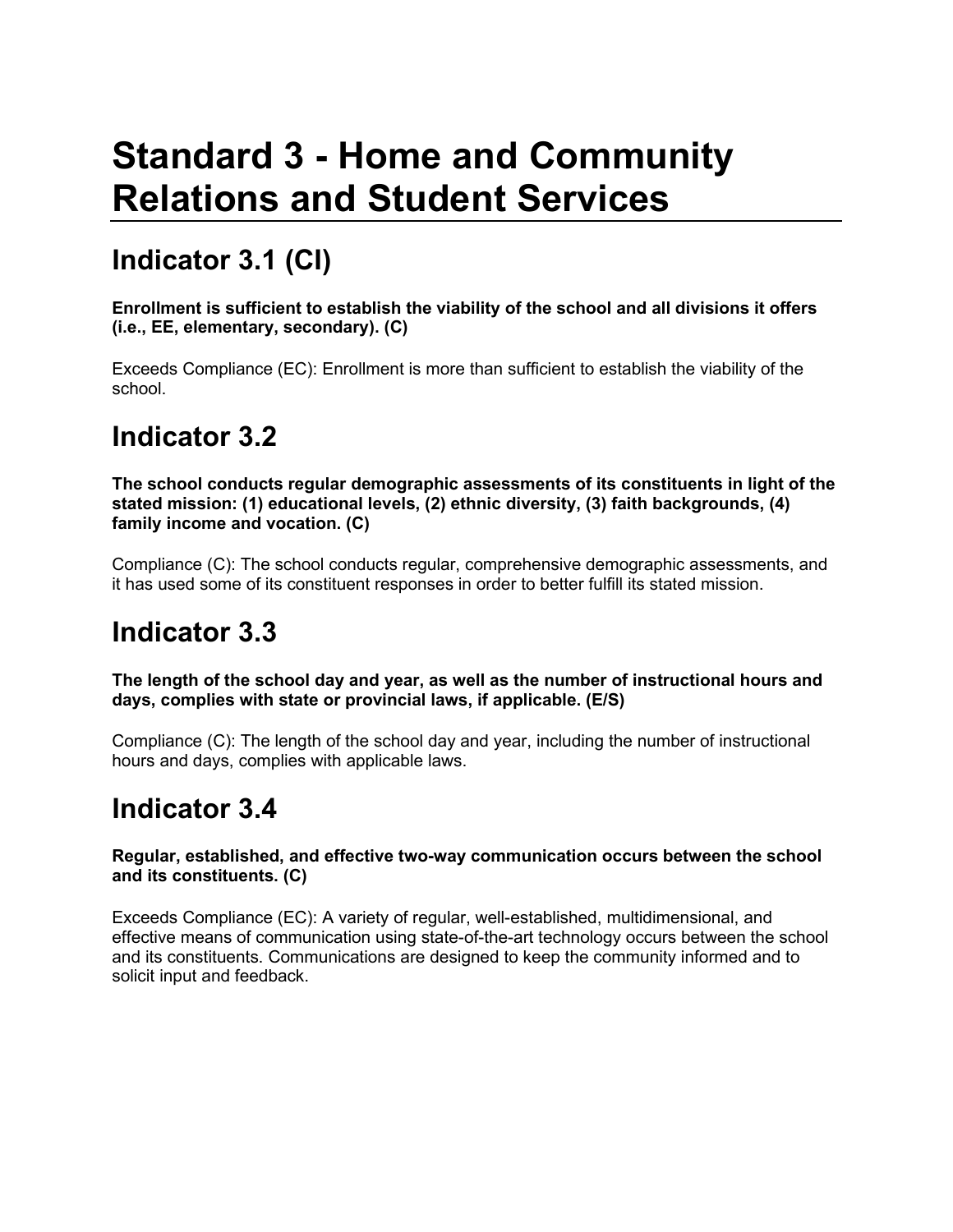# **Standard 3 - Home and Community Relations and Student Services**

### **Indicator 3.1 (CI)**

**Enrollment is sufficient to establish the viability of the school and all divisions it offers (i.e., EE, elementary, secondary). (C)**

Exceeds Compliance (EC): Enrollment is more than sufficient to establish the viability of the school.

### **Indicator 3.2**

**The school conducts regular demographic assessments of its constituents in light of the stated mission: (1) educational levels, (2) ethnic diversity, (3) faith backgrounds, (4) family income and vocation. (C)**

Compliance (C): The school conducts regular, comprehensive demographic assessments, and it has used some of its constituent responses in order to better fulfill its stated mission.

### **Indicator 3.3**

**The length of the school day and year, as well as the number of instructional hours and days, complies with state or provincial laws, if applicable. (E/S)**

Compliance (C): The length of the school day and year, including the number of instructional hours and days, complies with applicable laws.

#### **Indicator 3.4**

#### **Regular, established, and effective two-way communication occurs between the school and its constituents. (C)**

Exceeds Compliance (EC): A variety of regular, well-established, multidimensional, and effective means of communication using state-of-the-art technology occurs between the school and its constituents. Communications are designed to keep the community informed and to solicit input and feedback.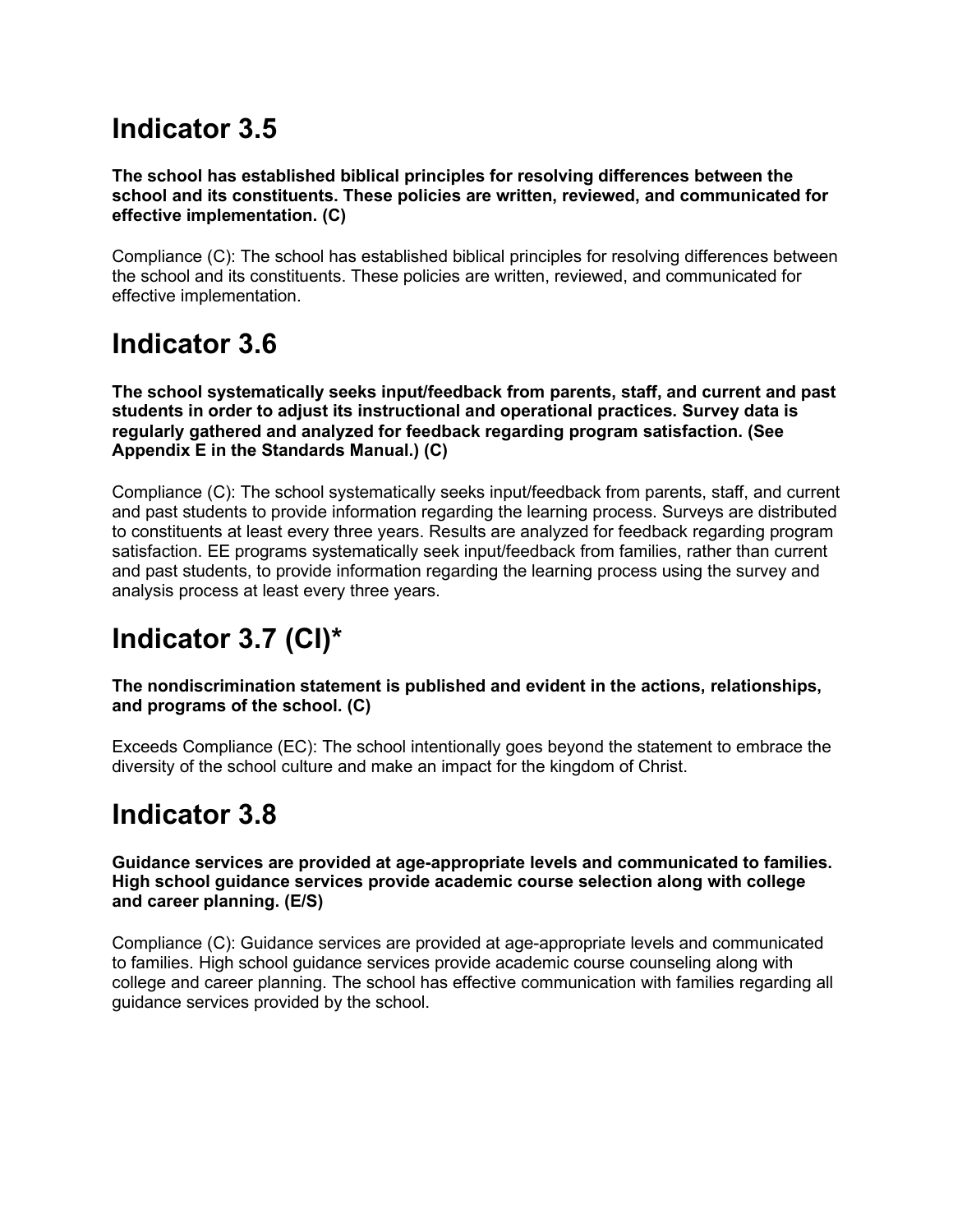### **Indicator 3.5**

**The school has established biblical principles for resolving differences between the school and its constituents. These policies are written, reviewed, and communicated for effective implementation. (C)**

Compliance (C): The school has established biblical principles for resolving differences between the school and its constituents. These policies are written, reviewed, and communicated for effective implementation.

### **Indicator 3.6**

**The school systematically seeks input/feedback from parents, staff, and current and past students in order to adjust its instructional and operational practices. Survey data is regularly gathered and analyzed for feedback regarding program satisfaction. (See Appendix E in the Standards Manual.) (C)**

Compliance (C): The school systematically seeks input/feedback from parents, staff, and current and past students to provide information regarding the learning process. Surveys are distributed to constituents at least every three years. Results are analyzed for feedback regarding program satisfaction. EE programs systematically seek input/feedback from families, rather than current and past students, to provide information regarding the learning process using the survey and analysis process at least every three years.

## **Indicator 3.7 (CI)\***

**The nondiscrimination statement is published and evident in the actions, relationships, and programs of the school. (C)**

Exceeds Compliance (EC): The school intentionally goes beyond the statement to embrace the diversity of the school culture and make an impact for the kingdom of Christ.

### **Indicator 3.8**

**Guidance services are provided at age-appropriate levels and communicated to families. High school guidance services provide academic course selection along with college and career planning. (E/S)**

Compliance (C): Guidance services are provided at age-appropriate levels and communicated to families. High school guidance services provide academic course counseling along with college and career planning. The school has effective communication with families regarding all guidance services provided by the school.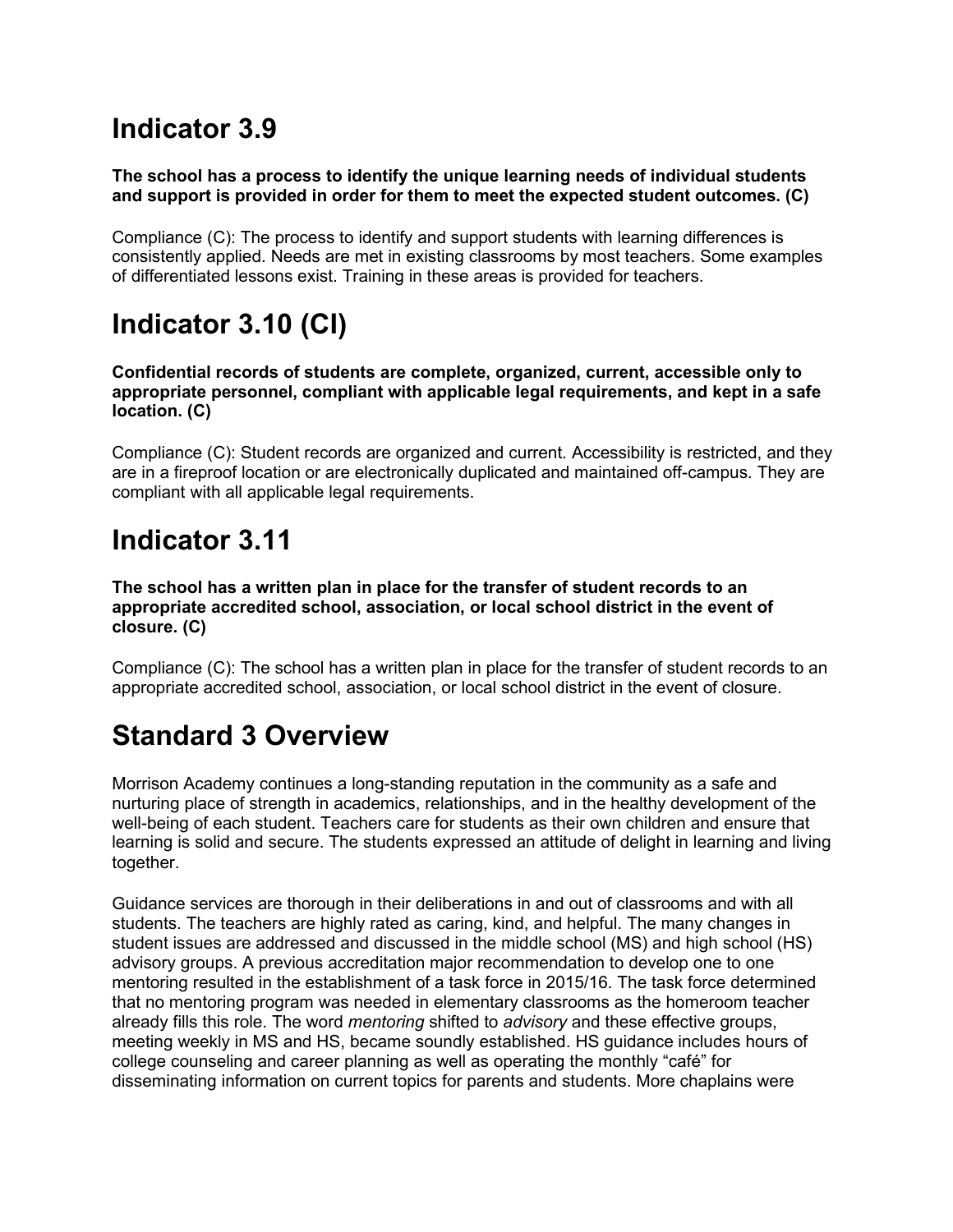### **Indicator 3.9**

#### **The school has a process to identify the unique learning needs of individual students and support is provided in order for them to meet the expected student outcomes. (C)**

Compliance (C): The process to identify and support students with learning differences is consistently applied. Needs are met in existing classrooms by most teachers. Some examples of differentiated lessons exist. Training in these areas is provided for teachers.

## **Indicator 3.10 (CI)**

**Confidential records of students are complete, organized, current, accessible only to appropriate personnel, compliant with applicable legal requirements, and kept in a safe location. (C)**

Compliance (C): Student records are organized and current. Accessibility is restricted, and they are in a fireproof location or are electronically duplicated and maintained off-campus. They are compliant with all applicable legal requirements.

### **Indicator 3.11**

**The school has a written plan in place for the transfer of student records to an appropriate accredited school, association, or local school district in the event of closure. (C)**

Compliance (C): The school has a written plan in place for the transfer of student records to an appropriate accredited school, association, or local school district in the event of closure.

### **Standard 3 Overview**

Morrison Academy continues a long-standing reputation in the community as a safe and nurturing place of strength in academics, relationships, and in the healthy development of the well-being of each student. Teachers care for students as their own children and ensure that learning is solid and secure. The students expressed an attitude of delight in learning and living together.

Guidance services are thorough in their deliberations in and out of classrooms and with all students. The teachers are highly rated as caring, kind, and helpful. The many changes in student issues are addressed and discussed in the middle school (MS) and high school (HS) advisory groups. A previous accreditation major recommendation to develop one to one mentoring resulted in the establishment of a task force in 2015/16. The task force determined that no mentoring program was needed in elementary classrooms as the homeroom teacher already fills this role. The word *mentoring* shifted to *advisory* and these effective groups, meeting weekly in MS and HS, became soundly established. HS guidance includes hours of college counseling and career planning as well as operating the monthly "café" for disseminating information on current topics for parents and students. More chaplains were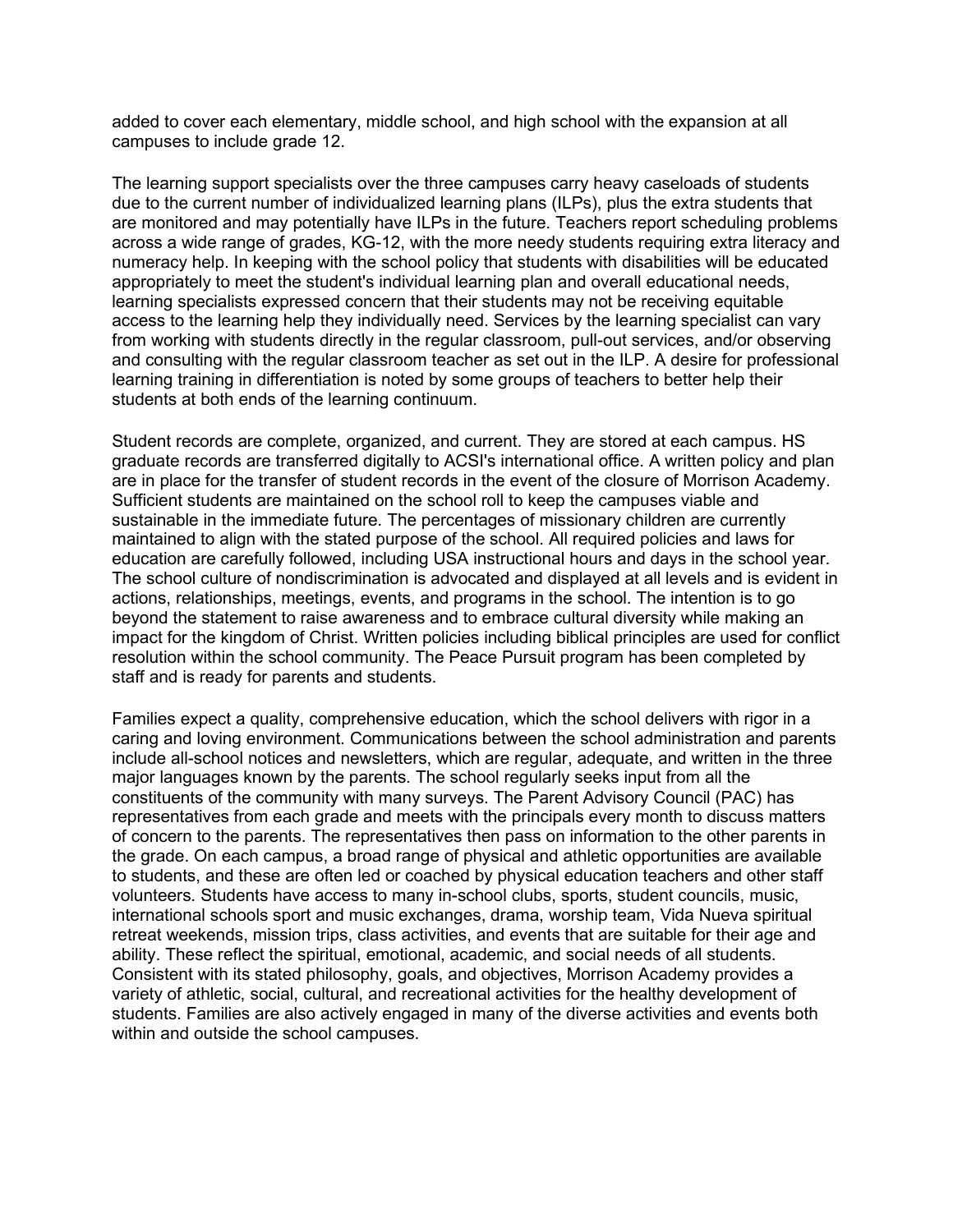added to cover each elementary, middle school, and high school with the expansion at all campuses to include grade 12.

The learning support specialists over the three campuses carry heavy caseloads of students due to the current number of individualized learning plans (ILPs), plus the extra students that are monitored and may potentially have ILPs in the future. Teachers report scheduling problems across a wide range of grades, KG-12, with the more needy students requiring extra literacy and numeracy help. In keeping with the school policy that students with disabilities will be educated appropriately to meet the student's individual learning plan and overall educational needs, learning specialists expressed concern that their students may not be receiving equitable access to the learning help they individually need. Services by the learning specialist can vary from working with students directly in the regular classroom, pull-out services, and/or observing and consulting with the regular classroom teacher as set out in the ILP. A desire for professional learning training in differentiation is noted by some groups of teachers to better help their students at both ends of the learning continuum.

Student records are complete, organized, and current. They are stored at each campus. HS graduate records are transferred digitally to ACSI's international office. A written policy and plan are in place for the transfer of student records in the event of the closure of Morrison Academy. Sufficient students are maintained on the school roll to keep the campuses viable and sustainable in the immediate future. The percentages of missionary children are currently maintained to align with the stated purpose of the school. All required policies and laws for education are carefully followed, including USA instructional hours and days in the school year. The school culture of nondiscrimination is advocated and displayed at all levels and is evident in actions, relationships, meetings, events, and programs in the school. The intention is to go beyond the statement to raise awareness and to embrace cultural diversity while making an impact for the kingdom of Christ. Written policies including biblical principles are used for conflict resolution within the school community. The Peace Pursuit program has been completed by staff and is ready for parents and students.

Families expect a quality, comprehensive education, which the school delivers with rigor in a caring and loving environment. Communications between the school administration and parents include all-school notices and newsletters, which are regular, adequate, and written in the three major languages known by the parents. The school regularly seeks input from all the constituents of the community with many surveys. The Parent Advisory Council (PAC) has representatives from each grade and meets with the principals every month to discuss matters of concern to the parents. The representatives then pass on information to the other parents in the grade. On each campus, a broad range of physical and athletic opportunities are available to students, and these are often led or coached by physical education teachers and other staff volunteers. Students have access to many in-school clubs, sports, student councils, music, international schools sport and music exchanges, drama, worship team, Vida Nueva spiritual retreat weekends, mission trips, class activities, and events that are suitable for their age and ability. These reflect the spiritual, emotional, academic, and social needs of all students. Consistent with its stated philosophy, goals, and objectives, Morrison Academy provides a variety of athletic, social, cultural, and recreational activities for the healthy development of students. Families are also actively engaged in many of the diverse activities and events both within and outside the school campuses.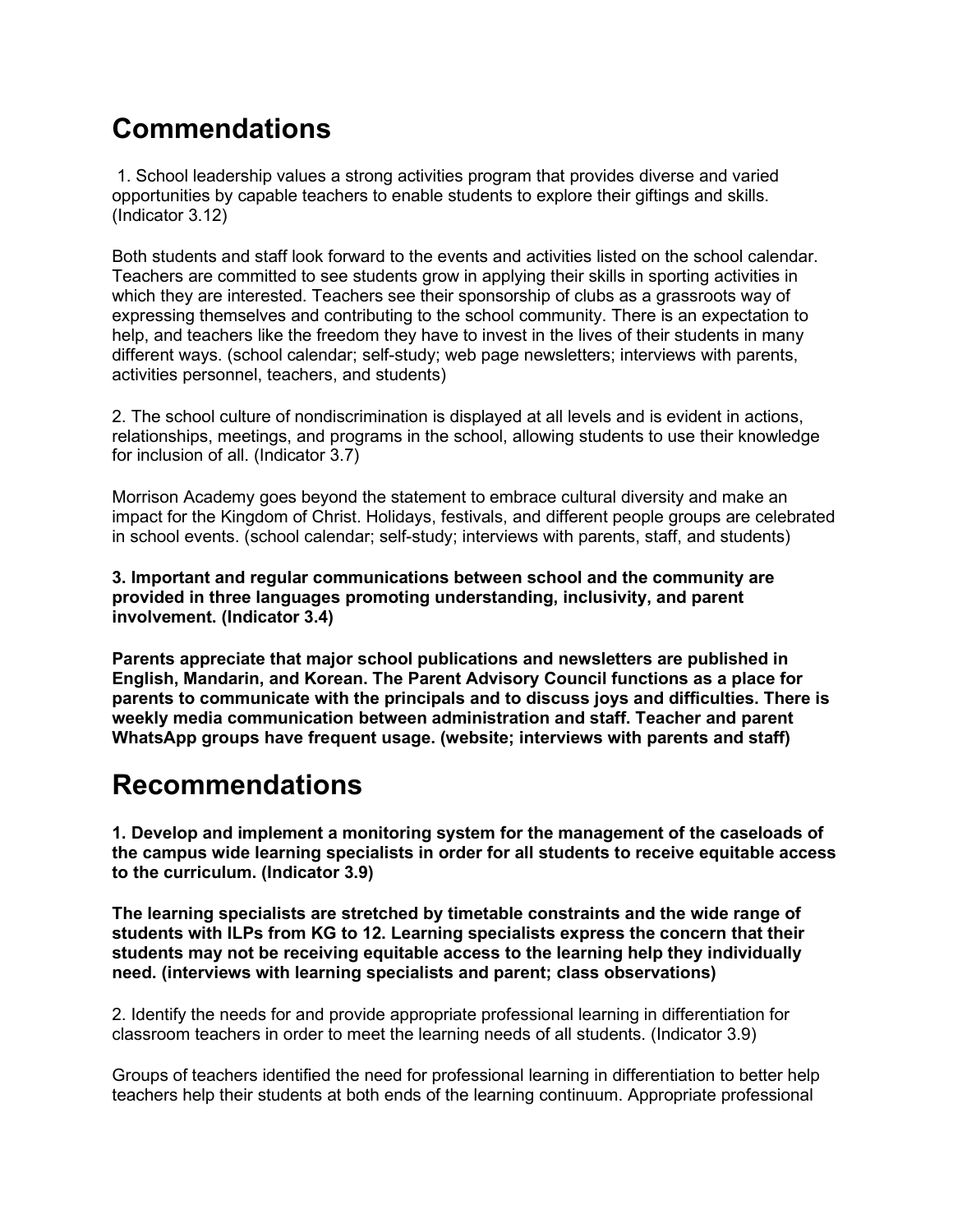### **Commendations**

1. School leadership values a strong activities program that provides diverse and varied opportunities by capable teachers to enable students to explore their giftings and skills. (Indicator 3.12)

Both students and staff look forward to the events and activities listed on the school calendar. Teachers are committed to see students grow in applying their skills in sporting activities in which they are interested. Teachers see their sponsorship of clubs as a grassroots way of expressing themselves and contributing to the school community. There is an expectation to help, and teachers like the freedom they have to invest in the lives of their students in many different ways. (school calendar; self-study; web page newsletters; interviews with parents, activities personnel, teachers, and students)

2. The school culture of nondiscrimination is displayed at all levels and is evident in actions, relationships, meetings, and programs in the school, allowing students to use their knowledge for inclusion of all. (Indicator 3.7)

Morrison Academy goes beyond the statement to embrace cultural diversity and make an impact for the Kingdom of Christ. Holidays, festivals, and different people groups are celebrated in school events. (school calendar; self-study; interviews with parents, staff, and students)

**3. Important and regular communications between school and the community are provided in three languages promoting understanding, inclusivity, and parent involvement. (Indicator 3.4)**

**Parents appreciate that major school publications and newsletters are published in English, Mandarin, and Korean. The Parent Advisory Council functions as a place for parents to communicate with the principals and to discuss joys and difficulties. There is weekly media communication between administration and staff. Teacher and parent WhatsApp groups have frequent usage. (website; interviews with parents and staff)**

#### **Recommendations**

**1. Develop and implement a monitoring system for the management of the caseloads of the campus wide learning specialists in order for all students to receive equitable access to the curriculum. (Indicator 3.9)**

**The learning specialists are stretched by timetable constraints and the wide range of students with ILPs from KG to 12. Learning specialists express the concern that their students may not be receiving equitable access to the learning help they individually need. (interviews with learning specialists and parent; class observations)**

2. Identify the needs for and provide appropriate professional learning in differentiation for classroom teachers in order to meet the learning needs of all students. (Indicator 3.9)

Groups of teachers identified the need for professional learning in differentiation to better help teachers help their students at both ends of the learning continuum. Appropriate professional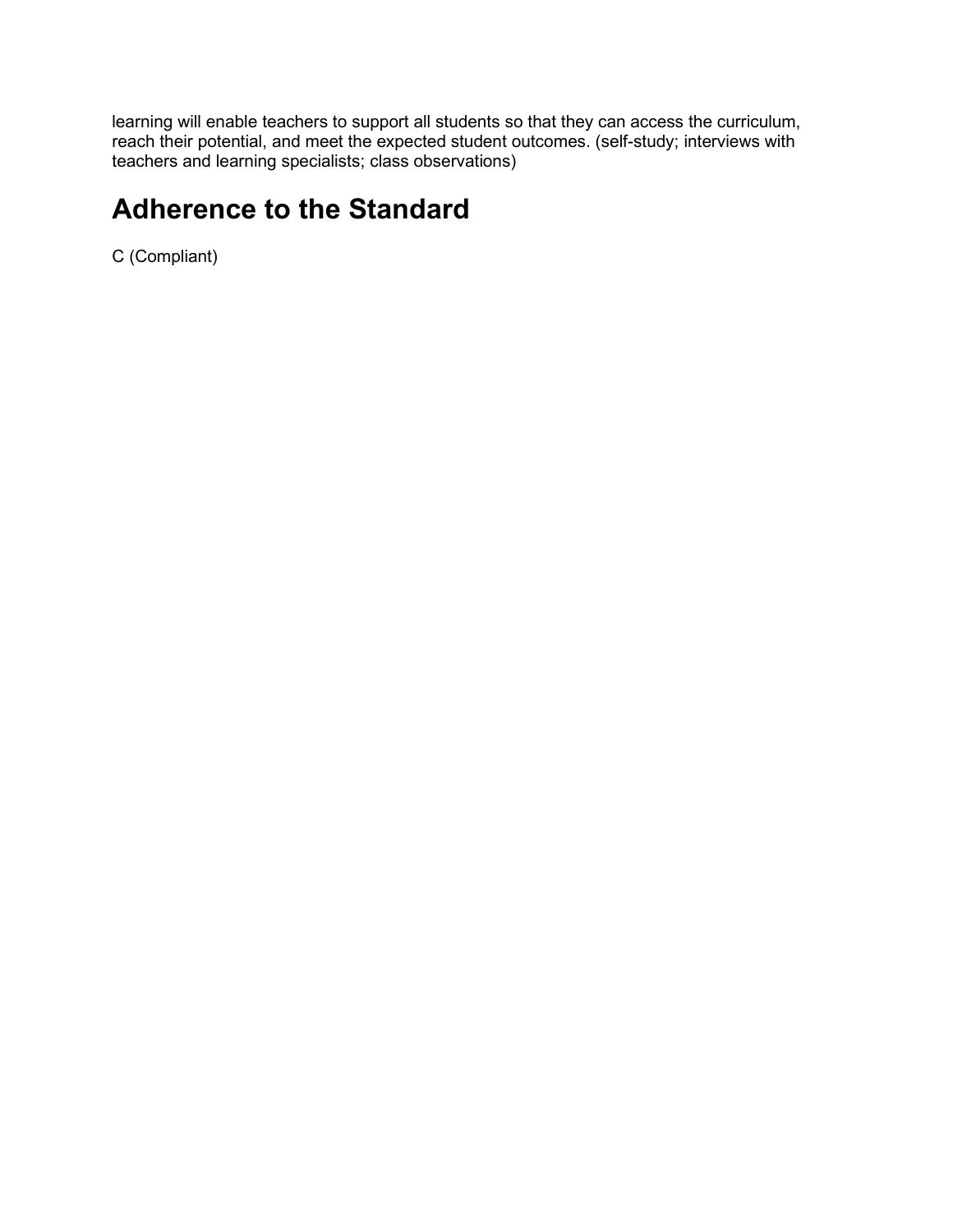learning will enable teachers to support all students so that they can access the curriculum, reach their potential, and meet the expected student outcomes. (self-study; interviews with teachers and learning specialists; class observations)

#### **Adherence to the Standard**

C (Compliant)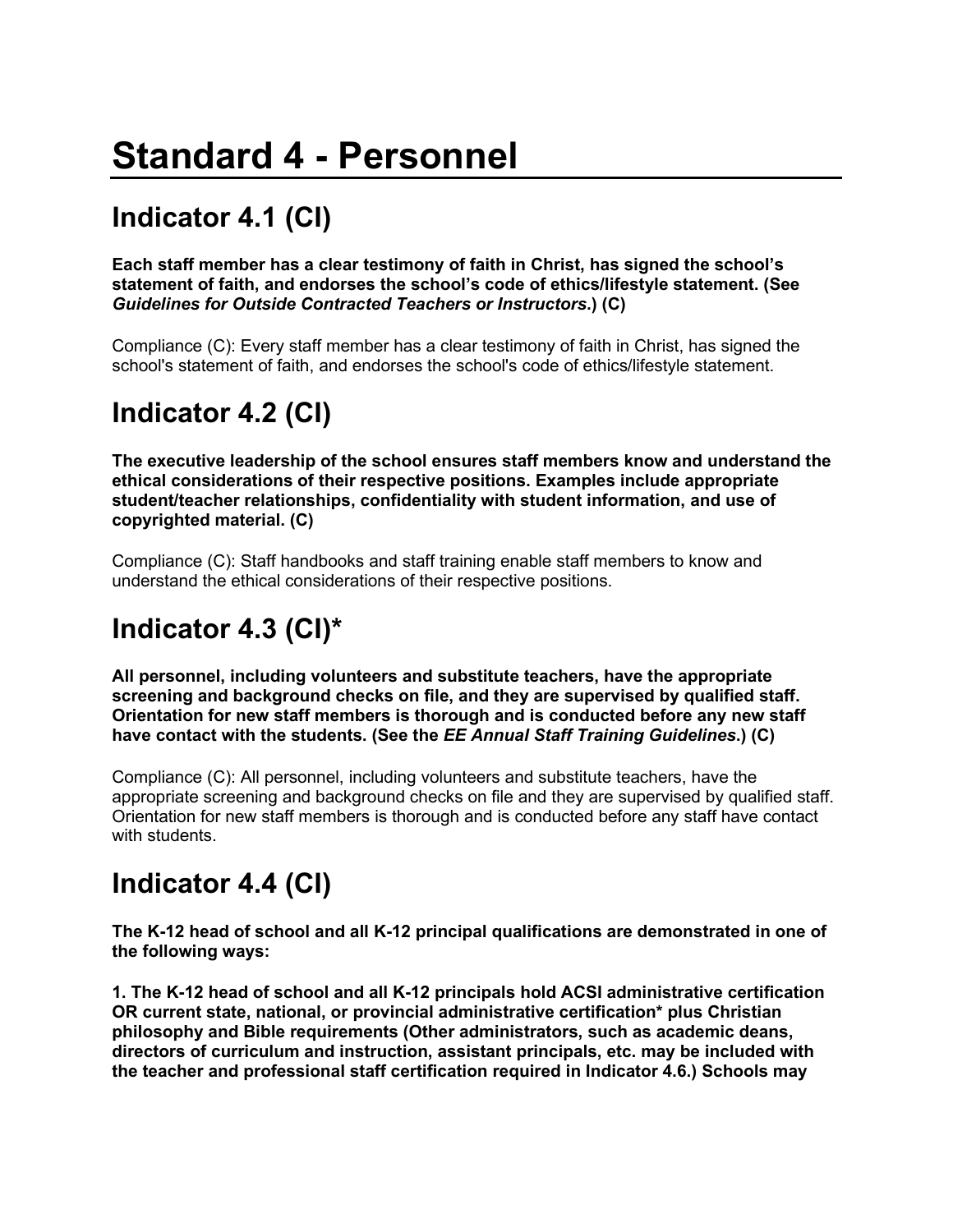# **Standard 4 - Personnel**

# **Indicator 4.1 (CI)**

**Each staff member has a clear testimony of faith in Christ, has signed the school's statement of faith, and endorses the school's code of ethics/lifestyle statement. (See**  *Guidelines for Outside Contracted Teachers or Instructors***.) (C)**

Compliance (C): Every staff member has a clear testimony of faith in Christ, has signed the school's statement of faith, and endorses the school's code of ethics/lifestyle statement.

## **Indicator 4.2 (CI)**

**The executive leadership of the school ensures staff members know and understand the ethical considerations of their respective positions. Examples include appropriate student/teacher relationships, confidentiality with student information, and use of copyrighted material. (C)**

Compliance (C): Staff handbooks and staff training enable staff members to know and understand the ethical considerations of their respective positions.

## **Indicator 4.3 (CI)\***

**All personnel, including volunteers and substitute teachers, have the appropriate screening and background checks on file, and they are supervised by qualified staff. Orientation for new staff members is thorough and is conducted before any new staff have contact with the students. (See the** *EE Annual Staff Training Guidelines***.) (C)**

Compliance (C): All personnel, including volunteers and substitute teachers, have the appropriate screening and background checks on file and they are supervised by qualified staff. Orientation for new staff members is thorough and is conducted before any staff have contact with students.

### **Indicator 4.4 (CI)**

**The K-12 head of school and all K-12 principal qualifications are demonstrated in one of the following ways:**

**1. The K-12 head of school and all K-12 principals hold ACSI administrative certification OR current state, national, or provincial administrative certification\* plus Christian philosophy and Bible requirements (Other administrators, such as academic deans, directors of curriculum and instruction, assistant principals, etc. may be included with the teacher and professional staff certification required in Indicator 4.6.) Schools may**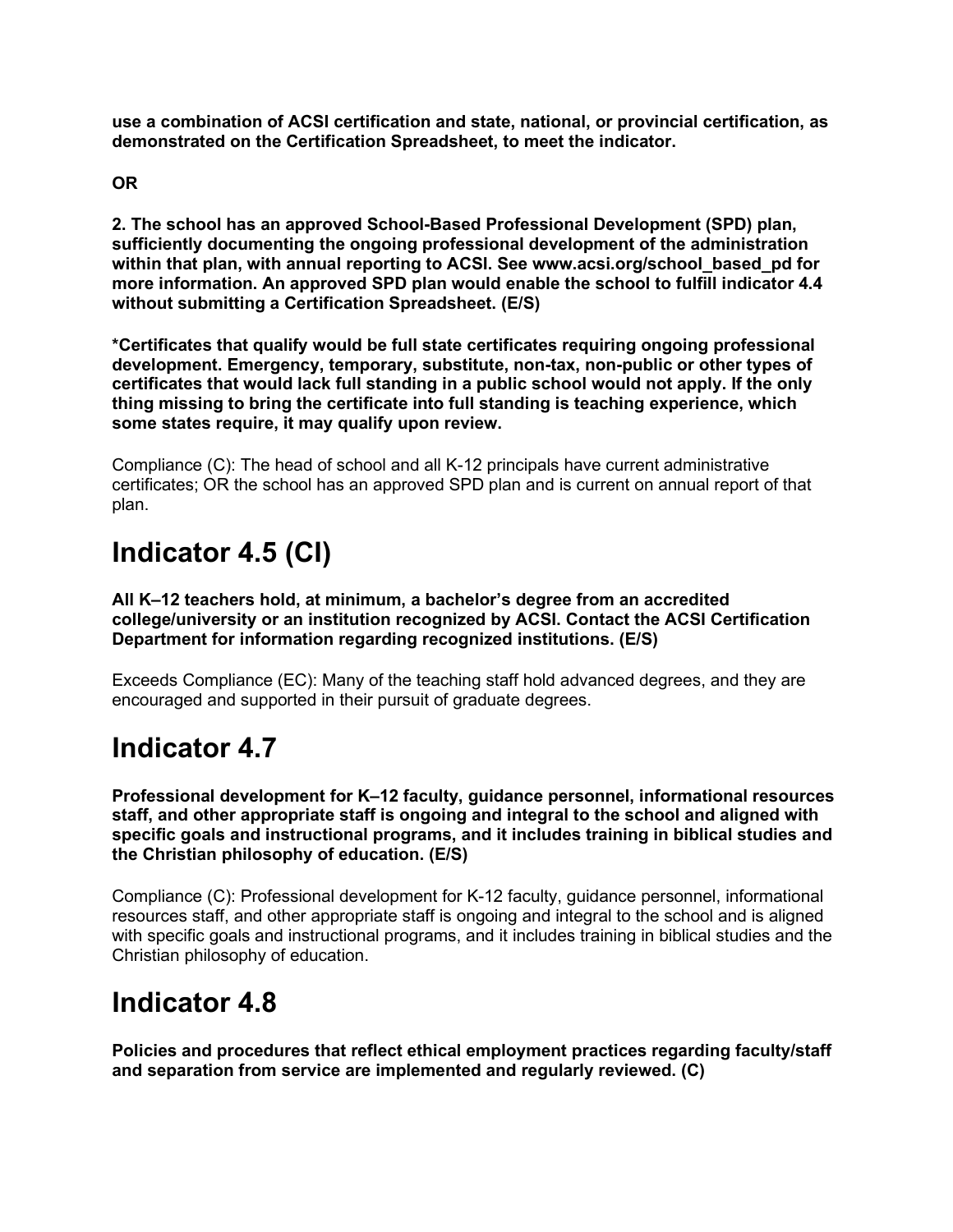**use a combination of ACSI certification and state, national, or provincial certification, as demonstrated on the Certification Spreadsheet, to meet the indicator.**

**OR** 

**2. The school has an approved School-Based Professional Development (SPD) plan, sufficiently documenting the ongoing professional development of the administration within that plan, with annual reporting to ACSI. See www.acsi.org/school\_based\_pd for more information. An approved SPD plan would enable the school to fulfill indicator 4.4 without submitting a Certification Spreadsheet. (E/S)**

**\*Certificates that qualify would be full state certificates requiring ongoing professional development. Emergency, temporary, substitute, non-tax, non-public or other types of certificates that would lack full standing in a public school would not apply. If the only thing missing to bring the certificate into full standing is teaching experience, which some states require, it may qualify upon review.**

Compliance (C): The head of school and all K-12 principals have current administrative certificates; OR the school has an approved SPD plan and is current on annual report of that plan.

### **Indicator 4.5 (CI)**

**All K–12 teachers hold, at minimum, a bachelor's degree from an accredited college/university or an institution recognized by ACSI. Contact the ACSI Certification Department for information regarding recognized institutions. (E/S)**

Exceeds Compliance (EC): Many of the teaching staff hold advanced degrees, and they are encouraged and supported in their pursuit of graduate degrees.

#### **Indicator 4.7**

**Professional development for K–12 faculty, guidance personnel, informational resources staff, and other appropriate staff is ongoing and integral to the school and aligned with specific goals and instructional programs, and it includes training in biblical studies and the Christian philosophy of education. (E/S)**

Compliance (C): Professional development for K-12 faculty, guidance personnel, informational resources staff, and other appropriate staff is ongoing and integral to the school and is aligned with specific goals and instructional programs, and it includes training in biblical studies and the Christian philosophy of education.

#### **Indicator 4.8**

**Policies and procedures that reflect ethical employment practices regarding faculty/staff and separation from service are implemented and regularly reviewed. (C)**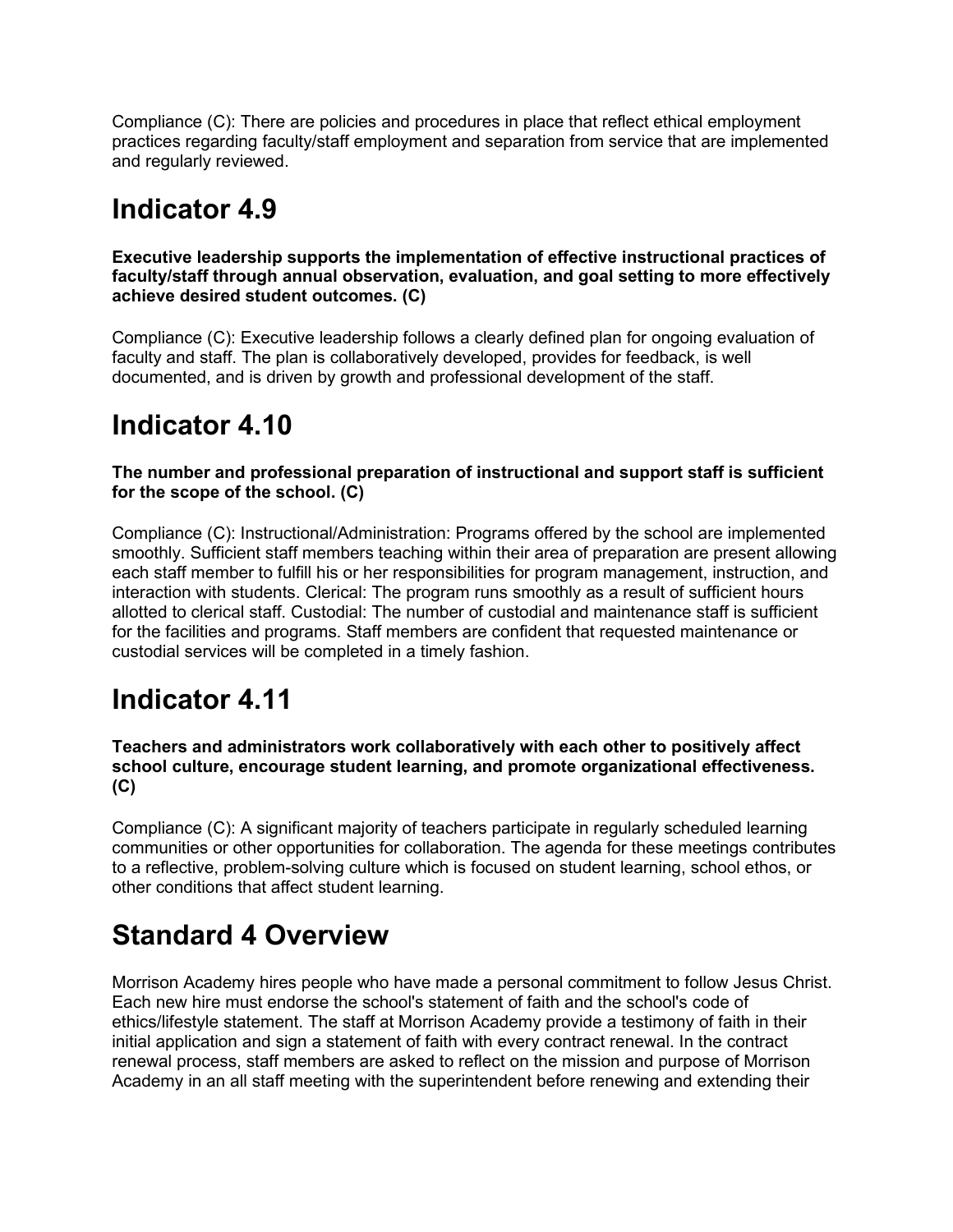Compliance (C): There are policies and procedures in place that reflect ethical employment practices regarding faculty/staff employment and separation from service that are implemented and regularly reviewed.

#### **Indicator 4.9**

**Executive leadership supports the implementation of effective instructional practices of faculty/staff through annual observation, evaluation, and goal setting to more effectively achieve desired student outcomes. (C)**

Compliance (C): Executive leadership follows a clearly defined plan for ongoing evaluation of faculty and staff. The plan is collaboratively developed, provides for feedback, is well documented, and is driven by growth and professional development of the staff.

#### **Indicator 4.10**

**The number and professional preparation of instructional and support staff is sufficient for the scope of the school. (C)**

Compliance (C): Instructional/Administration: Programs offered by the school are implemented smoothly. Sufficient staff members teaching within their area of preparation are present allowing each staff member to fulfill his or her responsibilities for program management, instruction, and interaction with students. Clerical: The program runs smoothly as a result of sufficient hours allotted to clerical staff. Custodial: The number of custodial and maintenance staff is sufficient for the facilities and programs. Staff members are confident that requested maintenance or custodial services will be completed in a timely fashion.

### **Indicator 4.11**

**Teachers and administrators work collaboratively with each other to positively affect school culture, encourage student learning, and promote organizational effectiveness. (C)**

Compliance (C): A significant majority of teachers participate in regularly scheduled learning communities or other opportunities for collaboration. The agenda for these meetings contributes to a reflective, problem-solving culture which is focused on student learning, school ethos, or other conditions that affect student learning.

#### **Standard 4 Overview**

Morrison Academy hires people who have made a personal commitment to follow Jesus Christ. Each new hire must endorse the school's statement of faith and the school's code of ethics/lifestyle statement. The staff at Morrison Academy provide a testimony of faith in their initial application and sign a statement of faith with every contract renewal. In the contract renewal process, staff members are asked to reflect on the mission and purpose of Morrison Academy in an all staff meeting with the superintendent before renewing and extending their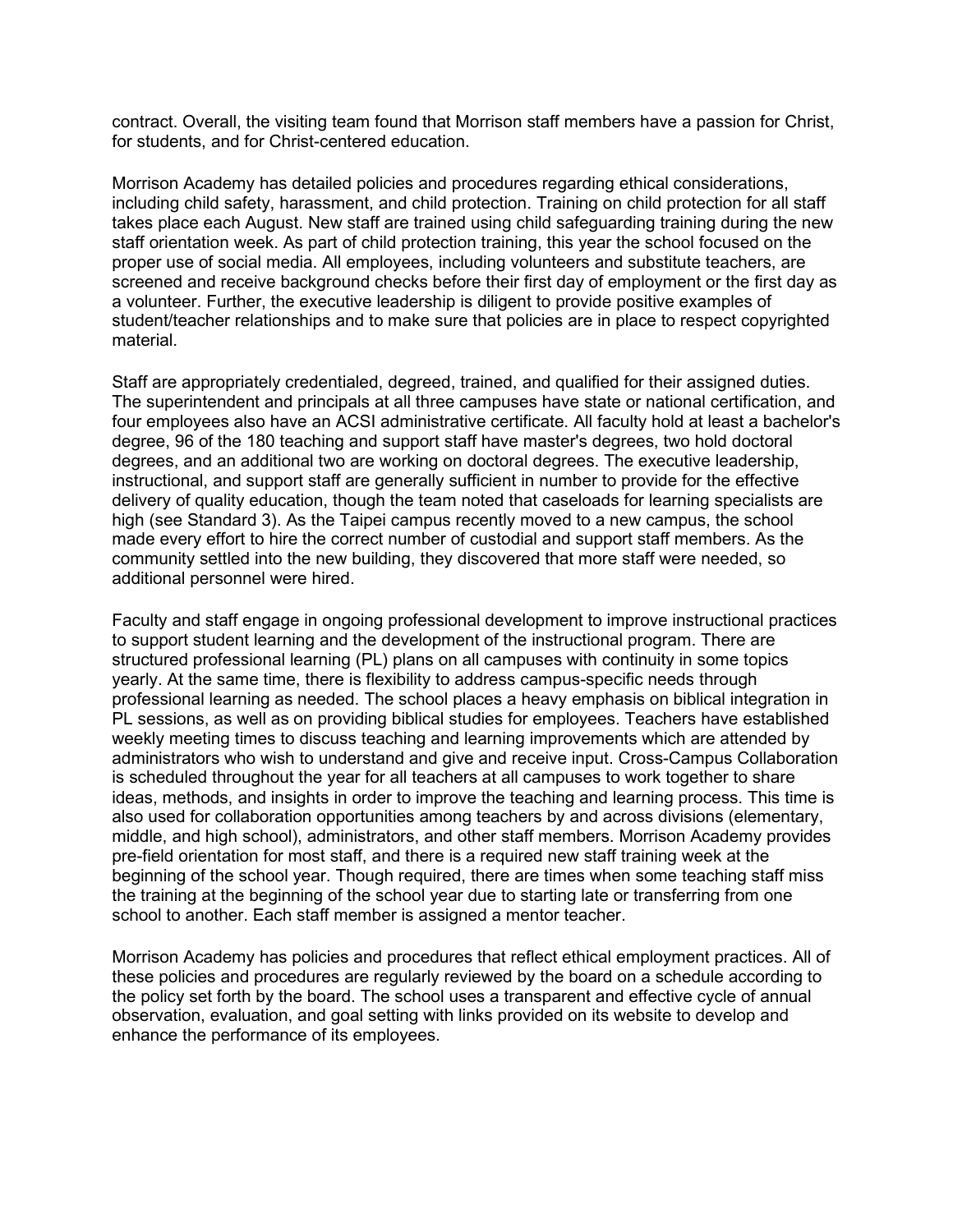contract. Overall, the visiting team found that Morrison staff members have a passion for Christ, for students, and for Christ-centered education.

Morrison Academy has detailed policies and procedures regarding ethical considerations, including child safety, harassment, and child protection. Training on child protection for all staff takes place each August. New staff are trained using child safeguarding training during the new staff orientation week. As part of child protection training, this year the school focused on the proper use of social media. All employees, including volunteers and substitute teachers, are screened and receive background checks before their first day of employment or the first day as a volunteer. Further, the executive leadership is diligent to provide positive examples of student/teacher relationships and to make sure that policies are in place to respect copyrighted material.

Staff are appropriately credentialed, degreed, trained, and qualified for their assigned duties. The superintendent and principals at all three campuses have state or national certification, and four employees also have an ACSI administrative certificate. All faculty hold at least a bachelor's degree, 96 of the 180 teaching and support staff have master's degrees, two hold doctoral degrees, and an additional two are working on doctoral degrees. The executive leadership, instructional, and support staff are generally sufficient in number to provide for the effective delivery of quality education, though the team noted that caseloads for learning specialists are high (see Standard 3). As the Taipei campus recently moved to a new campus, the school made every effort to hire the correct number of custodial and support staff members. As the community settled into the new building, they discovered that more staff were needed, so additional personnel were hired.

Faculty and staff engage in ongoing professional development to improve instructional practices to support student learning and the development of the instructional program. There are structured professional learning (PL) plans on all campuses with continuity in some topics yearly. At the same time, there is flexibility to address campus-specific needs through professional learning as needed. The school places a heavy emphasis on biblical integration in PL sessions, as well as on providing biblical studies for employees. Teachers have established weekly meeting times to discuss teaching and learning improvements which are attended by administrators who wish to understand and give and receive input. Cross-Campus Collaboration is scheduled throughout the year for all teachers at all campuses to work together to share ideas, methods, and insights in order to improve the teaching and learning process. This time is also used for collaboration opportunities among teachers by and across divisions (elementary, middle, and high school), administrators, and other staff members. Morrison Academy provides pre-field orientation for most staff, and there is a required new staff training week at the beginning of the school year. Though required, there are times when some teaching staff miss the training at the beginning of the school year due to starting late or transferring from one school to another. Each staff member is assigned a mentor teacher.

Morrison Academy has policies and procedures that reflect ethical employment practices. All of these policies and procedures are regularly reviewed by the board on a schedule according to the policy set forth by the board. The school uses a transparent and effective cycle of annual observation, evaluation, and goal setting with links provided on its website to develop and enhance the performance of its employees.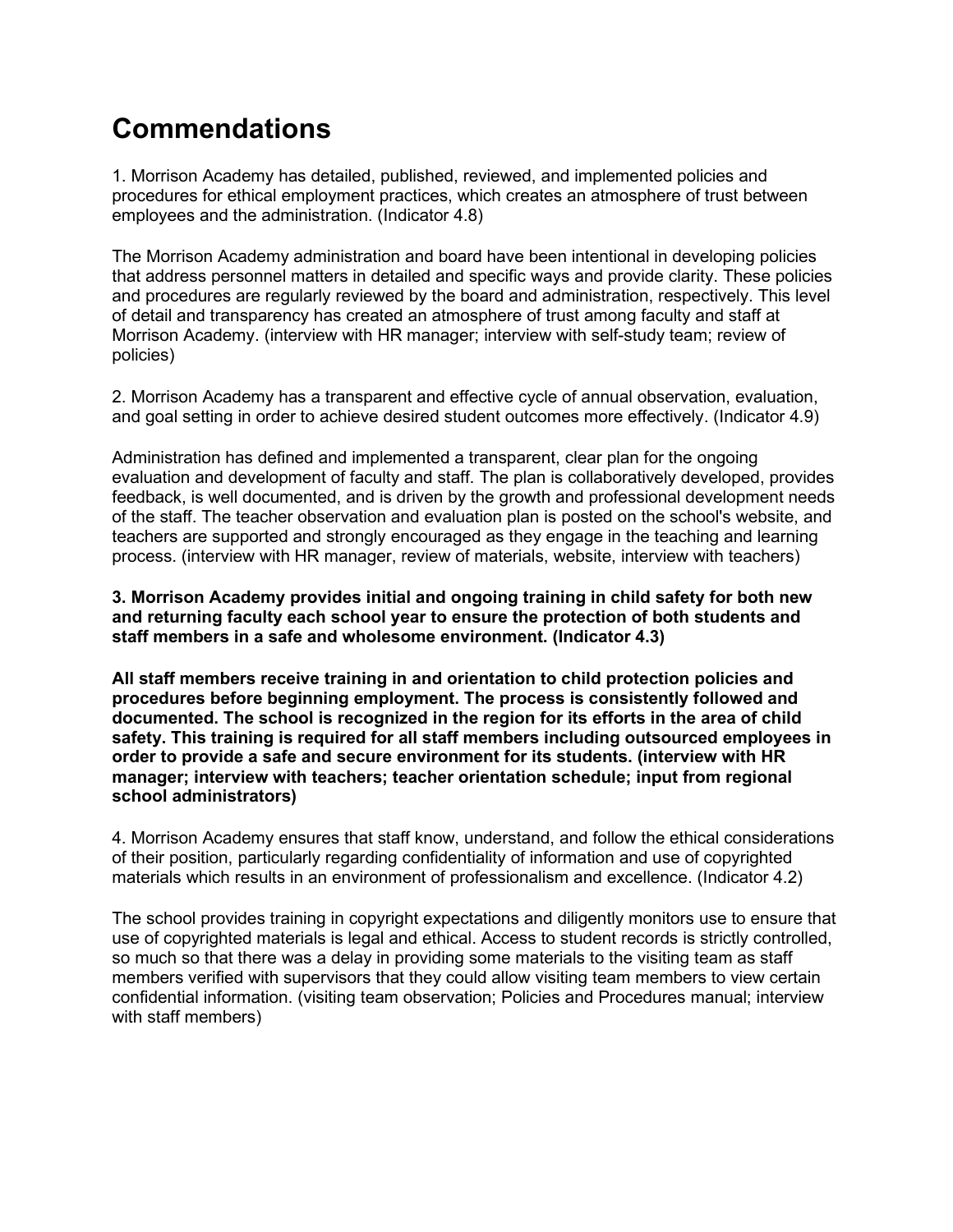### **Commendations**

1. Morrison Academy has detailed, published, reviewed, and implemented policies and procedures for ethical employment practices, which creates an atmosphere of trust between employees and the administration. (Indicator 4.8)

The Morrison Academy administration and board have been intentional in developing policies that address personnel matters in detailed and specific ways and provide clarity. These policies and procedures are regularly reviewed by the board and administration, respectively. This level of detail and transparency has created an atmosphere of trust among faculty and staff at Morrison Academy. (interview with HR manager; interview with self-study team; review of policies)

2. Morrison Academy has a transparent and effective cycle of annual observation, evaluation, and goal setting in order to achieve desired student outcomes more effectively. (Indicator 4.9)

Administration has defined and implemented a transparent, clear plan for the ongoing evaluation and development of faculty and staff. The plan is collaboratively developed, provides feedback, is well documented, and is driven by the growth and professional development needs of the staff. The teacher observation and evaluation plan is posted on the school's website, and teachers are supported and strongly encouraged as they engage in the teaching and learning process. (interview with HR manager, review of materials, website, interview with teachers)

**3. Morrison Academy provides initial and ongoing training in child safety for both new and returning faculty each school year to ensure the protection of both students and staff members in a safe and wholesome environment. (Indicator 4.3)**

**All staff members receive training in and orientation to child protection policies and procedures before beginning employment. The process is consistently followed and documented. The school is recognized in the region for its efforts in the area of child safety. This training is required for all staff members including outsourced employees in order to provide a safe and secure environment for its students. (interview with HR manager; interview with teachers; teacher orientation schedule; input from regional school administrators)**

4. Morrison Academy ensures that staff know, understand, and follow the ethical considerations of their position, particularly regarding confidentiality of information and use of copyrighted materials which results in an environment of professionalism and excellence. (Indicator 4.2)

The school provides training in copyright expectations and diligently monitors use to ensure that use of copyrighted materials is legal and ethical. Access to student records is strictly controlled, so much so that there was a delay in providing some materials to the visiting team as staff members verified with supervisors that they could allow visiting team members to view certain confidential information. (visiting team observation; Policies and Procedures manual; interview with staff members)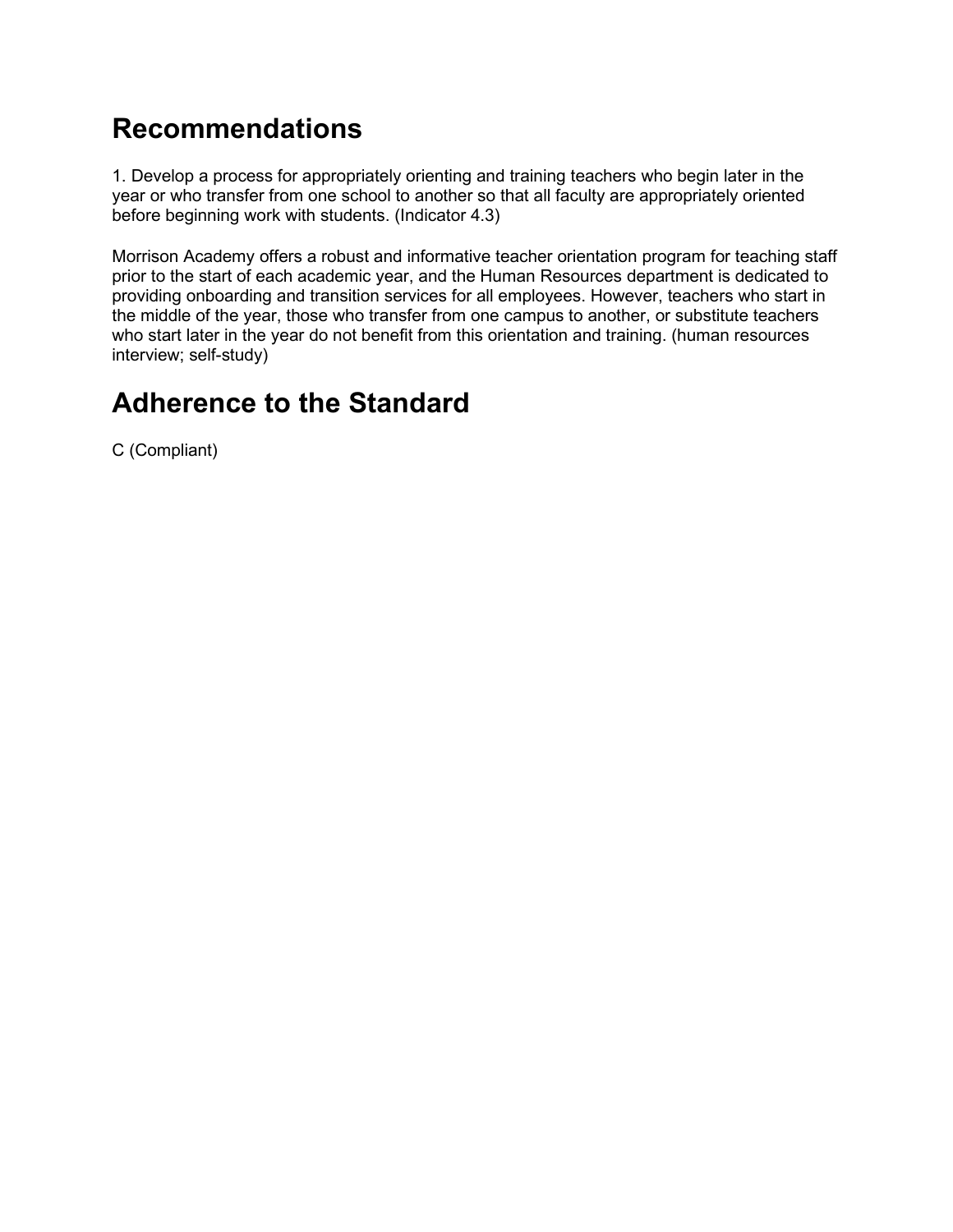### **Recommendations**

1. Develop a process for appropriately orienting and training teachers who begin later in the year or who transfer from one school to another so that all faculty are appropriately oriented before beginning work with students. (Indicator 4.3)

Morrison Academy offers a robust and informative teacher orientation program for teaching staff prior to the start of each academic year, and the Human Resources department is dedicated to providing onboarding and transition services for all employees. However, teachers who start in the middle of the year, those who transfer from one campus to another, or substitute teachers who start later in the year do not benefit from this orientation and training. (human resources interview; self-study)

### **Adherence to the Standard**

C (Compliant)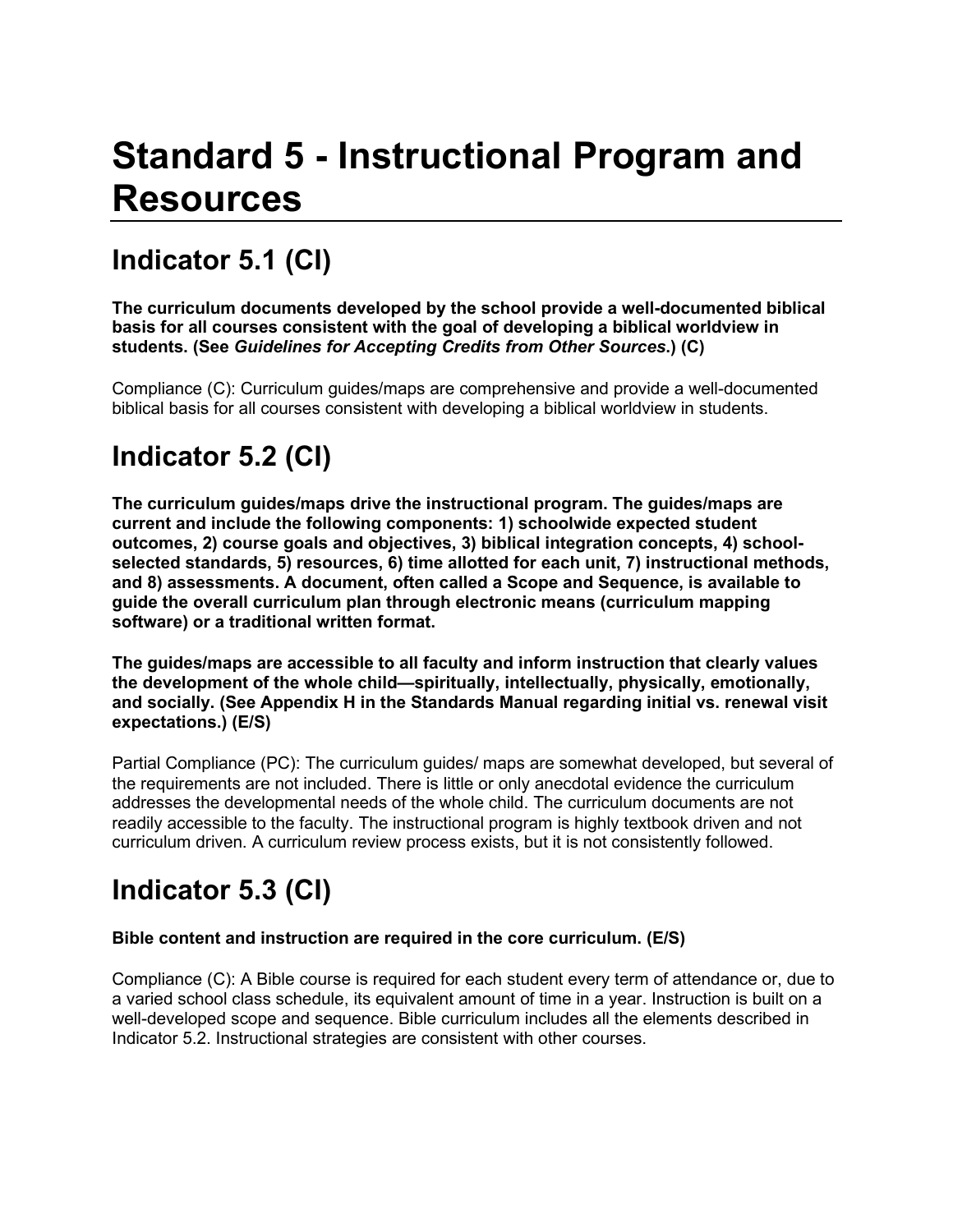# **Standard 5 - Instructional Program and Resources**

# **Indicator 5.1 (CI)**

**The curriculum documents developed by the school provide a well-documented biblical basis for all courses consistent with the goal of developing a biblical worldview in students. (See** *Guidelines for Accepting Credits from Other Sources***.) (C)**

Compliance (C): Curriculum guides/maps are comprehensive and provide a well-documented biblical basis for all courses consistent with developing a biblical worldview in students.

## **Indicator 5.2 (CI)**

**The curriculum guides/maps drive the instructional program. The guides/maps are current and include the following components: 1) schoolwide expected student outcomes, 2) course goals and objectives, 3) biblical integration concepts, 4) schoolselected standards, 5) resources, 6) time allotted for each unit, 7) instructional methods, and 8) assessments. A document, often called a Scope and Sequence, is available to guide the overall curriculum plan through electronic means (curriculum mapping software) or a traditional written format.**

**The guides/maps are accessible to all faculty and inform instruction that clearly values the development of the whole child—spiritually, intellectually, physically, emotionally, and socially. (See Appendix H in the Standards Manual regarding initial vs. renewal visit expectations.) (E/S)**

Partial Compliance (PC): The curriculum guides/ maps are somewhat developed, but several of the requirements are not included. There is little or only anecdotal evidence the curriculum addresses the developmental needs of the whole child. The curriculum documents are not readily accessible to the faculty. The instructional program is highly textbook driven and not curriculum driven. A curriculum review process exists, but it is not consistently followed.

# **Indicator 5.3 (CI)**

#### **Bible content and instruction are required in the core curriculum. (E/S)**

Compliance (C): A Bible course is required for each student every term of attendance or, due to a varied school class schedule, its equivalent amount of time in a year. Instruction is built on a well-developed scope and sequence. Bible curriculum includes all the elements described in Indicator 5.2. Instructional strategies are consistent with other courses.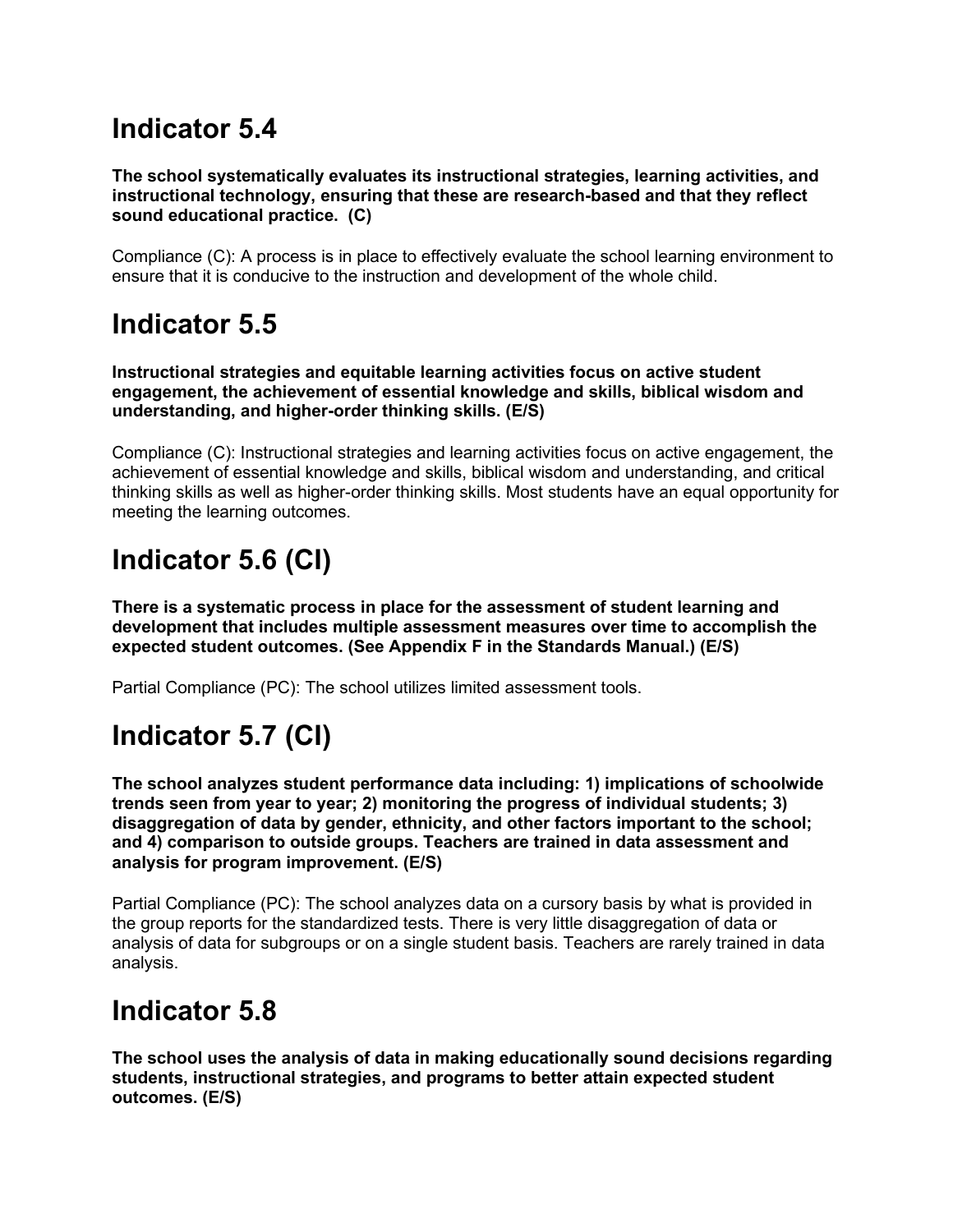#### **Indicator 5.4**

**The school systematically evaluates its instructional strategies, learning activities, and instructional technology, ensuring that these are research-based and that they reflect sound educational practice. (C)**

Compliance (C): A process is in place to effectively evaluate the school learning environment to ensure that it is conducive to the instruction and development of the whole child.

#### **Indicator 5.5**

**Instructional strategies and equitable learning activities focus on active student engagement, the achievement of essential knowledge and skills, biblical wisdom and understanding, and higher-order thinking skills. (E/S)**

Compliance (C): Instructional strategies and learning activities focus on active engagement, the achievement of essential knowledge and skills, biblical wisdom and understanding, and critical thinking skills as well as higher-order thinking skills. Most students have an equal opportunity for meeting the learning outcomes.

# **Indicator 5.6 (CI)**

**There is a systematic process in place for the assessment of student learning and development that includes multiple assessment measures over time to accomplish the expected student outcomes. (See Appendix F in the Standards Manual.) (E/S)**

Partial Compliance (PC): The school utilizes limited assessment tools.

# **Indicator 5.7 (CI)**

**The school analyzes student performance data including: 1) implications of schoolwide trends seen from year to year; 2) monitoring the progress of individual students; 3) disaggregation of data by gender, ethnicity, and other factors important to the school; and 4) comparison to outside groups. Teachers are trained in data assessment and analysis for program improvement. (E/S)**

Partial Compliance (PC): The school analyzes data on a cursory basis by what is provided in the group reports for the standardized tests. There is very little disaggregation of data or analysis of data for subgroups or on a single student basis. Teachers are rarely trained in data analysis.

#### **Indicator 5.8**

**The school uses the analysis of data in making educationally sound decisions regarding students, instructional strategies, and programs to better attain expected student outcomes. (E/S)**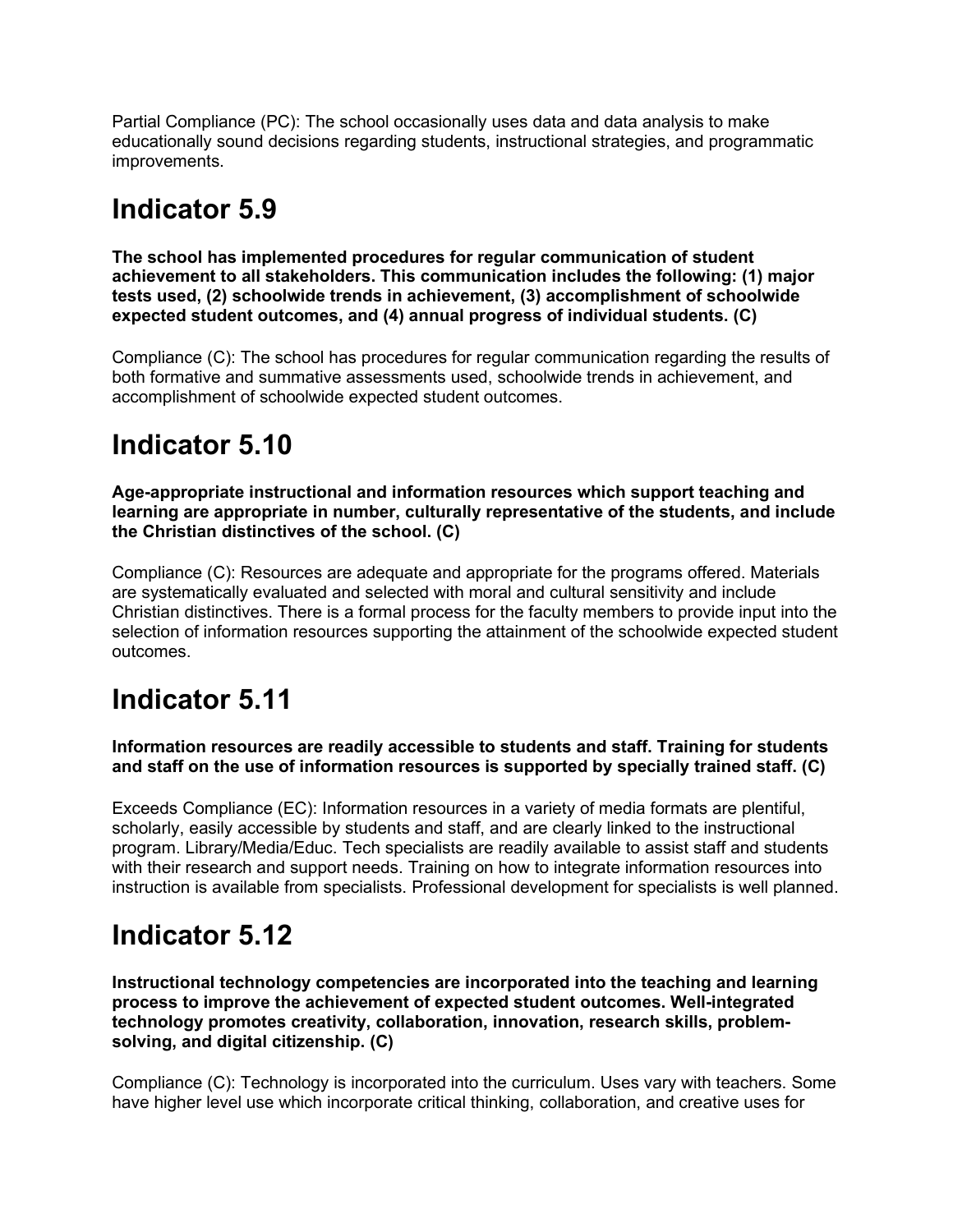Partial Compliance (PC): The school occasionally uses data and data analysis to make educationally sound decisions regarding students, instructional strategies, and programmatic improvements.

#### **Indicator 5.9**

**The school has implemented procedures for regular communication of student achievement to all stakeholders. This communication includes the following: (1) major tests used, (2) schoolwide trends in achievement, (3) accomplishment of schoolwide expected student outcomes, and (4) annual progress of individual students. (C)**

Compliance (C): The school has procedures for regular communication regarding the results of both formative and summative assessments used, schoolwide trends in achievement, and accomplishment of schoolwide expected student outcomes.

## **Indicator 5.10**

**Age-appropriate instructional and information resources which support teaching and learning are appropriate in number, culturally representative of the students, and include the Christian distinctives of the school. (C)**

Compliance (C): Resources are adequate and appropriate for the programs offered. Materials are systematically evaluated and selected with moral and cultural sensitivity and include Christian distinctives. There is a formal process for the faculty members to provide input into the selection of information resources supporting the attainment of the schoolwide expected student outcomes.

### **Indicator 5.11**

**Information resources are readily accessible to students and staff. Training for students and staff on the use of information resources is supported by specially trained staff. (C)**

Exceeds Compliance (EC): Information resources in a variety of media formats are plentiful, scholarly, easily accessible by students and staff, and are clearly linked to the instructional program. Library/Media/Educ. Tech specialists are readily available to assist staff and students with their research and support needs. Training on how to integrate information resources into instruction is available from specialists. Professional development for specialists is well planned.

### **Indicator 5.12**

**Instructional technology competencies are incorporated into the teaching and learning process to improve the achievement of expected student outcomes. Well-integrated technology promotes creativity, collaboration, innovation, research skills, problemsolving, and digital citizenship. (C)**

Compliance (C): Technology is incorporated into the curriculum. Uses vary with teachers. Some have higher level use which incorporate critical thinking, collaboration, and creative uses for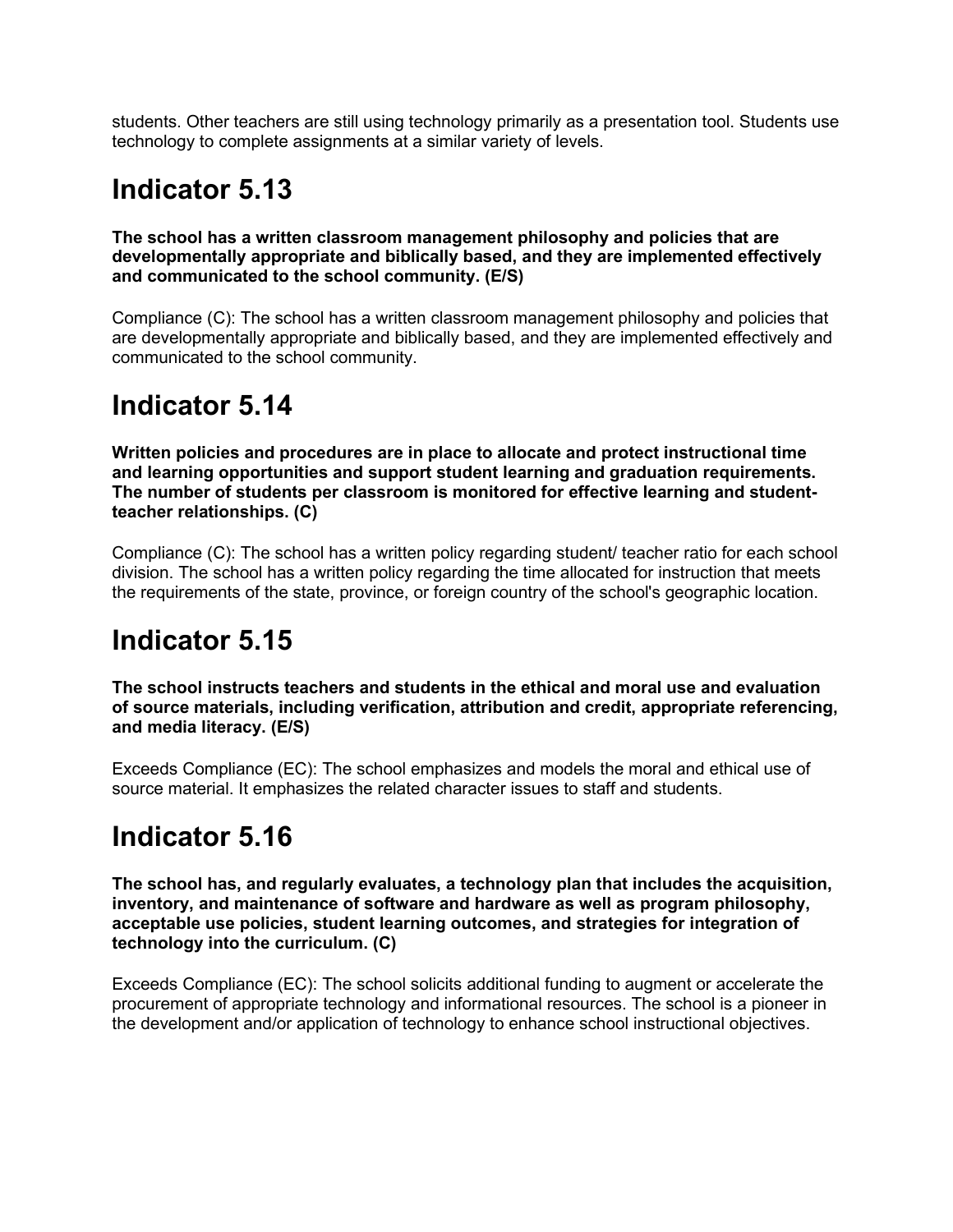students. Other teachers are still using technology primarily as a presentation tool. Students use technology to complete assignments at a similar variety of levels.

### **Indicator 5.13**

**The school has a written classroom management philosophy and policies that are developmentally appropriate and biblically based, and they are implemented effectively and communicated to the school community. (E/S)**

Compliance (C): The school has a written classroom management philosophy and policies that are developmentally appropriate and biblically based, and they are implemented effectively and communicated to the school community.

### **Indicator 5.14**

**Written policies and procedures are in place to allocate and protect instructional time and learning opportunities and support student learning and graduation requirements. The number of students per classroom is monitored for effective learning and studentteacher relationships. (C)**

Compliance (C): The school has a written policy regarding student/ teacher ratio for each school division. The school has a written policy regarding the time allocated for instruction that meets the requirements of the state, province, or foreign country of the school's geographic location.

#### **Indicator 5.15**

**The school instructs teachers and students in the ethical and moral use and evaluation of source materials, including verification, attribution and credit, appropriate referencing, and media literacy. (E/S)**

Exceeds Compliance (EC): The school emphasizes and models the moral and ethical use of source material. It emphasizes the related character issues to staff and students.

#### **Indicator 5.16**

**The school has, and regularly evaluates, a technology plan that includes the acquisition, inventory, and maintenance of software and hardware as well as program philosophy, acceptable use policies, student learning outcomes, and strategies for integration of technology into the curriculum. (C)**

Exceeds Compliance (EC): The school solicits additional funding to augment or accelerate the procurement of appropriate technology and informational resources. The school is a pioneer in the development and/or application of technology to enhance school instructional objectives.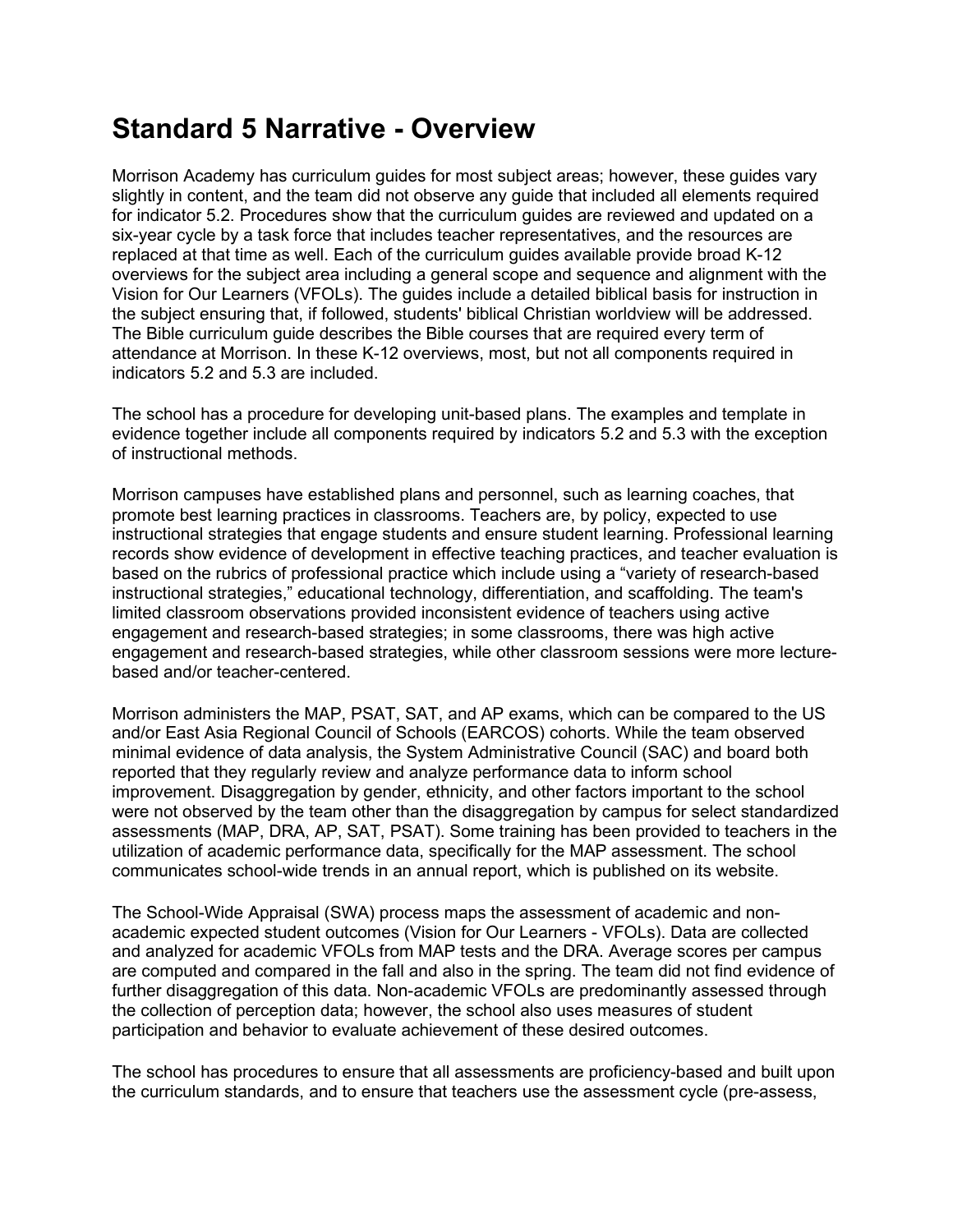#### **Standard 5 Narrative - Overview**

Morrison Academy has curriculum guides for most subject areas; however, these guides vary slightly in content, and the team did not observe any guide that included all elements required for indicator 5.2. Procedures show that the curriculum guides are reviewed and updated on a six-year cycle by a task force that includes teacher representatives, and the resources are replaced at that time as well. Each of the curriculum guides available provide broad K-12 overviews for the subject area including a general scope and sequence and alignment with the Vision for Our Learners (VFOLs). The guides include a detailed biblical basis for instruction in the subject ensuring that, if followed, students' biblical Christian worldview will be addressed. The Bible curriculum guide describes the Bible courses that are required every term of attendance at Morrison. In these K-12 overviews, most, but not all components required in indicators 5.2 and 5.3 are included.

The school has a procedure for developing unit-based plans. The examples and template in evidence together include all components required by indicators 5.2 and 5.3 with the exception of instructional methods.

Morrison campuses have established plans and personnel, such as learning coaches, that promote best learning practices in classrooms. Teachers are, by policy, expected to use instructional strategies that engage students and ensure student learning. Professional learning records show evidence of development in effective teaching practices, and teacher evaluation is based on the rubrics of professional practice which include using a "variety of research-based instructional strategies," educational technology, differentiation, and scaffolding. The team's limited classroom observations provided inconsistent evidence of teachers using active engagement and research-based strategies; in some classrooms, there was high active engagement and research-based strategies, while other classroom sessions were more lecturebased and/or teacher-centered.

Morrison administers the MAP, PSAT, SAT, and AP exams, which can be compared to the US and/or East Asia Regional Council of Schools (EARCOS) cohorts. While the team observed minimal evidence of data analysis, the System Administrative Council (SAC) and board both reported that they regularly review and analyze performance data to inform school improvement. Disaggregation by gender, ethnicity, and other factors important to the school were not observed by the team other than the disaggregation by campus for select standardized assessments (MAP, DRA, AP, SAT, PSAT). Some training has been provided to teachers in the utilization of academic performance data, specifically for the MAP assessment. The school communicates school-wide trends in an annual report, which is published on its website.

The School-Wide Appraisal (SWA) process maps the assessment of academic and nonacademic expected student outcomes (Vision for Our Learners - VFOLs). Data are collected and analyzed for academic VFOLs from MAP tests and the DRA. Average scores per campus are computed and compared in the fall and also in the spring. The team did not find evidence of further disaggregation of this data. Non-academic VFOLs are predominantly assessed through the collection of perception data; however, the school also uses measures of student participation and behavior to evaluate achievement of these desired outcomes.

The school has procedures to ensure that all assessments are proficiency-based and built upon the curriculum standards, and to ensure that teachers use the assessment cycle (pre-assess,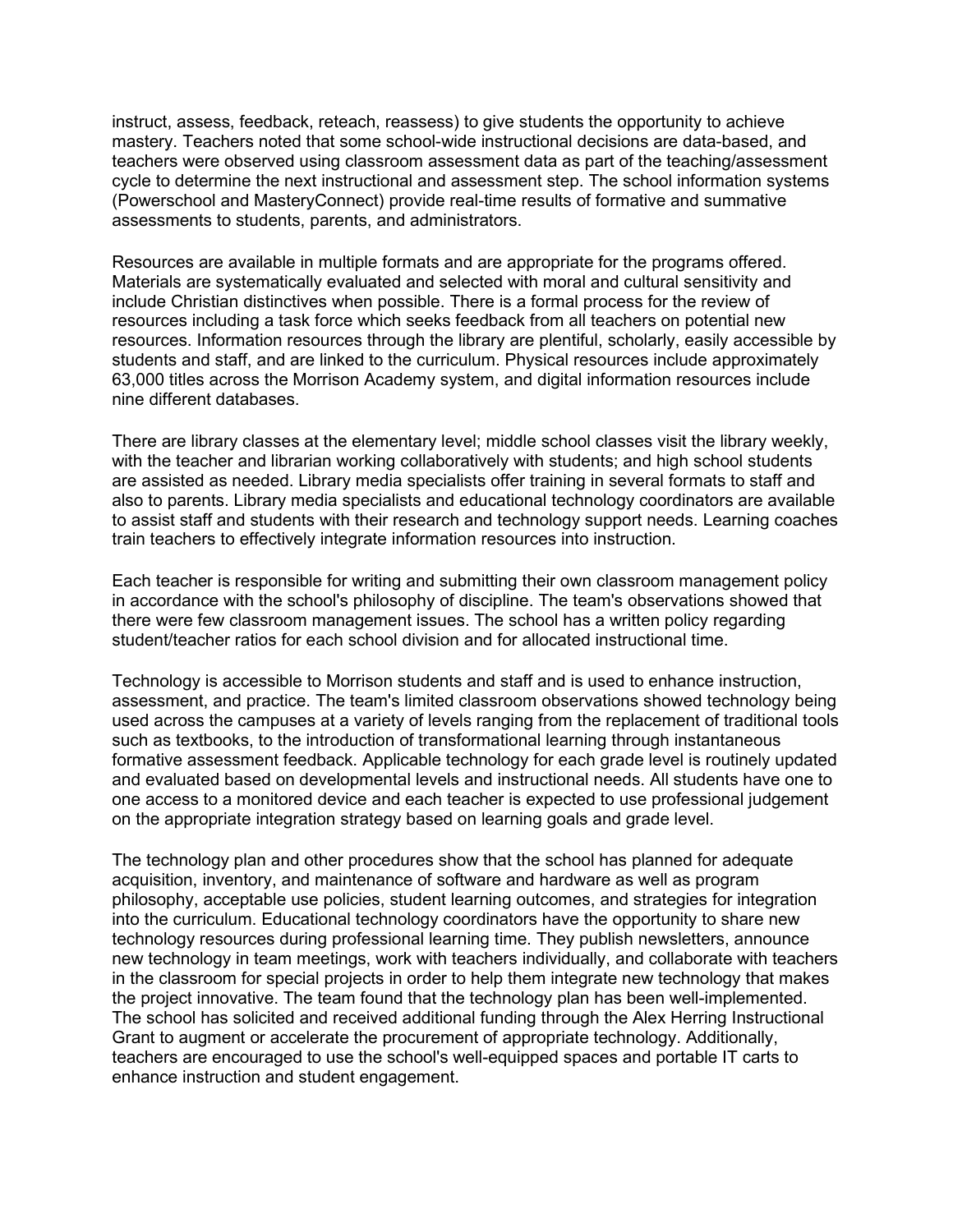instruct, assess, feedback, reteach, reassess) to give students the opportunity to achieve mastery. Teachers noted that some school-wide instructional decisions are data-based, and teachers were observed using classroom assessment data as part of the teaching/assessment cycle to determine the next instructional and assessment step. The school information systems (Powerschool and MasteryConnect) provide real-time results of formative and summative assessments to students, parents, and administrators.

Resources are available in multiple formats and are appropriate for the programs offered. Materials are systematically evaluated and selected with moral and cultural sensitivity and include Christian distinctives when possible. There is a formal process for the review of resources including a task force which seeks feedback from all teachers on potential new resources. Information resources through the library are plentiful, scholarly, easily accessible by students and staff, and are linked to the curriculum. Physical resources include approximately 63,000 titles across the Morrison Academy system, and digital information resources include nine different databases.

There are library classes at the elementary level; middle school classes visit the library weekly, with the teacher and librarian working collaboratively with students; and high school students are assisted as needed. Library media specialists offer training in several formats to staff and also to parents. Library media specialists and educational technology coordinators are available to assist staff and students with their research and technology support needs. Learning coaches train teachers to effectively integrate information resources into instruction.

Each teacher is responsible for writing and submitting their own classroom management policy in accordance with the school's philosophy of discipline. The team's observations showed that there were few classroom management issues. The school has a written policy regarding student/teacher ratios for each school division and for allocated instructional time.

Technology is accessible to Morrison students and staff and is used to enhance instruction, assessment, and practice. The team's limited classroom observations showed technology being used across the campuses at a variety of levels ranging from the replacement of traditional tools such as textbooks, to the introduction of transformational learning through instantaneous formative assessment feedback. Applicable technology for each grade level is routinely updated and evaluated based on developmental levels and instructional needs. All students have one to one access to a monitored device and each teacher is expected to use professional judgement on the appropriate integration strategy based on learning goals and grade level.

The technology plan and other procedures show that the school has planned for adequate acquisition, inventory, and maintenance of software and hardware as well as program philosophy, acceptable use policies, student learning outcomes, and strategies for integration into the curriculum. Educational technology coordinators have the opportunity to share new technology resources during professional learning time. They publish newsletters, announce new technology in team meetings, work with teachers individually, and collaborate with teachers in the classroom for special projects in order to help them integrate new technology that makes the project innovative. The team found that the technology plan has been well-implemented. The school has solicited and received additional funding through the Alex Herring Instructional Grant to augment or accelerate the procurement of appropriate technology. Additionally, teachers are encouraged to use the school's well-equipped spaces and portable IT carts to enhance instruction and student engagement.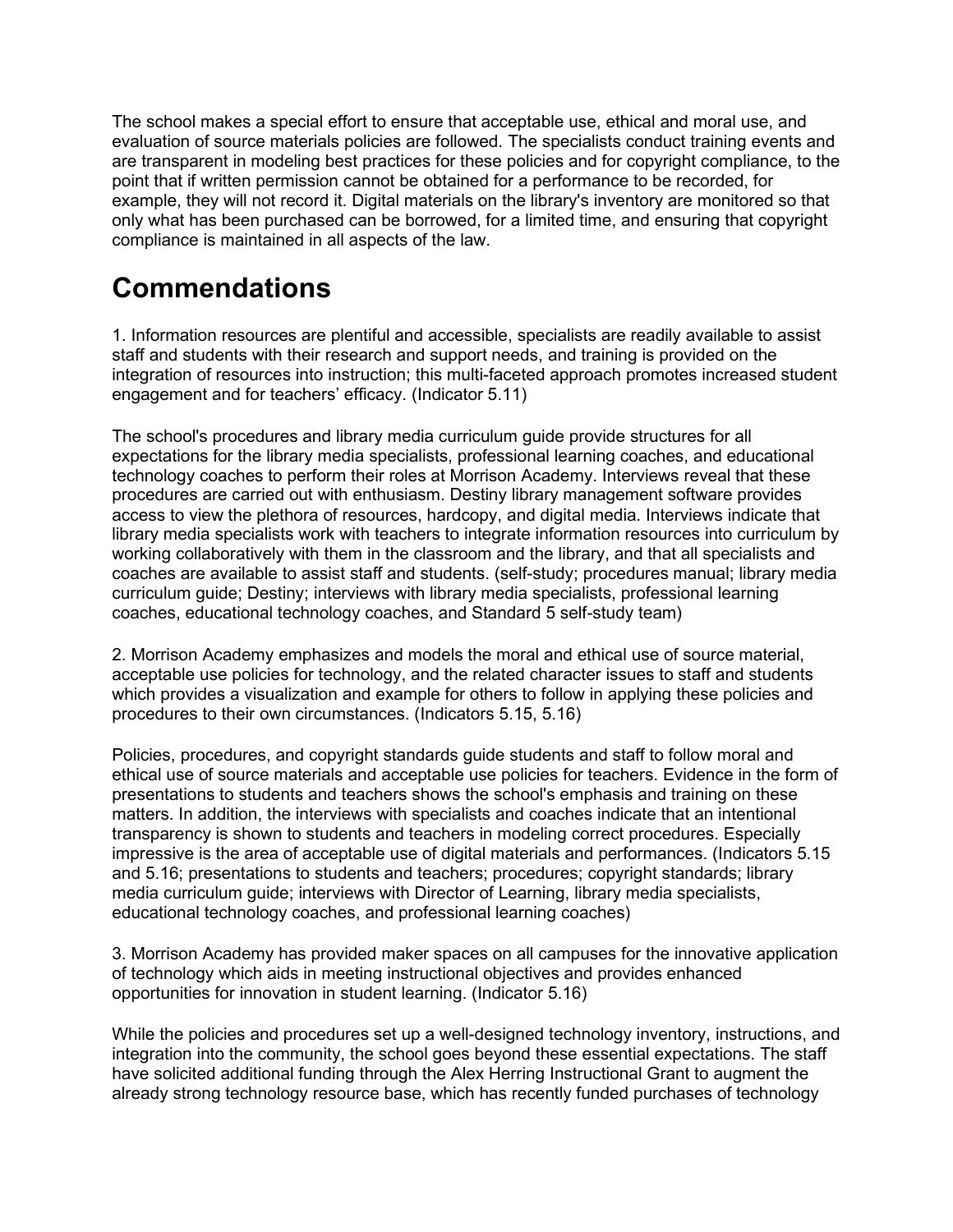The school makes a special effort to ensure that acceptable use, ethical and moral use, and evaluation of source materials policies are followed. The specialists conduct training events and are transparent in modeling best practices for these policies and for copyright compliance, to the point that if written permission cannot be obtained for a performance to be recorded, for example, they will not record it. Digital materials on the library's inventory are monitored so that only what has been purchased can be borrowed, for a limited time, and ensuring that copyright compliance is maintained in all aspects of the law.

### **Commendations**

1. Information resources are plentiful and accessible, specialists are readily available to assist staff and students with their research and support needs, and training is provided on the integration of resources into instruction; this multi-faceted approach promotes increased student engagement and for teachers' efficacy. (Indicator 5.11)

The school's procedures and library media curriculum guide provide structures for all expectations for the library media specialists, professional learning coaches, and educational technology coaches to perform their roles at Morrison Academy. Interviews reveal that these procedures are carried out with enthusiasm. Destiny library management software provides access to view the plethora of resources, hardcopy, and digital media. Interviews indicate that library media specialists work with teachers to integrate information resources into curriculum by working collaboratively with them in the classroom and the library, and that all specialists and coaches are available to assist staff and students. (self-study; procedures manual; library media curriculum guide; Destiny; interviews with library media specialists, professional learning coaches, educational technology coaches, and Standard 5 self-study team)

2. Morrison Academy emphasizes and models the moral and ethical use of source material, acceptable use policies for technology, and the related character issues to staff and students which provides a visualization and example for others to follow in applying these policies and procedures to their own circumstances. (Indicators 5.15, 5.16)

Policies, procedures, and copyright standards guide students and staff to follow moral and ethical use of source materials and acceptable use policies for teachers. Evidence in the form of presentations to students and teachers shows the school's emphasis and training on these matters. In addition, the interviews with specialists and coaches indicate that an intentional transparency is shown to students and teachers in modeling correct procedures. Especially impressive is the area of acceptable use of digital materials and performances. (Indicators 5.15 and 5.16; presentations to students and teachers; procedures; copyright standards; library media curriculum guide; interviews with Director of Learning, library media specialists, educational technology coaches, and professional learning coaches)

3. Morrison Academy has provided maker spaces on all campuses for the innovative application of technology which aids in meeting instructional objectives and provides enhanced opportunities for innovation in student learning. (Indicator 5.16)

While the policies and procedures set up a well-designed technology inventory, instructions, and integration into the community, the school goes beyond these essential expectations. The staff have solicited additional funding through the Alex Herring Instructional Grant to augment the already strong technology resource base, which has recently funded purchases of technology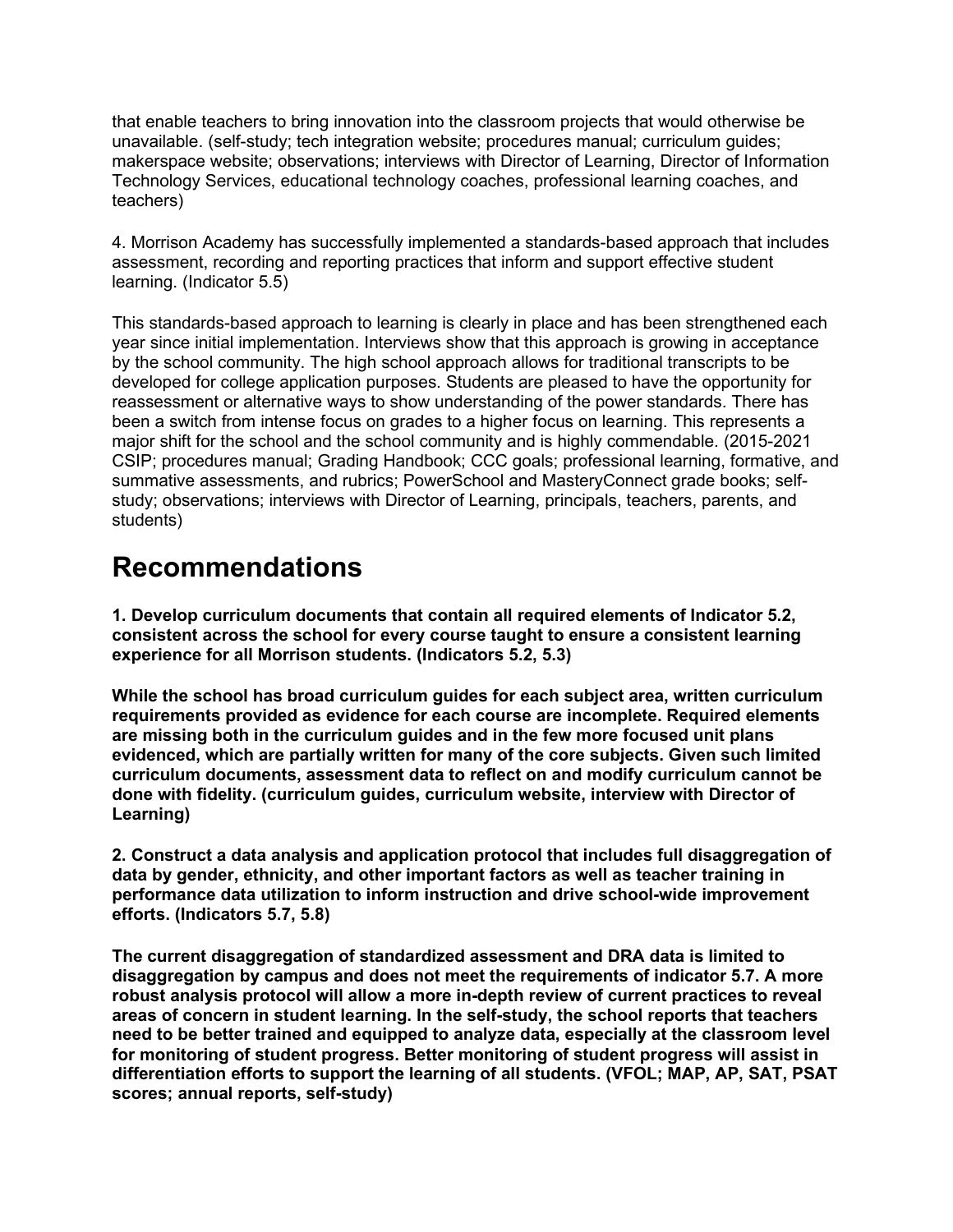that enable teachers to bring innovation into the classroom projects that would otherwise be unavailable. (self-study; tech integration website; procedures manual; curriculum guides; makerspace website; observations; interviews with Director of Learning, Director of Information Technology Services, educational technology coaches, professional learning coaches, and teachers)

4. Morrison Academy has successfully implemented a standards-based approach that includes assessment, recording and reporting practices that inform and support effective student learning. (Indicator 5.5)

This standards-based approach to learning is clearly in place and has been strengthened each year since initial implementation. Interviews show that this approach is growing in acceptance by the school community. The high school approach allows for traditional transcripts to be developed for college application purposes. Students are pleased to have the opportunity for reassessment or alternative ways to show understanding of the power standards. There has been a switch from intense focus on grades to a higher focus on learning. This represents a major shift for the school and the school community and is highly commendable. (2015-2021 CSIP; procedures manual; Grading Handbook; CCC goals; professional learning, formative, and summative assessments, and rubrics; PowerSchool and MasteryConnect grade books; selfstudy; observations; interviews with Director of Learning, principals, teachers, parents, and students)

#### **Recommendations**

**1. Develop curriculum documents that contain all required elements of Indicator 5.2, consistent across the school for every course taught to ensure a consistent learning experience for all Morrison students. (Indicators 5.2, 5.3)**

**While the school has broad curriculum guides for each subject area, written curriculum requirements provided as evidence for each course are incomplete. Required elements are missing both in the curriculum guides and in the few more focused unit plans evidenced, which are partially written for many of the core subjects. Given such limited curriculum documents, assessment data to reflect on and modify curriculum cannot be done with fidelity. (curriculum guides, curriculum website, interview with Director of Learning)**

**2. Construct a data analysis and application protocol that includes full disaggregation of data by gender, ethnicity, and other important factors as well as teacher training in performance data utilization to inform instruction and drive school-wide improvement efforts. (Indicators 5.7, 5.8)**

**The current disaggregation of standardized assessment and DRA data is limited to disaggregation by campus and does not meet the requirements of indicator 5.7. A more robust analysis protocol will allow a more in-depth review of current practices to reveal areas of concern in student learning. In the self-study, the school reports that teachers need to be better trained and equipped to analyze data, especially at the classroom level for monitoring of student progress. Better monitoring of student progress will assist in differentiation efforts to support the learning of all students. (VFOL; MAP, AP, SAT, PSAT scores; annual reports, self-study)**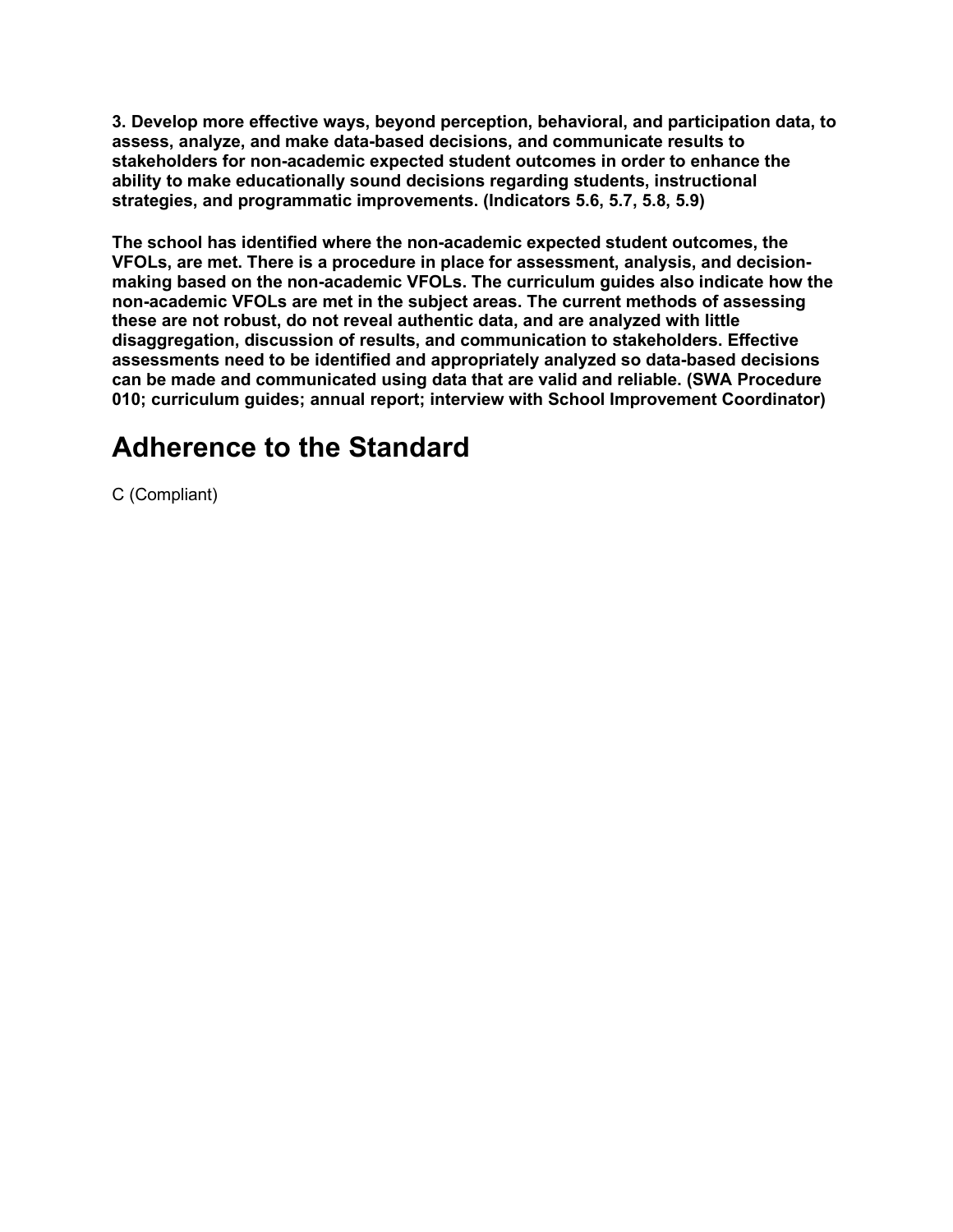**3. Develop more effective ways, beyond perception, behavioral, and participation data, to assess, analyze, and make data-based decisions, and communicate results to stakeholders for non-academic expected student outcomes in order to enhance the ability to make educationally sound decisions regarding students, instructional strategies, and programmatic improvements. (Indicators 5.6, 5.7, 5.8, 5.9)**

**The school has identified where the non-academic expected student outcomes, the VFOLs, are met. There is a procedure in place for assessment, analysis, and decisionmaking based on the non-academic VFOLs. The curriculum guides also indicate how the non-academic VFOLs are met in the subject areas. The current methods of assessing these are not robust, do not reveal authentic data, and are analyzed with little disaggregation, discussion of results, and communication to stakeholders. Effective assessments need to be identified and appropriately analyzed so data-based decisions can be made and communicated using data that are valid and reliable. (SWA Procedure 010; curriculum guides; annual report; interview with School Improvement Coordinator)**

#### **Adherence to the Standard**

C (Compliant)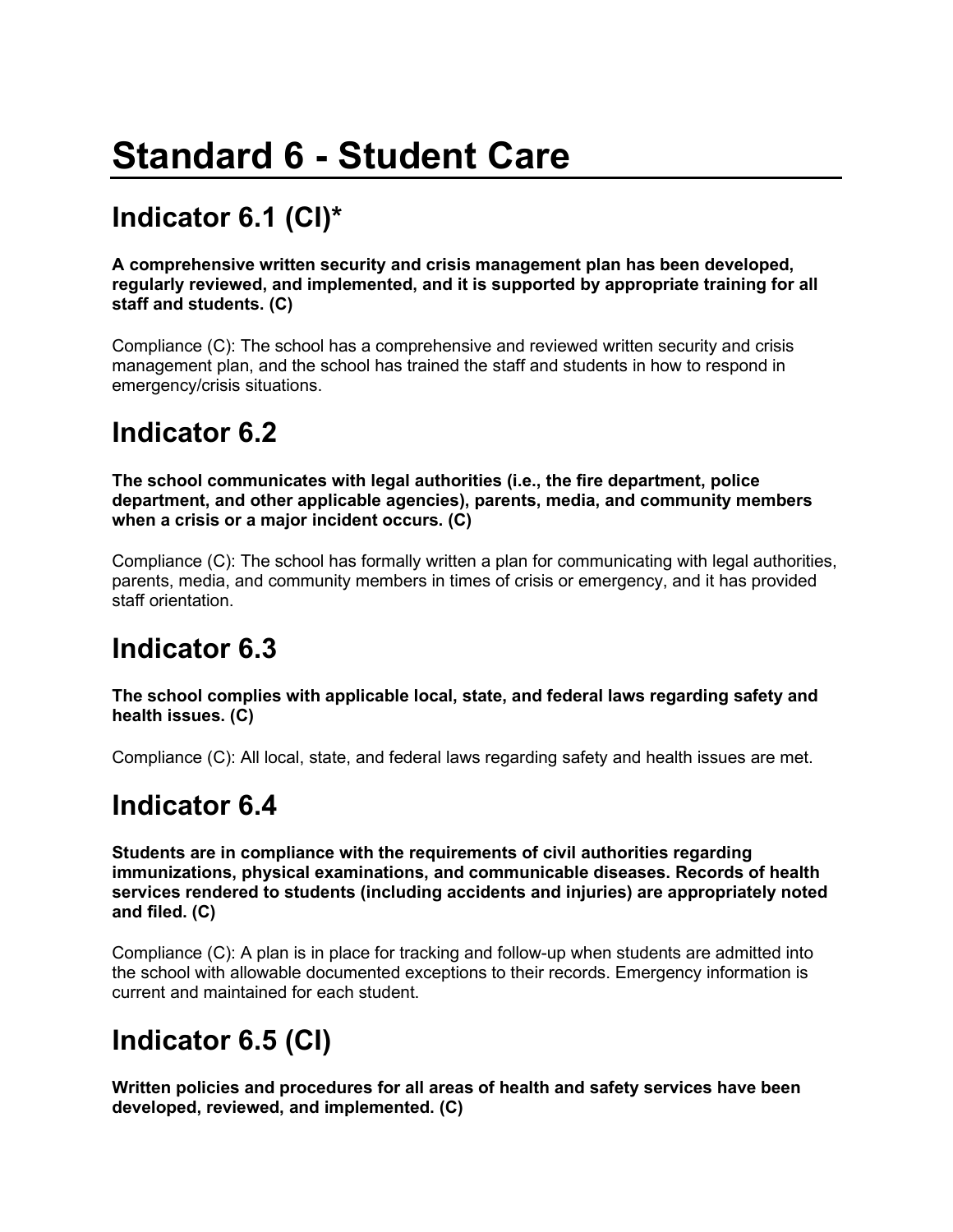# **Standard 6 - Student Care**

# **Indicator 6.1 (CI)\***

**A comprehensive written security and crisis management plan has been developed, regularly reviewed, and implemented, and it is supported by appropriate training for all staff and students. (C)**

Compliance (C): The school has a comprehensive and reviewed written security and crisis management plan, and the school has trained the staff and students in how to respond in emergency/crisis situations.

#### **Indicator 6.2**

**The school communicates with legal authorities (i.e., the fire department, police department, and other applicable agencies), parents, media, and community members when a crisis or a major incident occurs. (C)**

Compliance (C): The school has formally written a plan for communicating with legal authorities, parents, media, and community members in times of crisis or emergency, and it has provided staff orientation.

#### **Indicator 6.3**

**The school complies with applicable local, state, and federal laws regarding safety and health issues. (C)**

Compliance (C): All local, state, and federal laws regarding safety and health issues are met.

#### **Indicator 6.4**

**Students are in compliance with the requirements of civil authorities regarding immunizations, physical examinations, and communicable diseases. Records of health services rendered to students (including accidents and injuries) are appropriately noted and filed. (C)**

Compliance (C): A plan is in place for tracking and follow-up when students are admitted into the school with allowable documented exceptions to their records. Emergency information is current and maintained for each student.

### **Indicator 6.5 (CI)**

**Written policies and procedures for all areas of health and safety services have been developed, reviewed, and implemented. (C)**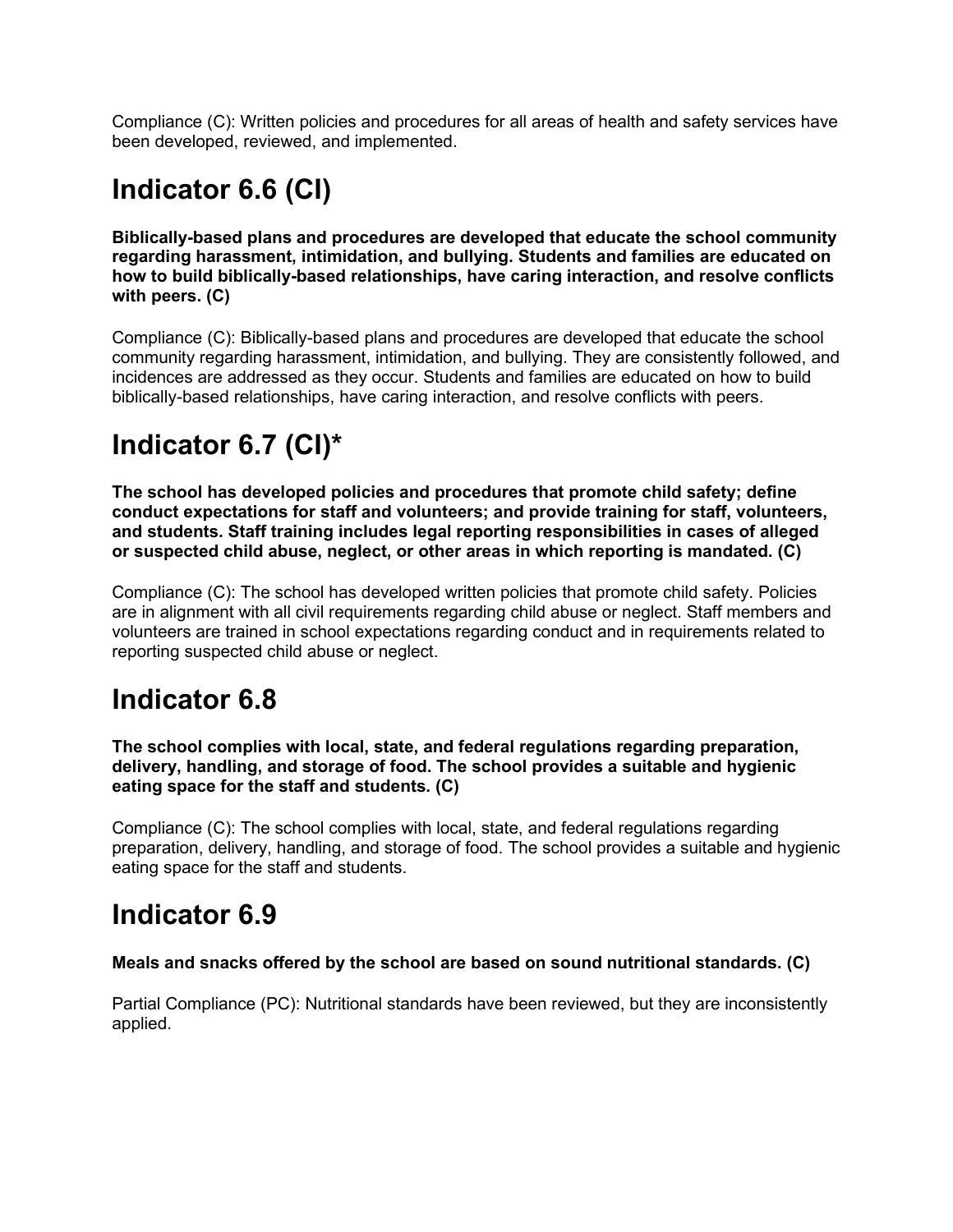Compliance (C): Written policies and procedures for all areas of health and safety services have been developed, reviewed, and implemented.

# **Indicator 6.6 (CI)**

**Biblically-based plans and procedures are developed that educate the school community regarding harassment, intimidation, and bullying. Students and families are educated on how to build biblically-based relationships, have caring interaction, and resolve conflicts with peers. (C)**

Compliance (C): Biblically-based plans and procedures are developed that educate the school community regarding harassment, intimidation, and bullying. They are consistently followed, and incidences are addressed as they occur. Students and families are educated on how to build biblically-based relationships, have caring interaction, and resolve conflicts with peers.

# **Indicator 6.7 (CI)\***

**The school has developed policies and procedures that promote child safety; define conduct expectations for staff and volunteers; and provide training for staff, volunteers, and students. Staff training includes legal reporting responsibilities in cases of alleged or suspected child abuse, neglect, or other areas in which reporting is mandated. (C)**

Compliance (C): The school has developed written policies that promote child safety. Policies are in alignment with all civil requirements regarding child abuse or neglect. Staff members and volunteers are trained in school expectations regarding conduct and in requirements related to reporting suspected child abuse or neglect.

### **Indicator 6.8**

**The school complies with local, state, and federal regulations regarding preparation, delivery, handling, and storage of food. The school provides a suitable and hygienic eating space for the staff and students. (C)**

Compliance (C): The school complies with local, state, and federal regulations regarding preparation, delivery, handling, and storage of food. The school provides a suitable and hygienic eating space for the staff and students.

### **Indicator 6.9**

#### **Meals and snacks offered by the school are based on sound nutritional standards. (C)**

Partial Compliance (PC): Nutritional standards have been reviewed, but they are inconsistently applied.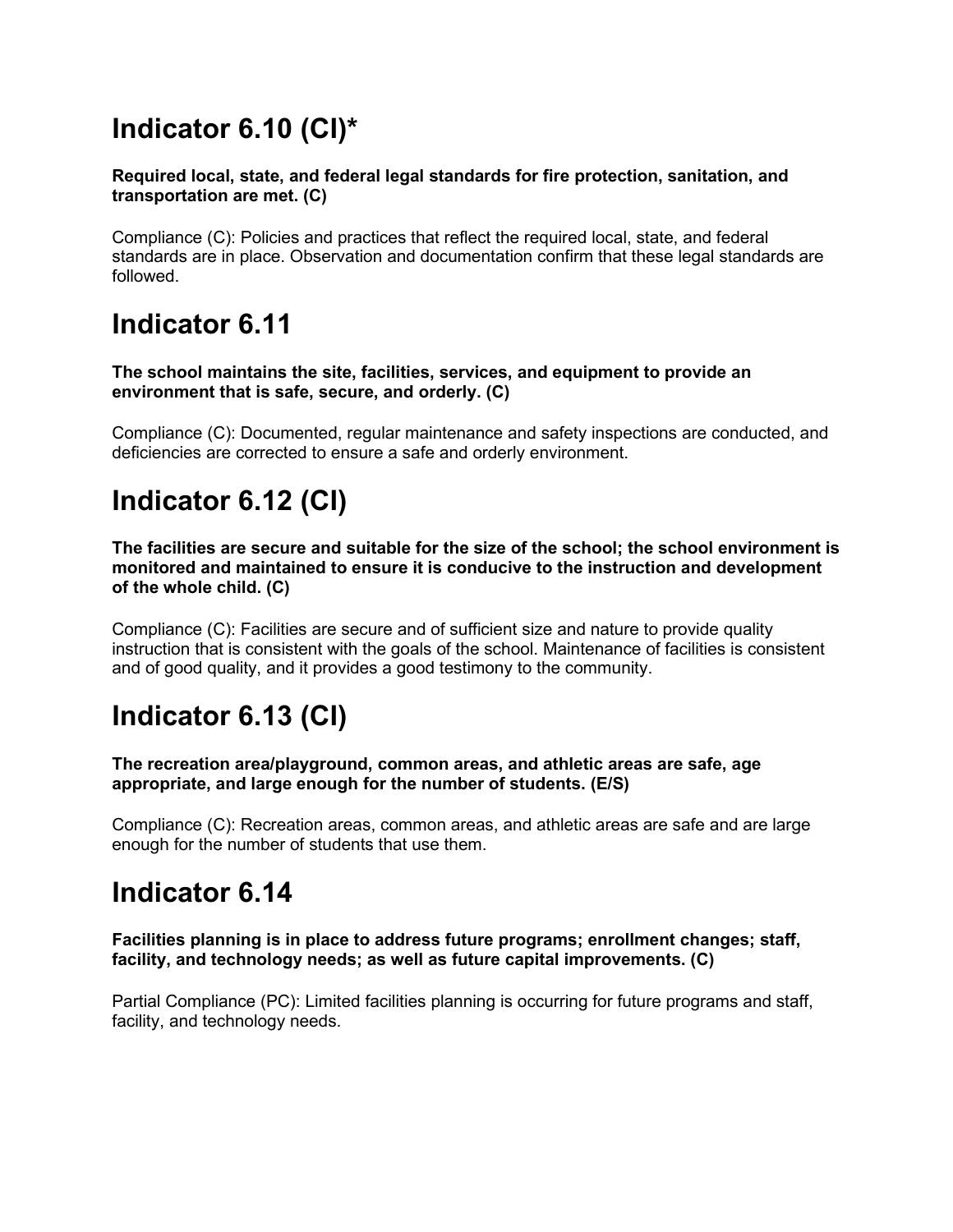# **Indicator 6.10 (CI)\***

**Required local, state, and federal legal standards for fire protection, sanitation, and transportation are met. (C)**

Compliance (C): Policies and practices that reflect the required local, state, and federal standards are in place. Observation and documentation confirm that these legal standards are followed.

### **Indicator 6.11**

**The school maintains the site, facilities, services, and equipment to provide an environment that is safe, secure, and orderly. (C)**

Compliance (C): Documented, regular maintenance and safety inspections are conducted, and deficiencies are corrected to ensure a safe and orderly environment.

# **Indicator 6.12 (CI)**

**The facilities are secure and suitable for the size of the school; the school environment is monitored and maintained to ensure it is conducive to the instruction and development of the whole child. (C)**

Compliance (C): Facilities are secure and of sufficient size and nature to provide quality instruction that is consistent with the goals of the school. Maintenance of facilities is consistent and of good quality, and it provides a good testimony to the community.

# **Indicator 6.13 (CI)**

**The recreation area/playground, common areas, and athletic areas are safe, age appropriate, and large enough for the number of students. (E/S)**

Compliance (C): Recreation areas, common areas, and athletic areas are safe and are large enough for the number of students that use them.

#### **Indicator 6.14**

**Facilities planning is in place to address future programs; enrollment changes; staff, facility, and technology needs; as well as future capital improvements. (C)**

Partial Compliance (PC): Limited facilities planning is occurring for future programs and staff, facility, and technology needs.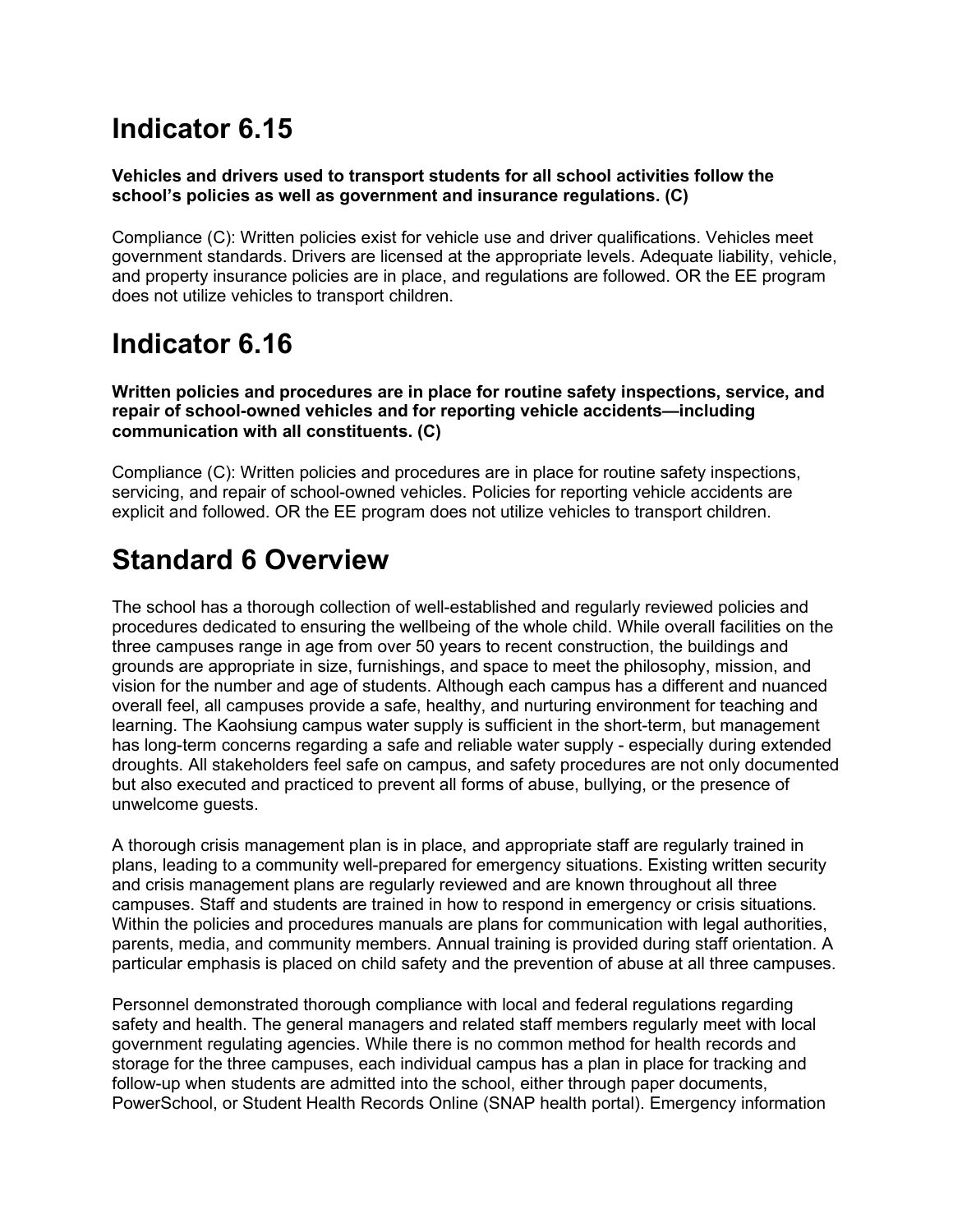### **Indicator 6.15**

#### **Vehicles and drivers used to transport students for all school activities follow the school's policies as well as government and insurance regulations. (C)**

Compliance (C): Written policies exist for vehicle use and driver qualifications. Vehicles meet government standards. Drivers are licensed at the appropriate levels. Adequate liability, vehicle, and property insurance policies are in place, and regulations are followed. OR the EE program does not utilize vehicles to transport children.

### **Indicator 6.16**

**Written policies and procedures are in place for routine safety inspections, service, and repair of school-owned vehicles and for reporting vehicle accidents—including communication with all constituents. (C)**

Compliance (C): Written policies and procedures are in place for routine safety inspections, servicing, and repair of school-owned vehicles. Policies for reporting vehicle accidents are explicit and followed. OR the EE program does not utilize vehicles to transport children.

# **Standard 6 Overview**

The school has a thorough collection of well-established and regularly reviewed policies and procedures dedicated to ensuring the wellbeing of the whole child. While overall facilities on the three campuses range in age from over 50 years to recent construction, the buildings and grounds are appropriate in size, furnishings, and space to meet the philosophy, mission, and vision for the number and age of students. Although each campus has a different and nuanced overall feel, all campuses provide a safe, healthy, and nurturing environment for teaching and learning. The Kaohsiung campus water supply is sufficient in the short-term, but management has long-term concerns regarding a safe and reliable water supply - especially during extended droughts. All stakeholders feel safe on campus, and safety procedures are not only documented but also executed and practiced to prevent all forms of abuse, bullying, or the presence of unwelcome guests.

A thorough crisis management plan is in place, and appropriate staff are regularly trained in plans, leading to a community well-prepared for emergency situations. Existing written security and crisis management plans are regularly reviewed and are known throughout all three campuses. Staff and students are trained in how to respond in emergency or crisis situations. Within the policies and procedures manuals are plans for communication with legal authorities, parents, media, and community members. Annual training is provided during staff orientation. A particular emphasis is placed on child safety and the prevention of abuse at all three campuses.

Personnel demonstrated thorough compliance with local and federal regulations regarding safety and health. The general managers and related staff members regularly meet with local government regulating agencies. While there is no common method for health records and storage for the three campuses, each individual campus has a plan in place for tracking and follow-up when students are admitted into the school, either through paper documents, PowerSchool, or Student Health Records Online (SNAP health portal). Emergency information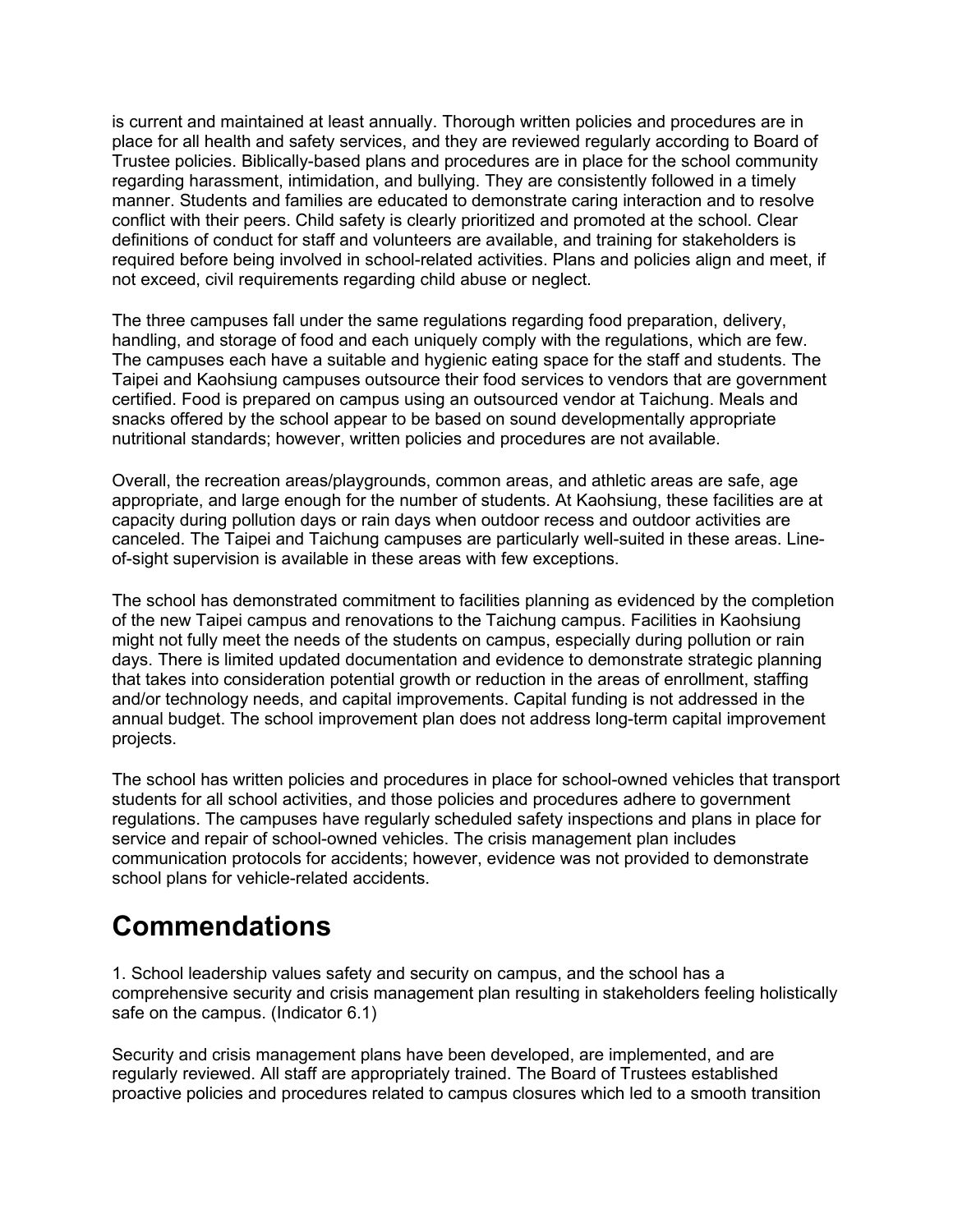is current and maintained at least annually. Thorough written policies and procedures are in place for all health and safety services, and they are reviewed regularly according to Board of Trustee policies. Biblically-based plans and procedures are in place for the school community regarding harassment, intimidation, and bullying. They are consistently followed in a timely manner. Students and families are educated to demonstrate caring interaction and to resolve conflict with their peers. Child safety is clearly prioritized and promoted at the school. Clear definitions of conduct for staff and volunteers are available, and training for stakeholders is required before being involved in school-related activities. Plans and policies align and meet, if not exceed, civil requirements regarding child abuse or neglect.

The three campuses fall under the same regulations regarding food preparation, delivery, handling, and storage of food and each uniquely comply with the regulations, which are few. The campuses each have a suitable and hygienic eating space for the staff and students. The Taipei and Kaohsiung campuses outsource their food services to vendors that are government certified. Food is prepared on campus using an outsourced vendor at Taichung. Meals and snacks offered by the school appear to be based on sound developmentally appropriate nutritional standards; however, written policies and procedures are not available.

Overall, the recreation areas/playgrounds, common areas, and athletic areas are safe, age appropriate, and large enough for the number of students. At Kaohsiung, these facilities are at capacity during pollution days or rain days when outdoor recess and outdoor activities are canceled. The Taipei and Taichung campuses are particularly well-suited in these areas. Lineof-sight supervision is available in these areas with few exceptions.

The school has demonstrated commitment to facilities planning as evidenced by the completion of the new Taipei campus and renovations to the Taichung campus. Facilities in Kaohsiung might not fully meet the needs of the students on campus, especially during pollution or rain days. There is limited updated documentation and evidence to demonstrate strategic planning that takes into consideration potential growth or reduction in the areas of enrollment, staffing and/or technology needs, and capital improvements. Capital funding is not addressed in the annual budget. The school improvement plan does not address long-term capital improvement projects.

The school has written policies and procedures in place for school-owned vehicles that transport students for all school activities, and those policies and procedures adhere to government regulations. The campuses have regularly scheduled safety inspections and plans in place for service and repair of school-owned vehicles. The crisis management plan includes communication protocols for accidents; however, evidence was not provided to demonstrate school plans for vehicle-related accidents.

#### **Commendations**

1. School leadership values safety and security on campus, and the school has a comprehensive security and crisis management plan resulting in stakeholders feeling holistically safe on the campus. (Indicator 6.1)

Security and crisis management plans have been developed, are implemented, and are regularly reviewed. All staff are appropriately trained. The Board of Trustees established proactive policies and procedures related to campus closures which led to a smooth transition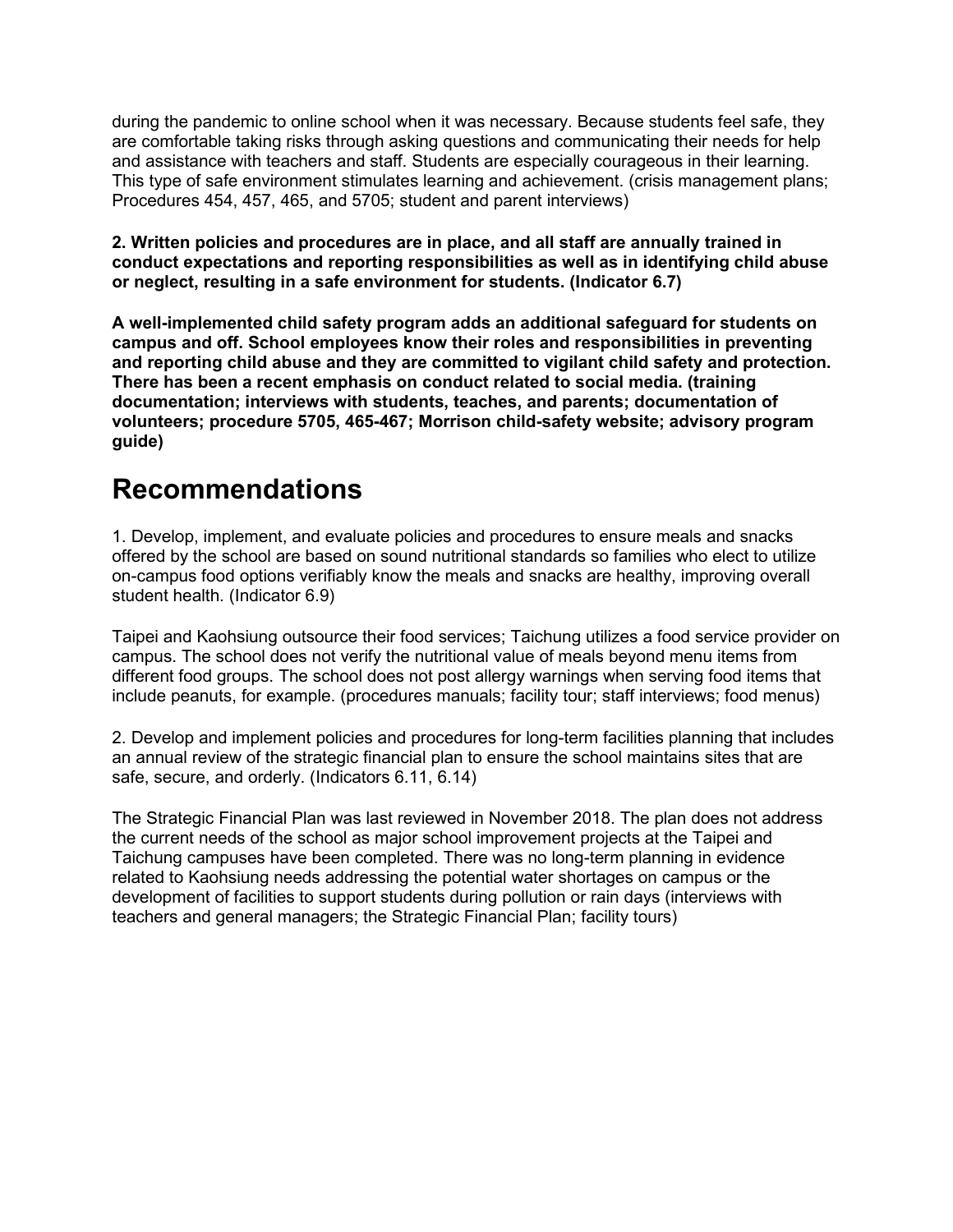during the pandemic to online school when it was necessary. Because students feel safe, they are comfortable taking risks through asking questions and communicating their needs for help and assistance with teachers and staff. Students are especially courageous in their learning. This type of safe environment stimulates learning and achievement. (crisis management plans; Procedures 454, 457, 465, and 5705; student and parent interviews)

**2. Written policies and procedures are in place, and all staff are annually trained in conduct expectations and reporting responsibilities as well as in identifying child abuse or neglect, resulting in a safe environment for students. (Indicator 6.7)**

**A well-implemented child safety program adds an additional safeguard for students on campus and off. School employees know their roles and responsibilities in preventing and reporting child abuse and they are committed to vigilant child safety and protection. There has been a recent emphasis on conduct related to social media. (training documentation; interviews with students, teaches, and parents; documentation of volunteers; procedure 5705, 465-467; Morrison child-safety website; advisory program guide)**

#### **Recommendations**

1. Develop, implement, and evaluate policies and procedures to ensure meals and snacks offered by the school are based on sound nutritional standards so families who elect to utilize on-campus food options verifiably know the meals and snacks are healthy, improving overall student health. (Indicator 6.9)

Taipei and Kaohsiung outsource their food services; Taichung utilizes a food service provider on campus. The school does not verify the nutritional value of meals beyond menu items from different food groups. The school does not post allergy warnings when serving food items that include peanuts, for example. (procedures manuals; facility tour; staff interviews; food menus)

2. Develop and implement policies and procedures for long-term facilities planning that includes an annual review of the strategic financial plan to ensure the school maintains sites that are safe, secure, and orderly. (Indicators 6.11, 6.14)

The Strategic Financial Plan was last reviewed in November 2018. The plan does not address the current needs of the school as major school improvement projects at the Taipei and Taichung campuses have been completed. There was no long-term planning in evidence related to Kaohsiung needs addressing the potential water shortages on campus or the development of facilities to support students during pollution or rain days (interviews with teachers and general managers; the Strategic Financial Plan; facility tours)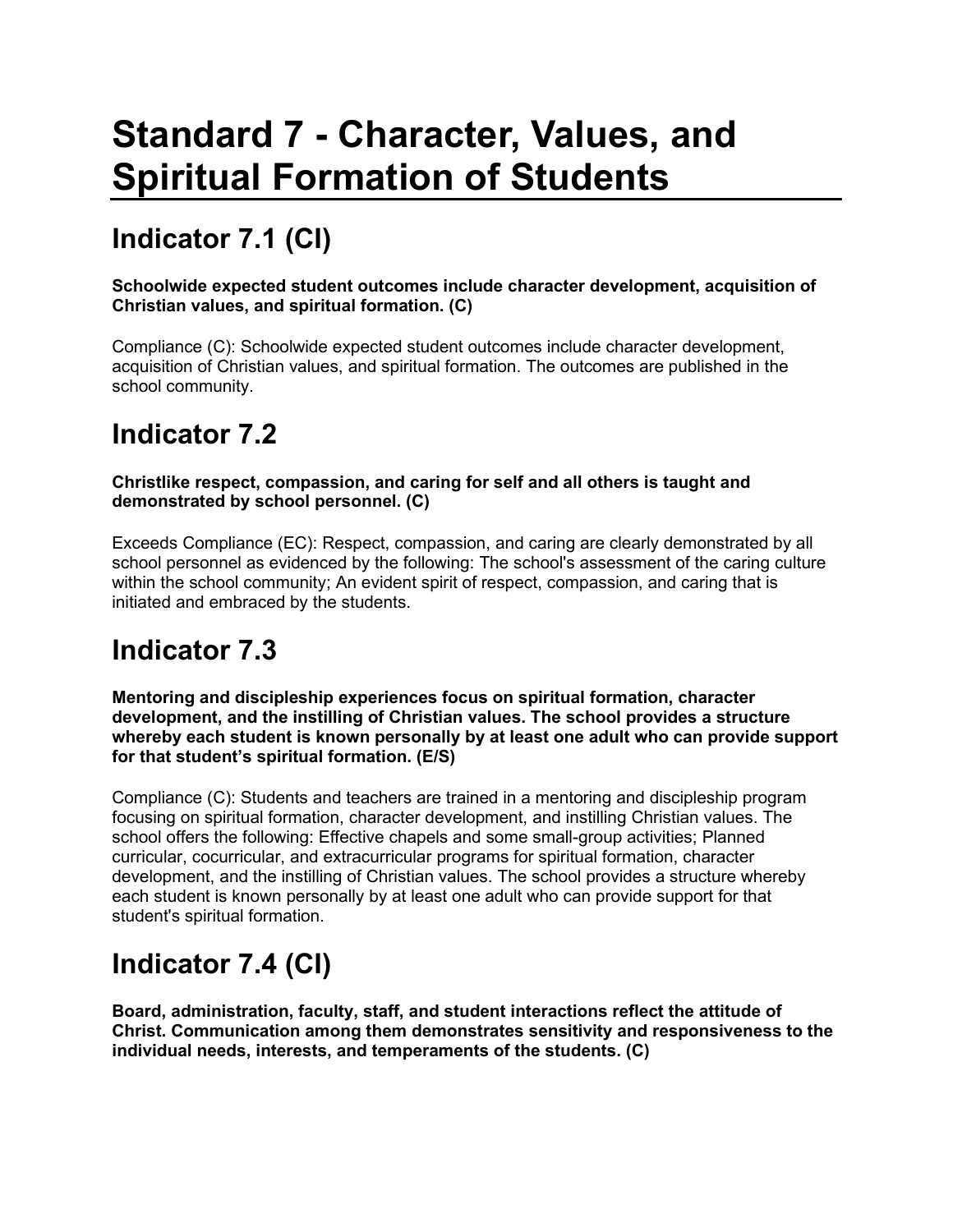# **Standard 7 - Character, Values, and Spiritual Formation of Students**

# **Indicator 7.1 (CI)**

**Schoolwide expected student outcomes include character development, acquisition of Christian values, and spiritual formation. (C)**

Compliance (C): Schoolwide expected student outcomes include character development, acquisition of Christian values, and spiritual formation. The outcomes are published in the school community.

#### **Indicator 7.2**

#### **Christlike respect, compassion, and caring for self and all others is taught and demonstrated by school personnel. (C)**

Exceeds Compliance (EC): Respect, compassion, and caring are clearly demonstrated by all school personnel as evidenced by the following: The school's assessment of the caring culture within the school community; An evident spirit of respect, compassion, and caring that is initiated and embraced by the students.

### **Indicator 7.3**

**Mentoring and discipleship experiences focus on spiritual formation, character development, and the instilling of Christian values. The school provides a structure whereby each student is known personally by at least one adult who can provide support for that student's spiritual formation. (E/S)**

Compliance (C): Students and teachers are trained in a mentoring and discipleship program focusing on spiritual formation, character development, and instilling Christian values. The school offers the following: Effective chapels and some small-group activities; Planned curricular, cocurricular, and extracurricular programs for spiritual formation, character development, and the instilling of Christian values. The school provides a structure whereby each student is known personally by at least one adult who can provide support for that student's spiritual formation.

# **Indicator 7.4 (CI)**

**Board, administration, faculty, staff, and student interactions reflect the attitude of Christ. Communication among them demonstrates sensitivity and responsiveness to the individual needs, interests, and temperaments of the students. (C)**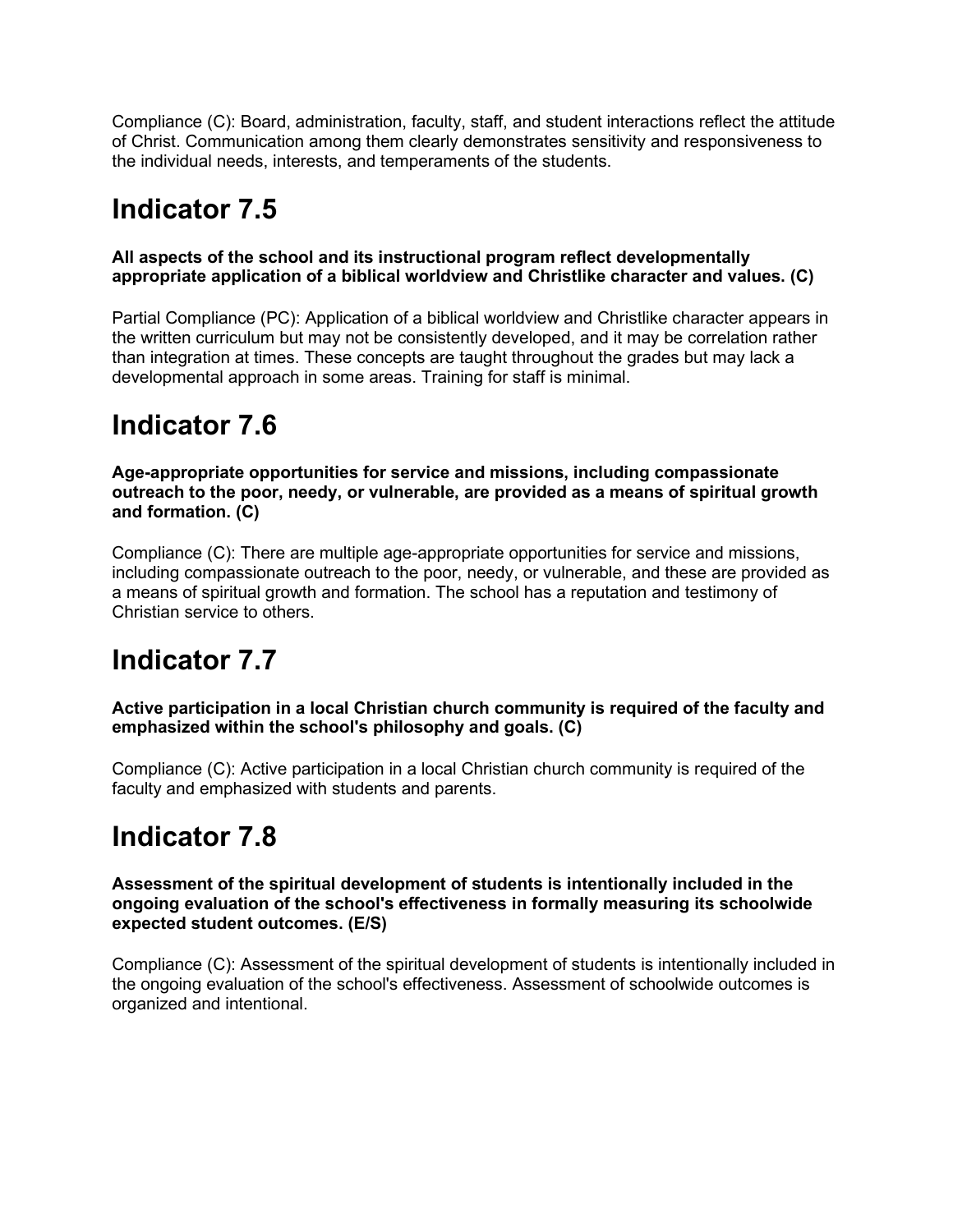Compliance (C): Board, administration, faculty, staff, and student interactions reflect the attitude of Christ. Communication among them clearly demonstrates sensitivity and responsiveness to the individual needs, interests, and temperaments of the students.

#### **Indicator 7.5**

#### **All aspects of the school and its instructional program reflect developmentally appropriate application of a biblical worldview and Christlike character and values. (C)**

Partial Compliance (PC): Application of a biblical worldview and Christlike character appears in the written curriculum but may not be consistently developed, and it may be correlation rather than integration at times. These concepts are taught throughout the grades but may lack a developmental approach in some areas. Training for staff is minimal.

### **Indicator 7.6**

**Age-appropriate opportunities for service and missions, including compassionate outreach to the poor, needy, or vulnerable, are provided as a means of spiritual growth and formation. (C)**

Compliance (C): There are multiple age-appropriate opportunities for service and missions, including compassionate outreach to the poor, needy, or vulnerable, and these are provided as a means of spiritual growth and formation. The school has a reputation and testimony of Christian service to others.

### **Indicator 7.7**

**Active participation in a local Christian church community is required of the faculty and emphasized within the school's philosophy and goals. (C)**

Compliance (C): Active participation in a local Christian church community is required of the faculty and emphasized with students and parents.

#### **Indicator 7.8**

**Assessment of the spiritual development of students is intentionally included in the ongoing evaluation of the school's effectiveness in formally measuring its schoolwide expected student outcomes. (E/S)**

Compliance (C): Assessment of the spiritual development of students is intentionally included in the ongoing evaluation of the school's effectiveness. Assessment of schoolwide outcomes is organized and intentional.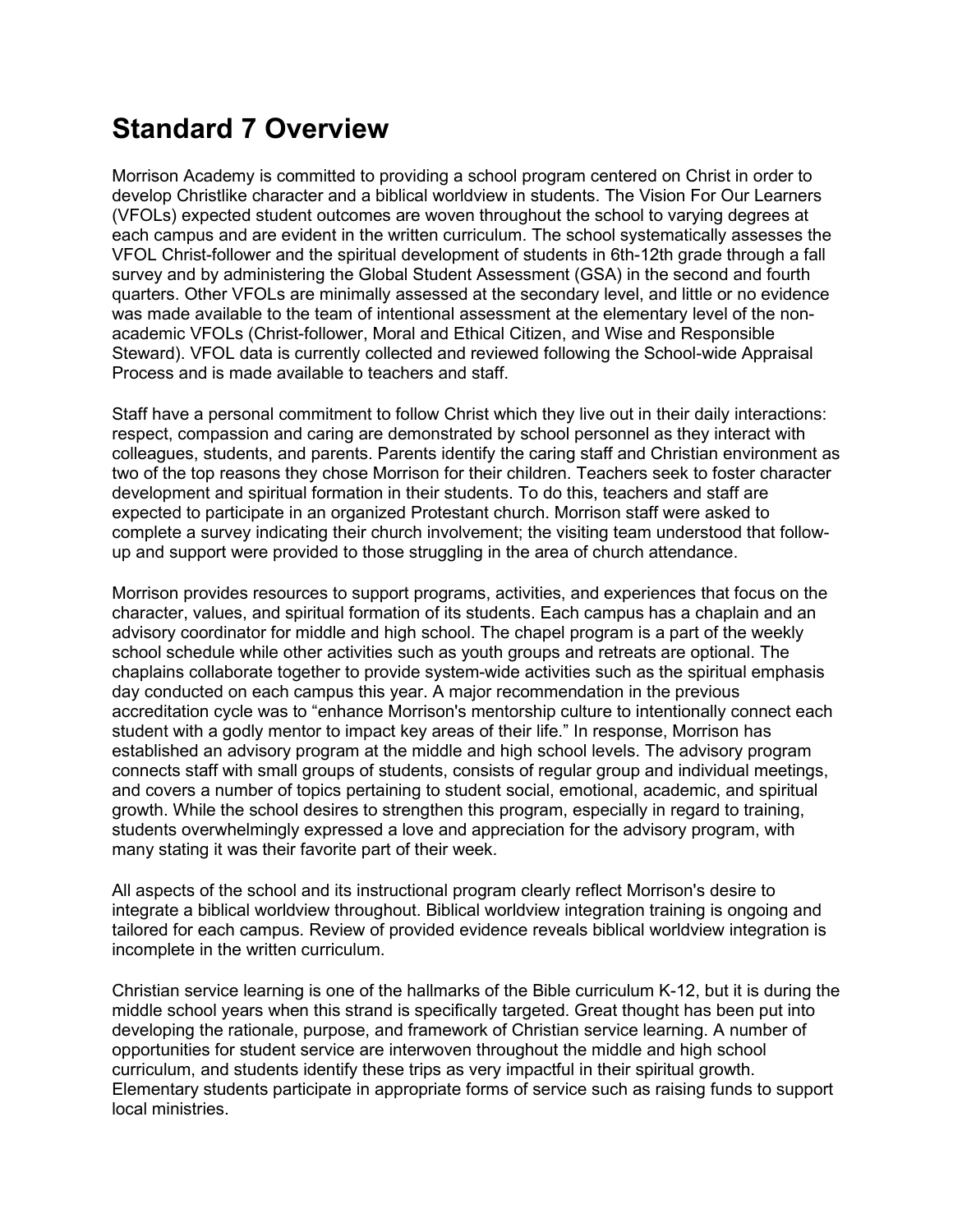#### **Standard 7 Overview**

Morrison Academy is committed to providing a school program centered on Christ in order to develop Christlike character and a biblical worldview in students. The Vision For Our Learners (VFOLs) expected student outcomes are woven throughout the school to varying degrees at each campus and are evident in the written curriculum. The school systematically assesses the VFOL Christ-follower and the spiritual development of students in 6th-12th grade through a fall survey and by administering the Global Student Assessment (GSA) in the second and fourth quarters. Other VFOLs are minimally assessed at the secondary level, and little or no evidence was made available to the team of intentional assessment at the elementary level of the nonacademic VFOLs (Christ-follower, Moral and Ethical Citizen, and Wise and Responsible Steward). VFOL data is currently collected and reviewed following the School-wide Appraisal Process and is made available to teachers and staff.

Staff have a personal commitment to follow Christ which they live out in their daily interactions: respect, compassion and caring are demonstrated by school personnel as they interact with colleagues, students, and parents. Parents identify the caring staff and Christian environment as two of the top reasons they chose Morrison for their children. Teachers seek to foster character development and spiritual formation in their students. To do this, teachers and staff are expected to participate in an organized Protestant church. Morrison staff were asked to complete a survey indicating their church involvement; the visiting team understood that followup and support were provided to those struggling in the area of church attendance.

Morrison provides resources to support programs, activities, and experiences that focus on the character, values, and spiritual formation of its students. Each campus has a chaplain and an advisory coordinator for middle and high school. The chapel program is a part of the weekly school schedule while other activities such as youth groups and retreats are optional. The chaplains collaborate together to provide system-wide activities such as the spiritual emphasis day conducted on each campus this year. A major recommendation in the previous accreditation cycle was to "enhance Morrison's mentorship culture to intentionally connect each student with a godly mentor to impact key areas of their life." In response, Morrison has established an advisory program at the middle and high school levels. The advisory program connects staff with small groups of students, consists of regular group and individual meetings, and covers a number of topics pertaining to student social, emotional, academic, and spiritual growth. While the school desires to strengthen this program, especially in regard to training, students overwhelmingly expressed a love and appreciation for the advisory program, with many stating it was their favorite part of their week.

All aspects of the school and its instructional program clearly reflect Morrison's desire to integrate a biblical worldview throughout. Biblical worldview integration training is ongoing and tailored for each campus. Review of provided evidence reveals biblical worldview integration is incomplete in the written curriculum.

Christian service learning is one of the hallmarks of the Bible curriculum K-12, but it is during the middle school years when this strand is specifically targeted. Great thought has been put into developing the rationale, purpose, and framework of Christian service learning. A number of opportunities for student service are interwoven throughout the middle and high school curriculum, and students identify these trips as very impactful in their spiritual growth. Elementary students participate in appropriate forms of service such as raising funds to support local ministries.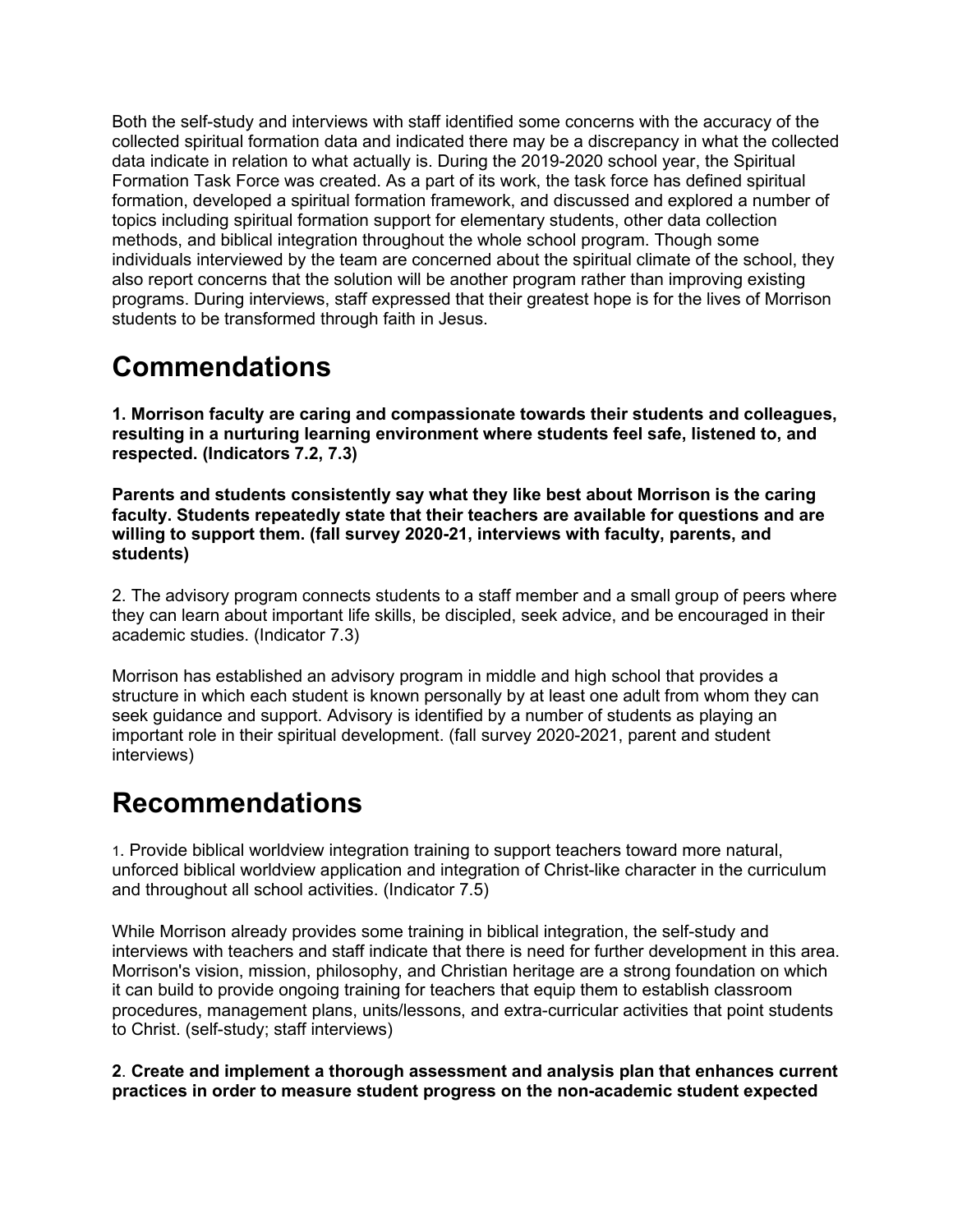Both the self-study and interviews with staff identified some concerns with the accuracy of the collected spiritual formation data and indicated there may be a discrepancy in what the collected data indicate in relation to what actually is. During the 2019-2020 school year, the Spiritual Formation Task Force was created. As a part of its work, the task force has defined spiritual formation, developed a spiritual formation framework, and discussed and explored a number of topics including spiritual formation support for elementary students, other data collection methods, and biblical integration throughout the whole school program. Though some individuals interviewed by the team are concerned about the spiritual climate of the school, they also report concerns that the solution will be another program rather than improving existing programs. During interviews, staff expressed that their greatest hope is for the lives of Morrison students to be transformed through faith in Jesus.

### **Commendations**

**1. Morrison faculty are caring and compassionate towards their students and colleagues, resulting in a nurturing learning environment where students feel safe, listened to, and respected. (Indicators 7.2, 7.3)**

**Parents and students consistently say what they like best about Morrison is the caring faculty. Students repeatedly state that their teachers are available for questions and are willing to support them. (fall survey 2020-21, interviews with faculty, parents, and students)**

2. The advisory program connects students to a staff member and a small group of peers where they can learn about important life skills, be discipled, seek advice, and be encouraged in their academic studies. (Indicator 7.3)

Morrison has established an advisory program in middle and high school that provides a structure in which each student is known personally by at least one adult from whom they can seek guidance and support. Advisory is identified by a number of students as playing an important role in their spiritual development. (fall survey 2020-2021, parent and student interviews)

#### **Recommendations**

1. Provide biblical worldview integration training to support teachers toward more natural, unforced biblical worldview application and integration of Christ-like character in the curriculum and throughout all school activities. (Indicator 7.5)

While Morrison already provides some training in biblical integration, the self-study and interviews with teachers and staff indicate that there is need for further development in this area. Morrison's vision, mission, philosophy, and Christian heritage are a strong foundation on which it can build to provide ongoing training for teachers that equip them to establish classroom procedures, management plans, units/lessons, and extra-curricular activities that point students to Christ. (self-study; staff interviews)

**2**. **Create and implement a thorough assessment and analysis plan that enhances current practices in order to measure student progress on the non-academic student expected**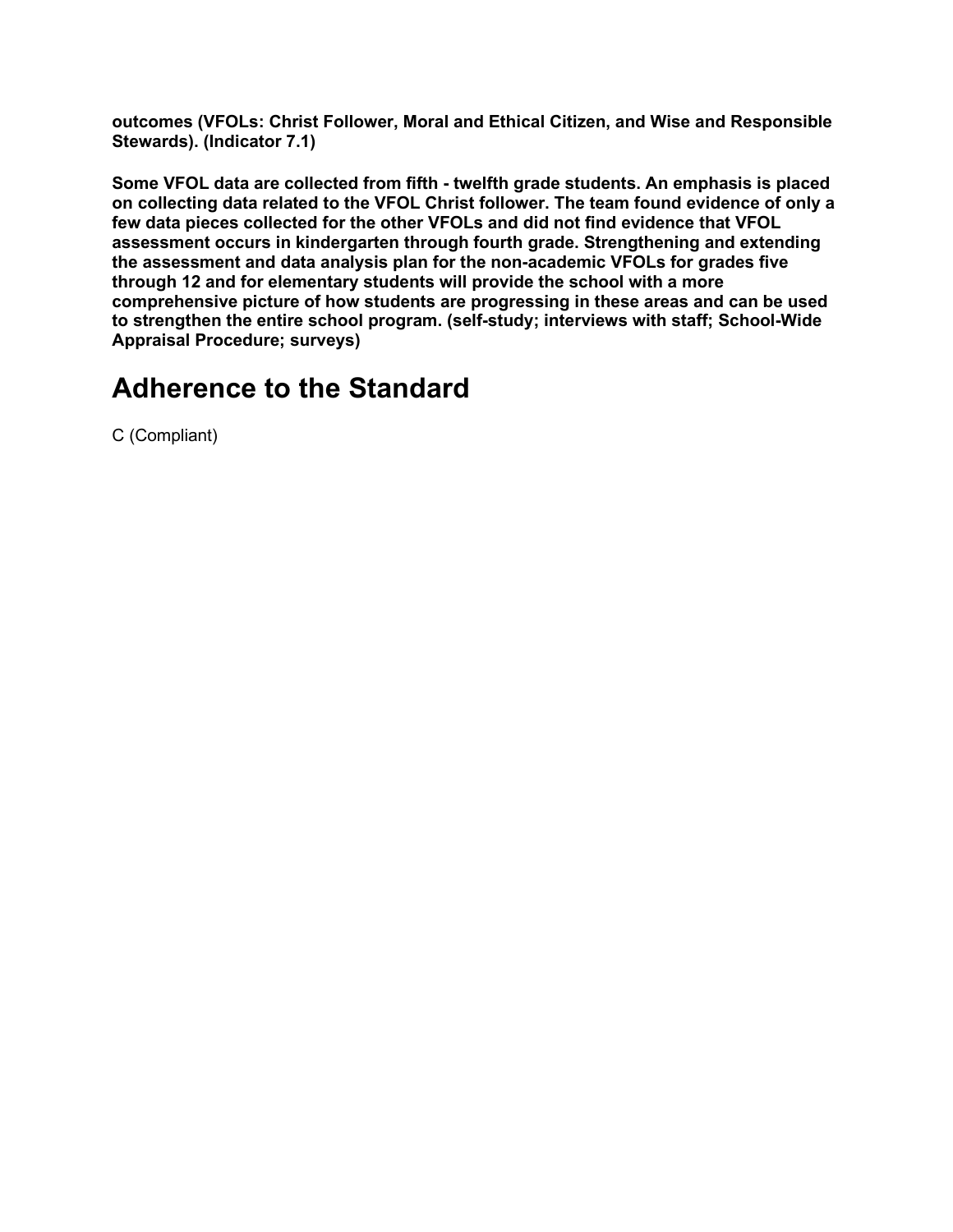**outcomes (VFOLs: Christ Follower, Moral and Ethical Citizen, and Wise and Responsible Stewards). (Indicator 7.1)**

**Some VFOL data are collected from fifth - twelfth grade students. An emphasis is placed on collecting data related to the VFOL Christ follower. The team found evidence of only a few data pieces collected for the other VFOLs and did not find evidence that VFOL assessment occurs in kindergarten through fourth grade. Strengthening and extending the assessment and data analysis plan for the non-academic VFOLs for grades five through 12 and for elementary students will provide the school with a more comprehensive picture of how students are progressing in these areas and can be used to strengthen the entire school program. (self-study; interviews with staff; School-Wide Appraisal Procedure; surveys)**

#### **Adherence to the Standard**

C (Compliant)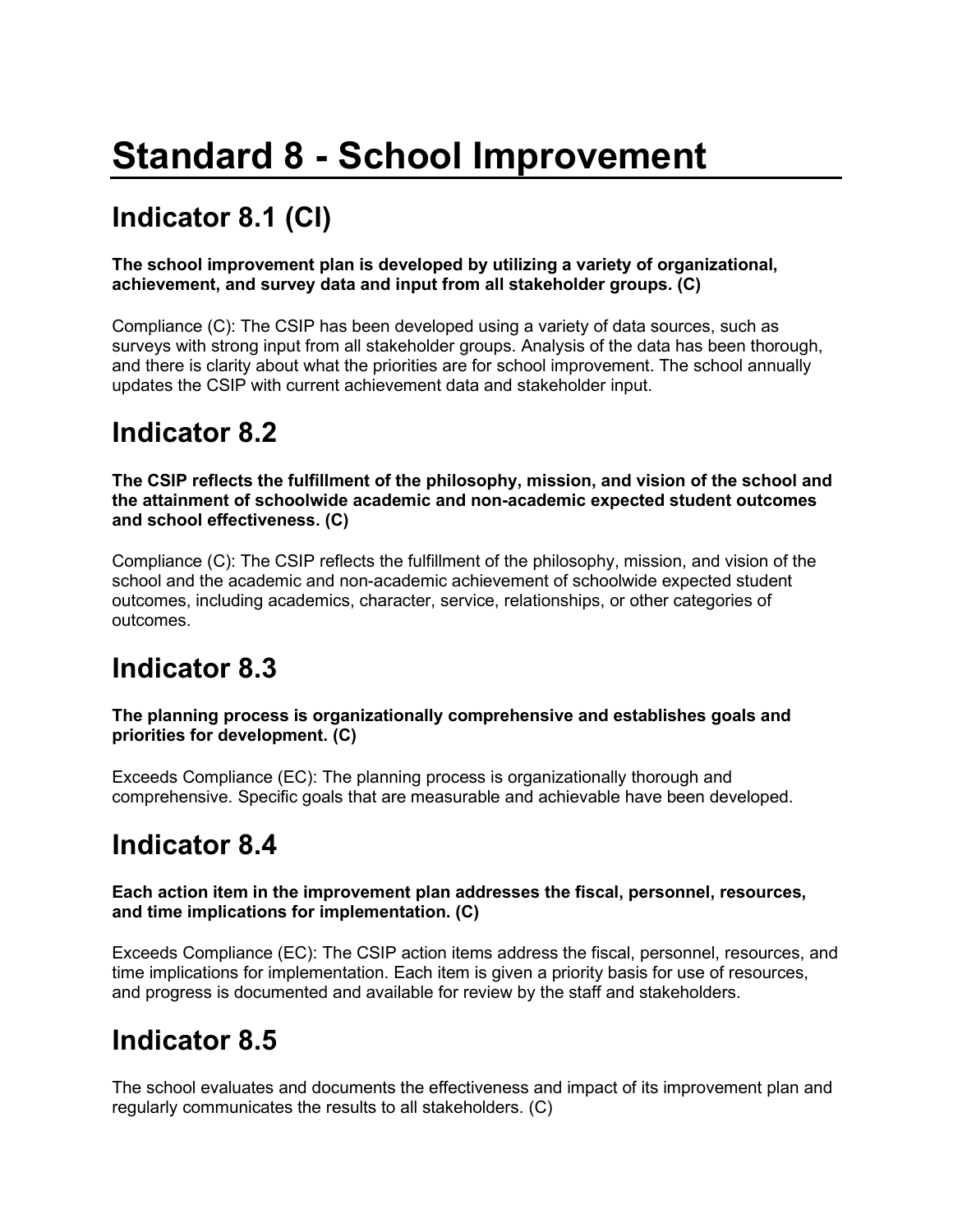# **Standard 8 - School Improvement**

# **Indicator 8.1 (CI)**

#### **The school improvement plan is developed by utilizing a variety of organizational, achievement, and survey data and input from all stakeholder groups. (C)**

Compliance (C): The CSIP has been developed using a variety of data sources, such as surveys with strong input from all stakeholder groups. Analysis of the data has been thorough, and there is clarity about what the priorities are for school improvement. The school annually updates the CSIP with current achievement data and stakeholder input.

#### **Indicator 8.2**

**The CSIP reflects the fulfillment of the philosophy, mission, and vision of the school and the attainment of schoolwide academic and non-academic expected student outcomes and school effectiveness. (C)**

Compliance (C): The CSIP reflects the fulfillment of the philosophy, mission, and vision of the school and the academic and non-academic achievement of schoolwide expected student outcomes, including academics, character, service, relationships, or other categories of outcomes.

#### **Indicator 8.3**

**The planning process is organizationally comprehensive and establishes goals and priorities for development. (C)**

Exceeds Compliance (EC): The planning process is organizationally thorough and comprehensive. Specific goals that are measurable and achievable have been developed.

#### **Indicator 8.4**

#### **Each action item in the improvement plan addresses the fiscal, personnel, resources, and time implications for implementation. (C)**

Exceeds Compliance (EC): The CSIP action items address the fiscal, personnel, resources, and time implications for implementation. Each item is given a priority basis for use of resources, and progress is documented and available for review by the staff and stakeholders.

#### **Indicator 8.5**

The school evaluates and documents the effectiveness and impact of its improvement plan and regularly communicates the results to all stakeholders. (C)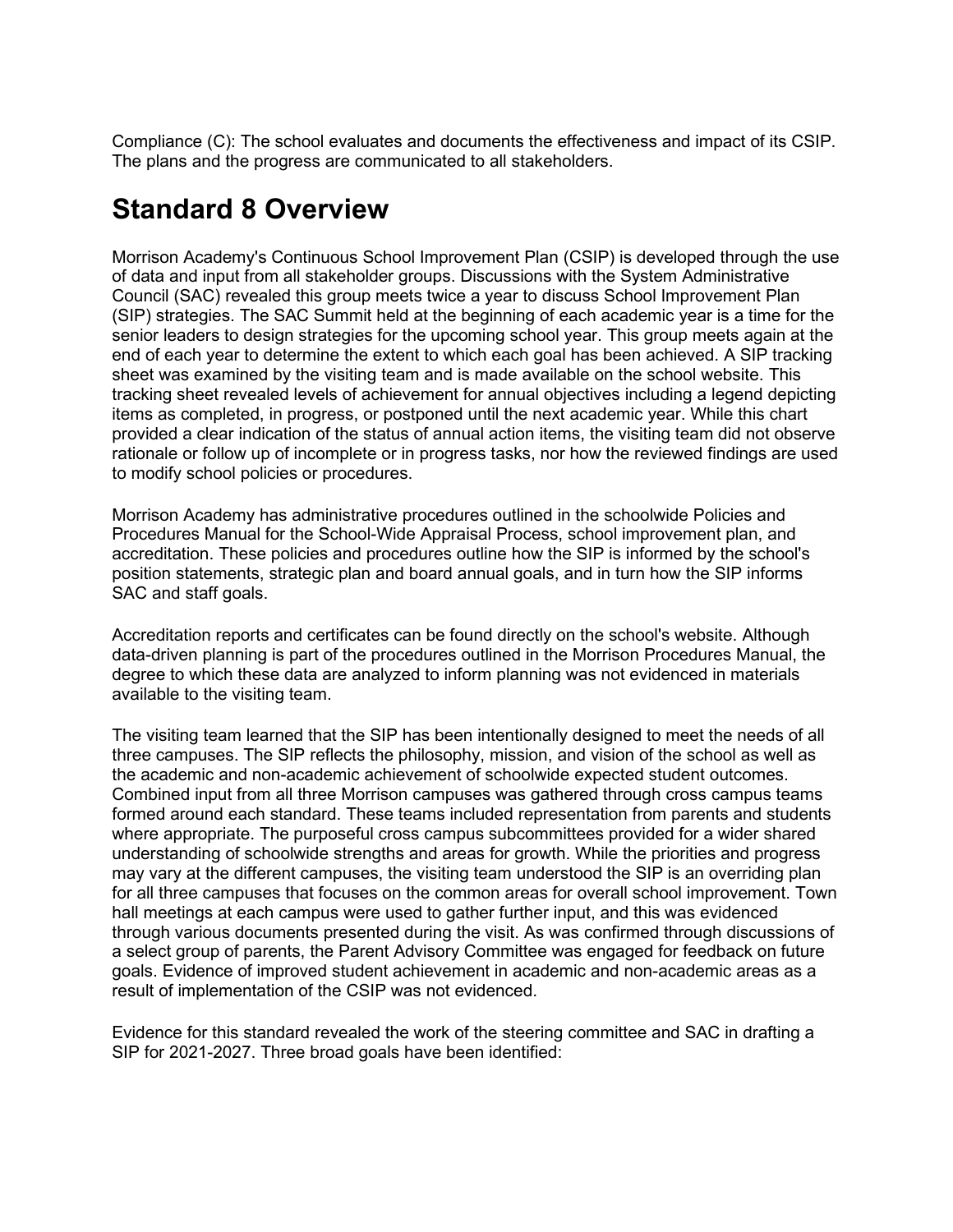Compliance (C): The school evaluates and documents the effectiveness and impact of its CSIP. The plans and the progress are communicated to all stakeholders.

#### **Standard 8 Overview**

Morrison Academy's Continuous School Improvement Plan (CSIP) is developed through the use of data and input from all stakeholder groups. Discussions with the System Administrative Council (SAC) revealed this group meets twice a year to discuss School Improvement Plan (SIP) strategies. The SAC Summit held at the beginning of each academic year is a time for the senior leaders to design strategies for the upcoming school year. This group meets again at the end of each year to determine the extent to which each goal has been achieved. A SIP tracking sheet was examined by the visiting team and is made available on the school website. This tracking sheet revealed levels of achievement for annual objectives including a legend depicting items as completed, in progress, or postponed until the next academic year. While this chart provided a clear indication of the status of annual action items, the visiting team did not observe rationale or follow up of incomplete or in progress tasks, nor how the reviewed findings are used to modify school policies or procedures.

Morrison Academy has administrative procedures outlined in the schoolwide Policies and Procedures Manual for the School-Wide Appraisal Process, school improvement plan, and accreditation. These policies and procedures outline how the SIP is informed by the school's position statements, strategic plan and board annual goals, and in turn how the SIP informs SAC and staff goals.

Accreditation reports and certificates can be found directly on the school's website. Although data-driven planning is part of the procedures outlined in the Morrison Procedures Manual, the degree to which these data are analyzed to inform planning was not evidenced in materials available to the visiting team.

The visiting team learned that the SIP has been intentionally designed to meet the needs of all three campuses. The SIP reflects the philosophy, mission, and vision of the school as well as the academic and non-academic achievement of schoolwide expected student outcomes. Combined input from all three Morrison campuses was gathered through cross campus teams formed around each standard. These teams included representation from parents and students where appropriate. The purposeful cross campus subcommittees provided for a wider shared understanding of schoolwide strengths and areas for growth. While the priorities and progress may vary at the different campuses, the visiting team understood the SIP is an overriding plan for all three campuses that focuses on the common areas for overall school improvement. Town hall meetings at each campus were used to gather further input, and this was evidenced through various documents presented during the visit. As was confirmed through discussions of a select group of parents, the Parent Advisory Committee was engaged for feedback on future goals. Evidence of improved student achievement in academic and non-academic areas as a result of implementation of the CSIP was not evidenced.

Evidence for this standard revealed the work of the steering committee and SAC in drafting a SIP for 2021-2027. Three broad goals have been identified: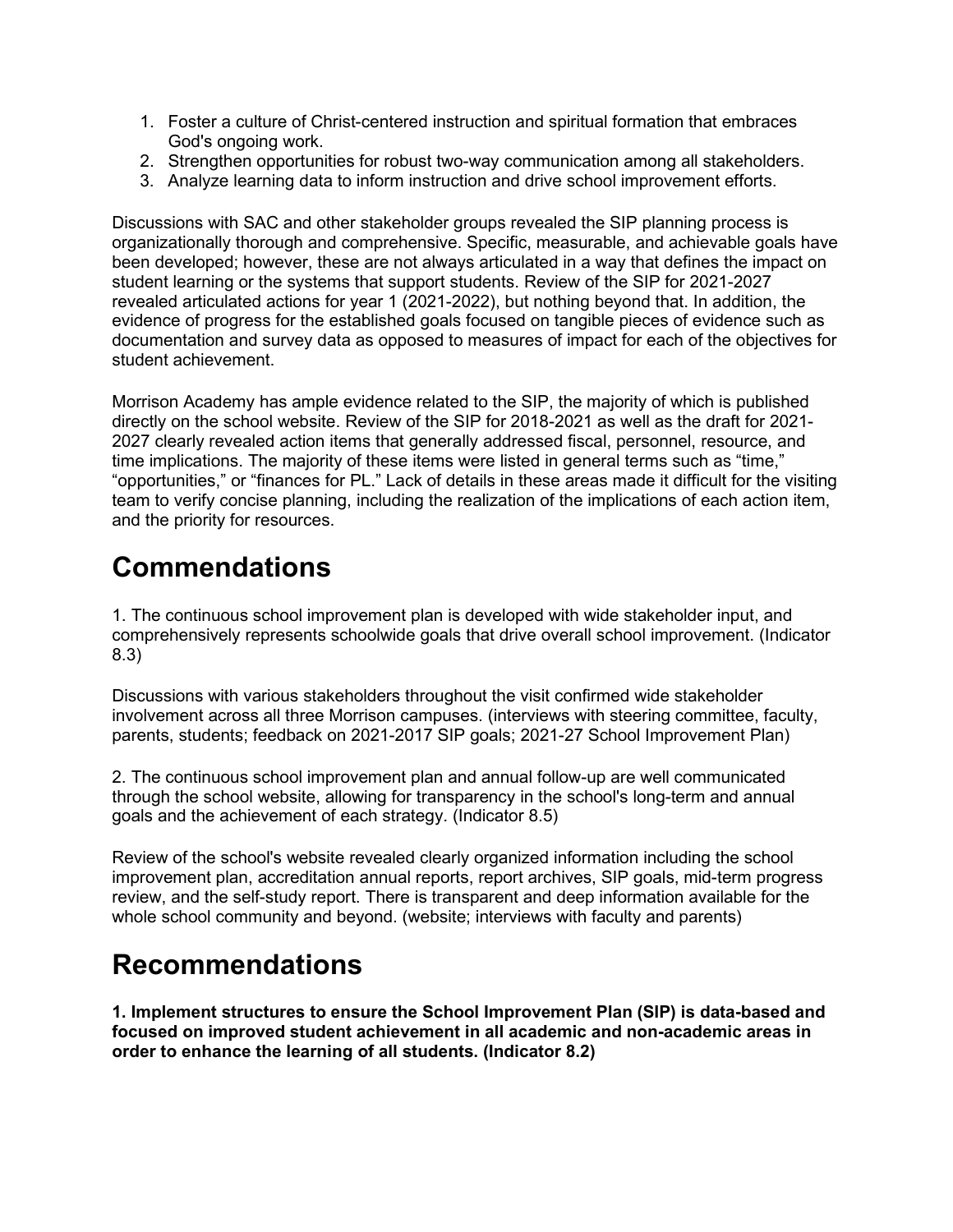- 1. Foster a culture of Christ-centered instruction and spiritual formation that embraces God's ongoing work.
- 2. Strengthen opportunities for robust two-way communication among all stakeholders.
- 3. Analyze learning data to inform instruction and drive school improvement efforts.

Discussions with SAC and other stakeholder groups revealed the SIP planning process is organizationally thorough and comprehensive. Specific, measurable, and achievable goals have been developed; however, these are not always articulated in a way that defines the impact on student learning or the systems that support students. Review of the SIP for 2021-2027 revealed articulated actions for year 1 (2021-2022), but nothing beyond that. In addition, the evidence of progress for the established goals focused on tangible pieces of evidence such as documentation and survey data as opposed to measures of impact for each of the objectives for student achievement.

Morrison Academy has ample evidence related to the SIP, the majority of which is published directly on the school website. Review of the SIP for 2018-2021 as well as the draft for 2021- 2027 clearly revealed action items that generally addressed fiscal, personnel, resource, and time implications. The majority of these items were listed in general terms such as "time," "opportunities," or "finances for PL." Lack of details in these areas made it difficult for the visiting team to verify concise planning, including the realization of the implications of each action item, and the priority for resources.

### **Commendations**

1. The continuous school improvement plan is developed with wide stakeholder input, and comprehensively represents schoolwide goals that drive overall school improvement. (Indicator 8.3)

Discussions with various stakeholders throughout the visit confirmed wide stakeholder involvement across all three Morrison campuses. (interviews with steering committee, faculty, parents, students; feedback on 2021-2017 SIP goals; 2021-27 School Improvement Plan)

2. The continuous school improvement plan and annual follow-up are well communicated through the school website, allowing for transparency in the school's long-term and annual goals and the achievement of each strategy. (Indicator 8.5)

Review of the school's website revealed clearly organized information including the school improvement plan, accreditation annual reports, report archives, SIP goals, mid-term progress review, and the self-study report. There is transparent and deep information available for the whole school community and beyond. (website; interviews with faculty and parents)

#### **Recommendations**

**1. Implement structures to ensure the School Improvement Plan (SIP) is data-based and focused on improved student achievement in all academic and non-academic areas in order to enhance the learning of all students. (Indicator 8.2)**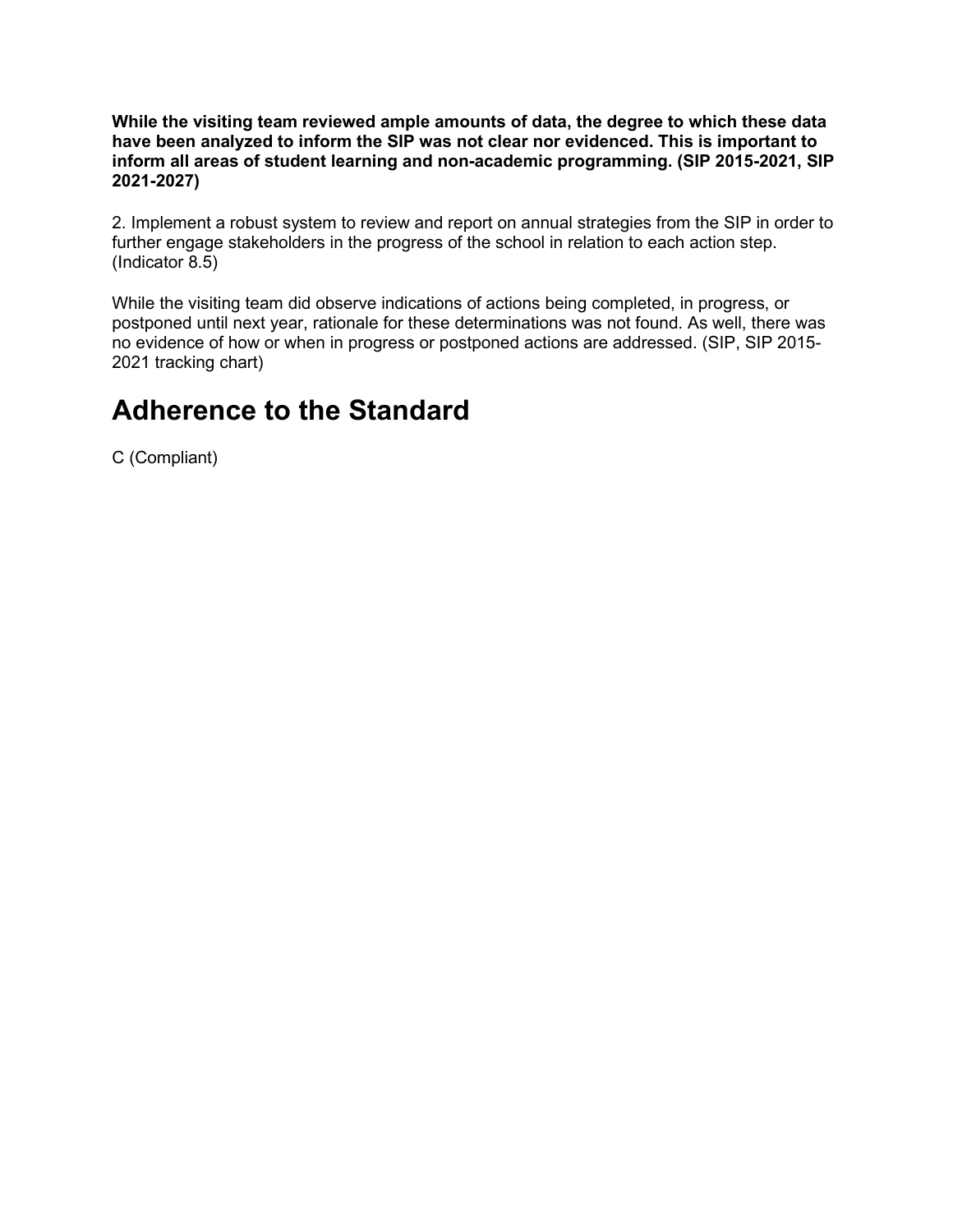**While the visiting team reviewed ample amounts of data, the degree to which these data have been analyzed to inform the SIP was not clear nor evidenced. This is important to inform all areas of student learning and non-academic programming. (SIP 2015-2021, SIP 2021-2027)**

2. Implement a robust system to review and report on annual strategies from the SIP in order to further engage stakeholders in the progress of the school in relation to each action step. (Indicator 8.5)

While the visiting team did observe indications of actions being completed, in progress, or postponed until next year, rationale for these determinations was not found. As well, there was no evidence of how or when in progress or postponed actions are addressed. (SIP, SIP 2015- 2021 tracking chart)

#### **Adherence to the Standard**

C (Compliant)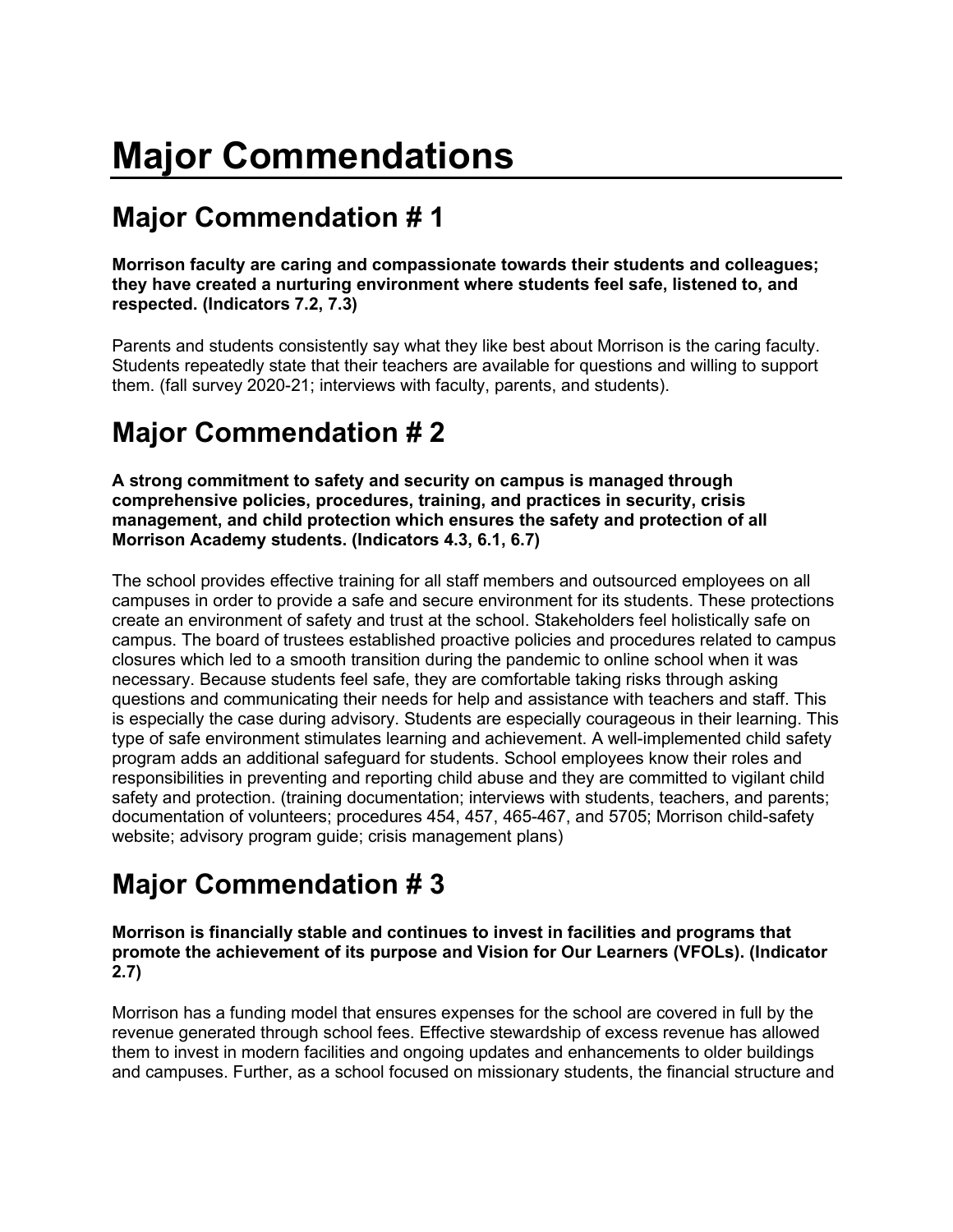# **Major Commendations**

# **Major Commendation # 1**

**Morrison faculty are caring and compassionate towards their students and colleagues; they have created a nurturing environment where students feel safe, listened to, and respected. (Indicators 7.2, 7.3)**

Parents and students consistently say what they like best about Morrison is the caring faculty. Students repeatedly state that their teachers are available for questions and willing to support them. (fall survey 2020-21; interviews with faculty, parents, and students).

# **Major Commendation # 2**

**A strong commitment to safety and security on campus is managed through comprehensive policies, procedures, training, and practices in security, crisis management, and child protection which ensures the safety and protection of all Morrison Academy students. (Indicators 4.3, 6.1, 6.7)**

The school provides effective training for all staff members and outsourced employees on all campuses in order to provide a safe and secure environment for its students. These protections create an environment of safety and trust at the school. Stakeholders feel holistically safe on campus. The board of trustees established proactive policies and procedures related to campus closures which led to a smooth transition during the pandemic to online school when it was necessary. Because students feel safe, they are comfortable taking risks through asking questions and communicating their needs for help and assistance with teachers and staff. This is especially the case during advisory. Students are especially courageous in their learning. This type of safe environment stimulates learning and achievement. A well-implemented child safety program adds an additional safeguard for students. School employees know their roles and responsibilities in preventing and reporting child abuse and they are committed to vigilant child safety and protection. (training documentation; interviews with students, teachers, and parents; documentation of volunteers; procedures 454, 457, 465-467, and 5705; Morrison child-safety website; advisory program guide; crisis management plans)

### **Major Commendation # 3**

**Morrison is financially stable and continues to invest in facilities and programs that promote the achievement of its purpose and Vision for Our Learners (VFOLs). (Indicator 2.7)**

Morrison has a funding model that ensures expenses for the school are covered in full by the revenue generated through school fees. Effective stewardship of excess revenue has allowed them to invest in modern facilities and ongoing updates and enhancements to older buildings and campuses. Further, as a school focused on missionary students, the financial structure and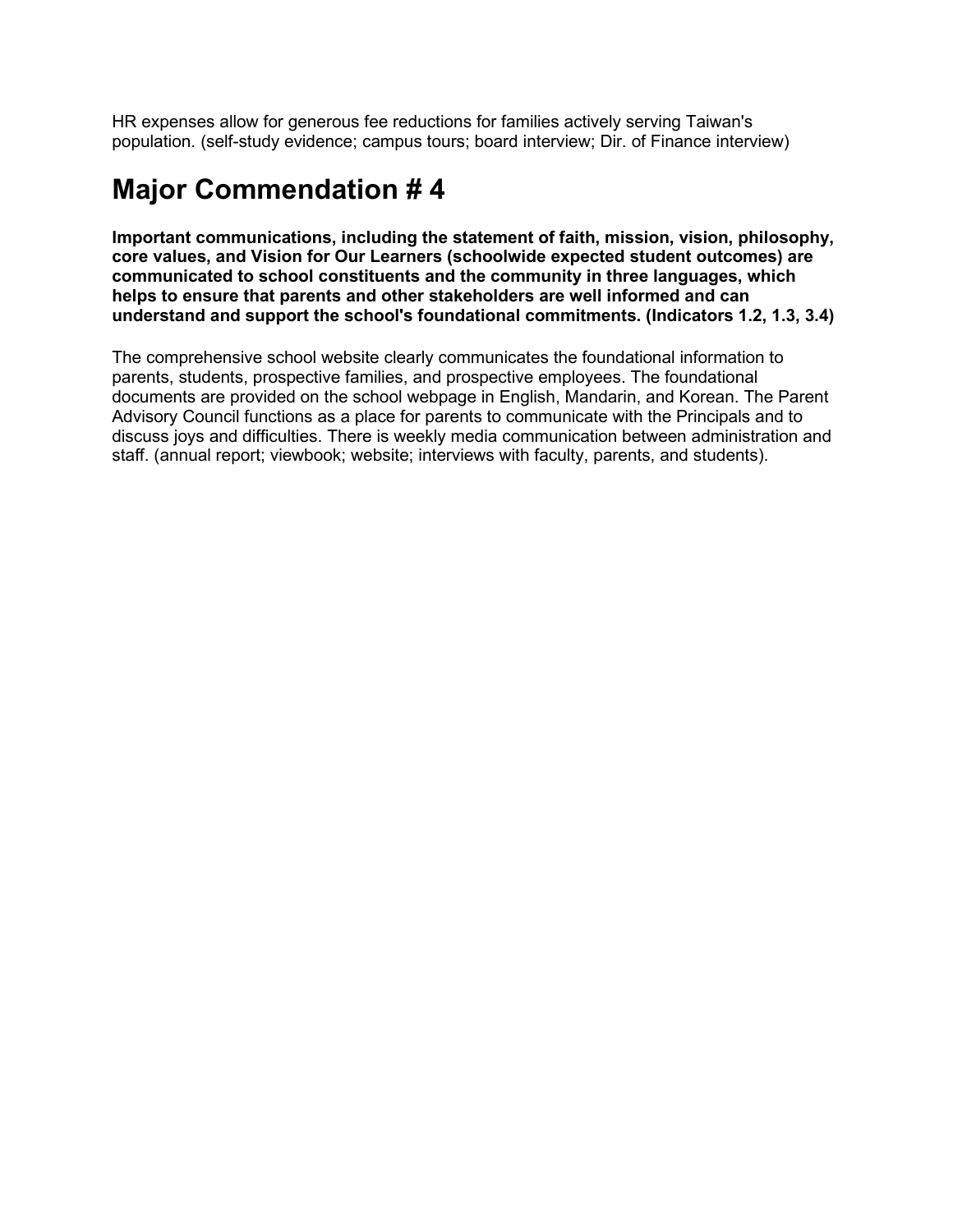HR expenses allow for generous fee reductions for families actively serving Taiwan's population. (self-study evidence; campus tours; board interview; Dir. of Finance interview)

### **Major Commendation # 4**

**Important communications, including the statement of faith, mission, vision, philosophy, core values, and Vision for Our Learners (schoolwide expected student outcomes) are communicated to school constituents and the community in three languages, which helps to ensure that parents and other stakeholders are well informed and can understand and support the school's foundational commitments. (Indicators 1.2, 1.3, 3.4)**

The comprehensive school website clearly communicates the foundational information to parents, students, prospective families, and prospective employees. The foundational documents are provided on the school webpage in English, Mandarin, and Korean. The Parent Advisory Council functions as a place for parents to communicate with the Principals and to discuss joys and difficulties. There is weekly media communication between administration and staff. (annual report; viewbook; website; interviews with faculty, parents, and students).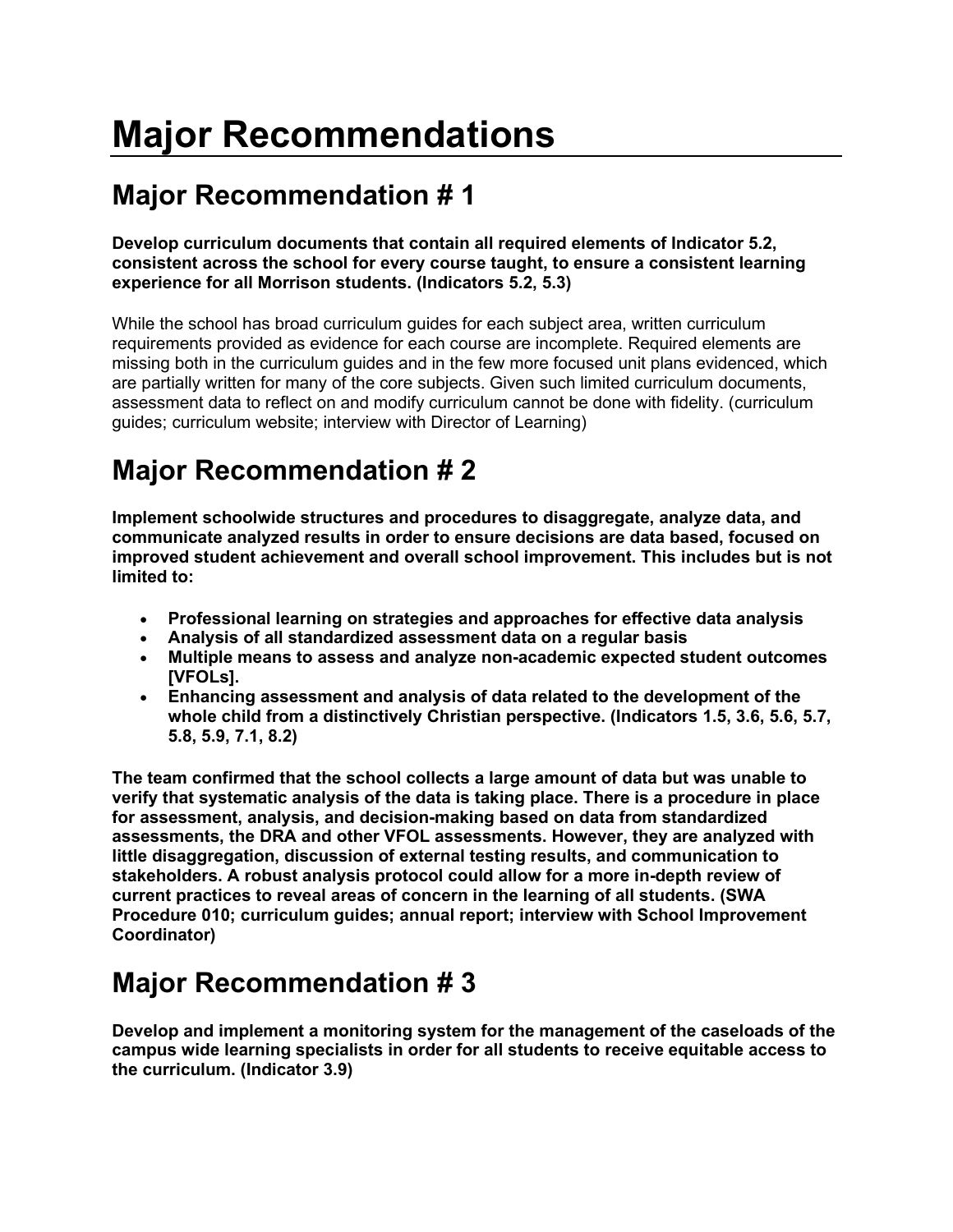# **Major Recommendations**

# **Major Recommendation # 1**

#### **Develop curriculum documents that contain all required elements of Indicator 5.2, consistent across the school for every course taught, to ensure a consistent learning experience for all Morrison students. (Indicators 5.2, 5.3)**

While the school has broad curriculum guides for each subject area, written curriculum requirements provided as evidence for each course are incomplete. Required elements are missing both in the curriculum guides and in the few more focused unit plans evidenced, which are partially written for many of the core subjects. Given such limited curriculum documents, assessment data to reflect on and modify curriculum cannot be done with fidelity. (curriculum guides; curriculum website; interview with Director of Learning)

# **Major Recommendation # 2**

**Implement schoolwide structures and procedures to disaggregate, analyze data, and communicate analyzed results in order to ensure decisions are data based, focused on improved student achievement and overall school improvement. This includes but is not limited to:**

- **Professional learning on strategies and approaches for effective data analysis**
- **Analysis of all standardized assessment data on a regular basis**
- **Multiple means to assess and analyze non-academic expected student outcomes [VFOLs].**
- **Enhancing assessment and analysis of data related to the development of the whole child from a distinctively Christian perspective. (Indicators 1.5, 3.6, 5.6, 5.7, 5.8, 5.9, 7.1, 8.2)**

**The team confirmed that the school collects a large amount of data but was unable to verify that systematic analysis of the data is taking place. There is a procedure in place for assessment, analysis, and decision-making based on data from standardized assessments, the DRA and other VFOL assessments. However, they are analyzed with little disaggregation, discussion of external testing results, and communication to stakeholders. A robust analysis protocol could allow for a more in-depth review of current practices to reveal areas of concern in the learning of all students. (SWA Procedure 010; curriculum guides; annual report; interview with School Improvement Coordinator)**

#### **Major Recommendation # 3**

**Develop and implement a monitoring system for the management of the caseloads of the campus wide learning specialists in order for all students to receive equitable access to the curriculum. (Indicator 3.9)**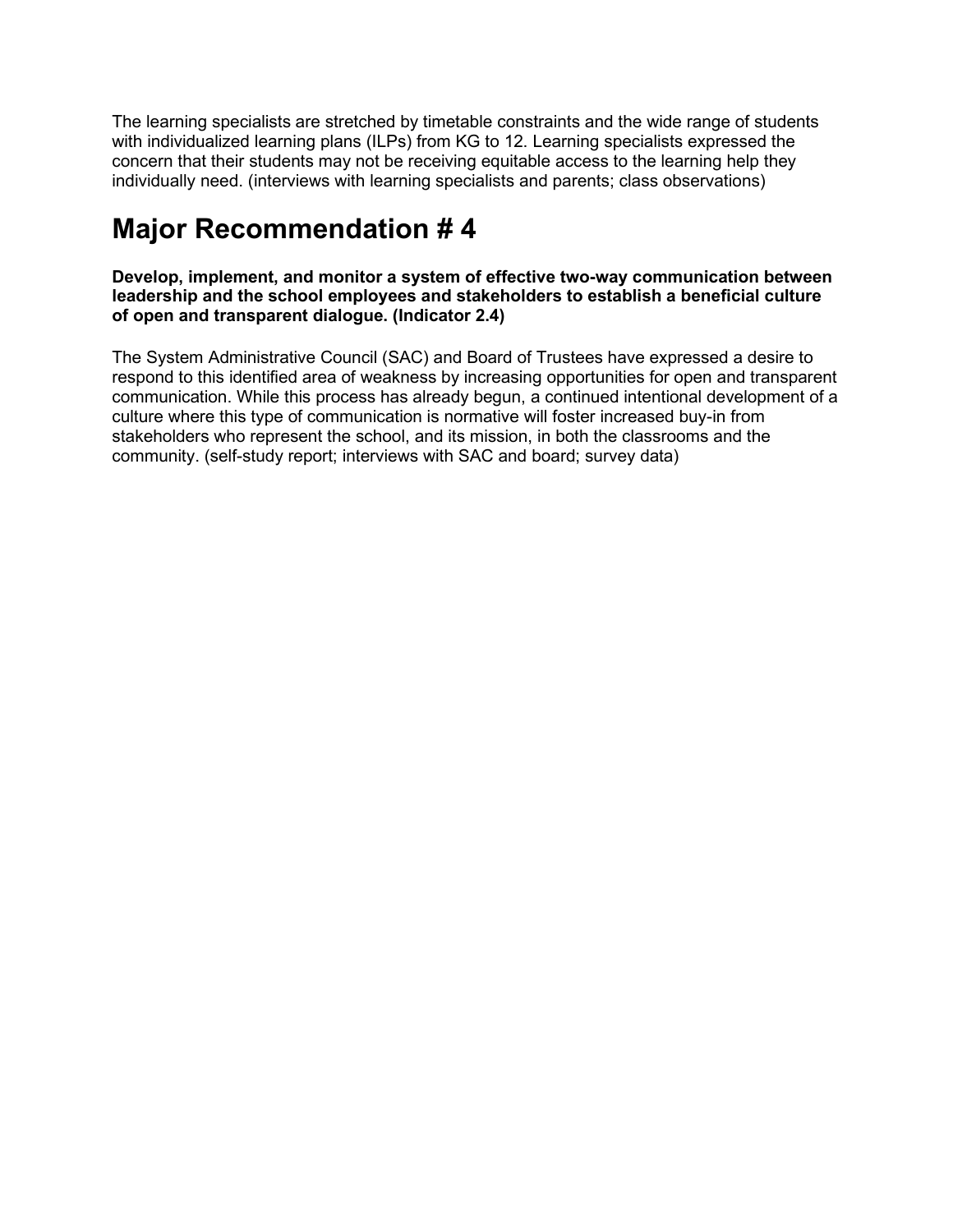The learning specialists are stretched by timetable constraints and the wide range of students with individualized learning plans (ILPs) from KG to 12. Learning specialists expressed the concern that their students may not be receiving equitable access to the learning help they individually need. (interviews with learning specialists and parents; class observations)

## **Major Recommendation # 4**

**Develop, implement, and monitor a system of effective two-way communication between leadership and the school employees and stakeholders to establish a beneficial culture of open and transparent dialogue. (Indicator 2.4)**

The System Administrative Council (SAC) and Board of Trustees have expressed a desire to respond to this identified area of weakness by increasing opportunities for open and transparent communication. While this process has already begun, a continued intentional development of a culture where this type of communication is normative will foster increased buy-in from stakeholders who represent the school, and its mission, in both the classrooms and the community. (self-study report; interviews with SAC and board; survey data)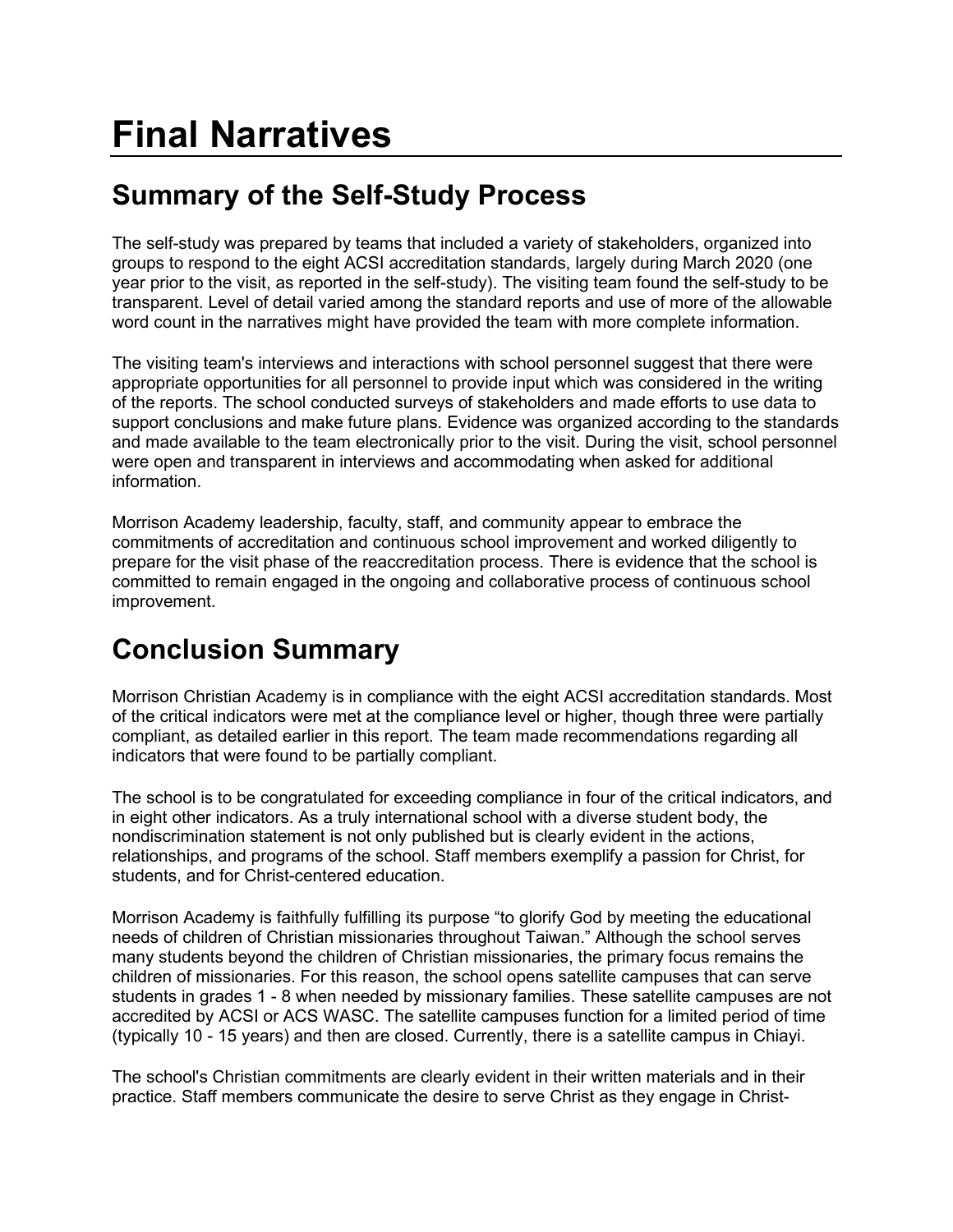# **Summary of the Self-Study Process**

The self-study was prepared by teams that included a variety of stakeholders, organized into groups to respond to the eight ACSI accreditation standards, largely during March 2020 (one year prior to the visit, as reported in the self-study). The visiting team found the self-study to be transparent. Level of detail varied among the standard reports and use of more of the allowable word count in the narratives might have provided the team with more complete information.

The visiting team's interviews and interactions with school personnel suggest that there were appropriate opportunities for all personnel to provide input which was considered in the writing of the reports. The school conducted surveys of stakeholders and made efforts to use data to support conclusions and make future plans. Evidence was organized according to the standards and made available to the team electronically prior to the visit. During the visit, school personnel were open and transparent in interviews and accommodating when asked for additional information.

Morrison Academy leadership, faculty, staff, and community appear to embrace the commitments of accreditation and continuous school improvement and worked diligently to prepare for the visit phase of the reaccreditation process. There is evidence that the school is committed to remain engaged in the ongoing and collaborative process of continuous school improvement.

# **Conclusion Summary**

Morrison Christian Academy is in compliance with the eight ACSI accreditation standards. Most of the critical indicators were met at the compliance level or higher, though three were partially compliant, as detailed earlier in this report. The team made recommendations regarding all indicators that were found to be partially compliant.

The school is to be congratulated for exceeding compliance in four of the critical indicators, and in eight other indicators. As a truly international school with a diverse student body, the nondiscrimination statement is not only published but is clearly evident in the actions, relationships, and programs of the school. Staff members exemplify a passion for Christ, for students, and for Christ-centered education.

Morrison Academy is faithfully fulfilling its purpose "to glorify God by meeting the educational needs of children of Christian missionaries throughout Taiwan." Although the school serves many students beyond the children of Christian missionaries, the primary focus remains the children of missionaries. For this reason, the school opens satellite campuses that can serve students in grades 1 - 8 when needed by missionary families. These satellite campuses are not accredited by ACSI or ACS WASC. The satellite campuses function for a limited period of time (typically 10 - 15 years) and then are closed. Currently, there is a satellite campus in Chiayi.

The school's Christian commitments are clearly evident in their written materials and in their practice. Staff members communicate the desire to serve Christ as they engage in Christ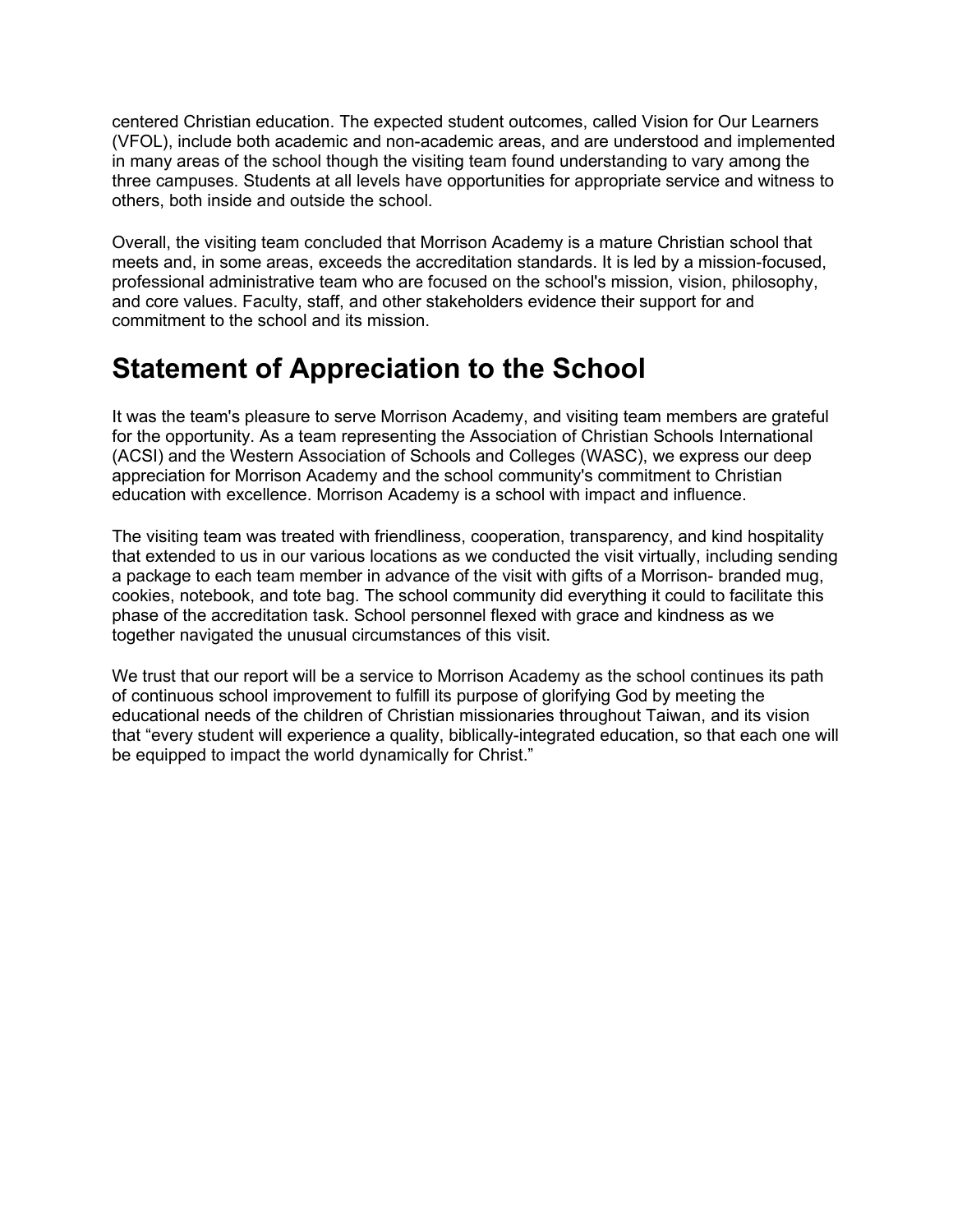centered Christian education. The expected student outcomes, called Vision for Our Learners (VFOL), include both academic and non-academic areas, and are understood and implemented in many areas of the school though the visiting team found understanding to vary among the three campuses. Students at all levels have opportunities for appropriate service and witness to others, both inside and outside the school.

Overall, the visiting team concluded that Morrison Academy is a mature Christian school that meets and, in some areas, exceeds the accreditation standards. It is led by a mission-focused, professional administrative team who are focused on the school's mission, vision, philosophy, and core values. Faculty, staff, and other stakeholders evidence their support for and commitment to the school and its mission.

#### **Statement of Appreciation to the School**

It was the team's pleasure to serve Morrison Academy, and visiting team members are grateful for the opportunity. As a team representing the Association of Christian Schools International (ACSI) and the Western Association of Schools and Colleges (WASC), we express our deep appreciation for Morrison Academy and the school community's commitment to Christian education with excellence. Morrison Academy is a school with impact and influence.

The visiting team was treated with friendliness, cooperation, transparency, and kind hospitality that extended to us in our various locations as we conducted the visit virtually, including sending a package to each team member in advance of the visit with gifts of a Morrison- branded mug, cookies, notebook, and tote bag. The school community did everything it could to facilitate this phase of the accreditation task. School personnel flexed with grace and kindness as we together navigated the unusual circumstances of this visit.

We trust that our report will be a service to Morrison Academy as the school continues its path of continuous school improvement to fulfill its purpose of glorifying God by meeting the educational needs of the children of Christian missionaries throughout Taiwan, and its vision that "every student will experience a quality, biblically-integrated education, so that each one will be equipped to impact the world dynamically for Christ."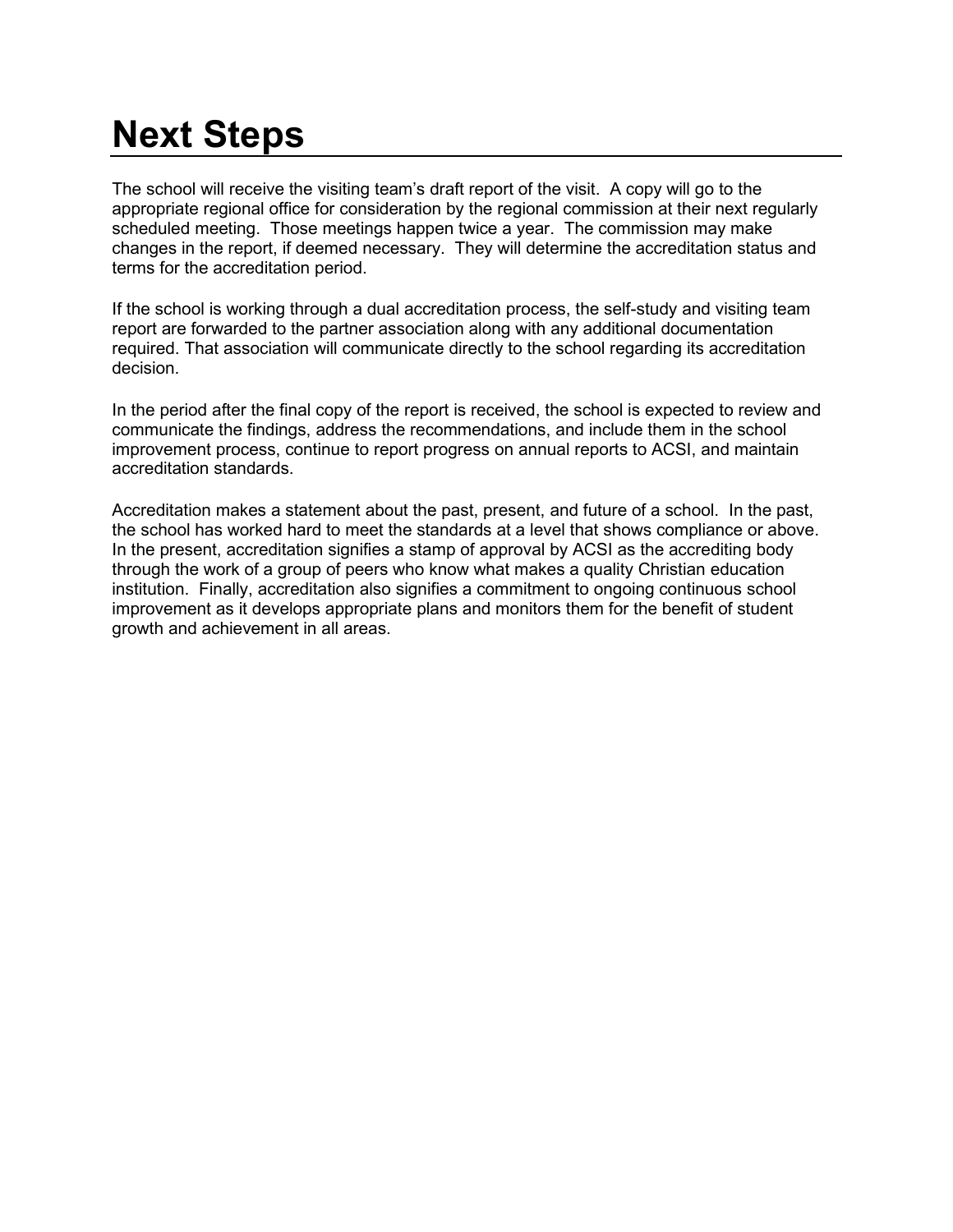# **Next Steps**

The school will receive the visiting team's draft report of the visit. A copy will go to the appropriate regional office for consideration by the regional commission at their next regularly scheduled meeting. Those meetings happen twice a year. The commission may make changes in the report, if deemed necessary. They will determine the accreditation status and terms for the accreditation period.

If the school is working through a dual accreditation process, the self-study and visiting team report are forwarded to the partner association along with any additional documentation required. That association will communicate directly to the school regarding its accreditation decision.

In the period after the final copy of the report is received, the school is expected to review and communicate the findings, address the recommendations, and include them in the school improvement process, continue to report progress on annual reports to ACSI, and maintain accreditation standards.

Accreditation makes a statement about the past, present, and future of a school. In the past, the school has worked hard to meet the standards at a level that shows compliance or above. In the present, accreditation signifies a stamp of approval by ACSI as the accrediting body through the work of a group of peers who know what makes a quality Christian education institution. Finally, accreditation also signifies a commitment to ongoing continuous school improvement as it develops appropriate plans and monitors them for the benefit of student growth and achievement in all areas.